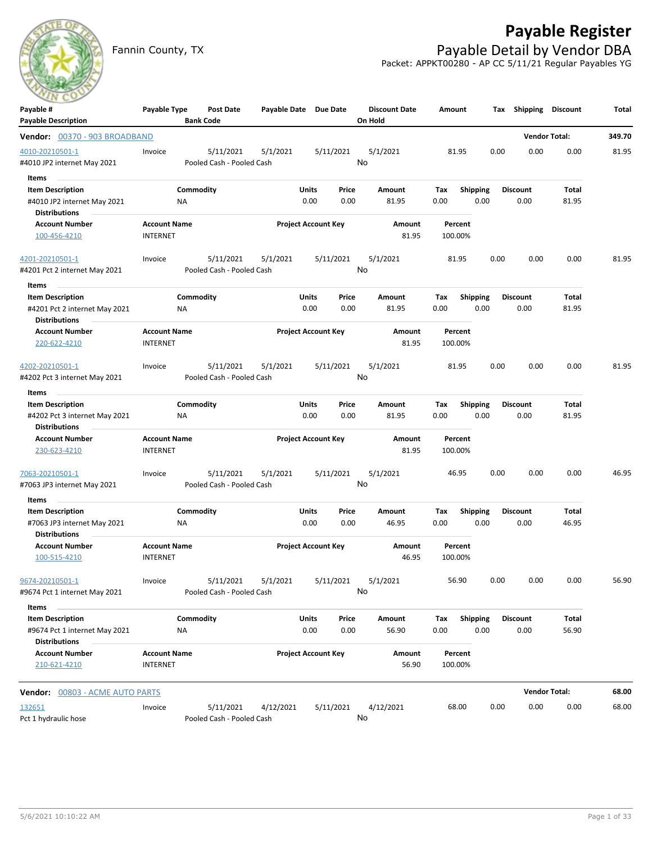

# **Payable Register**

Fannin County, TX **Payable Detail by Vendor DBA** Packet: APPKT00280 - AP CC 5/11/21 Regular Payables YG

| <b>Payable Description</b><br><b>Bank Code</b><br>On Hold<br><b>Vendor Total:</b><br>Vendor: 00370 - 903 BROADBAND<br>4010-20210501-1<br>5/11/2021<br>5/1/2021<br>5/11/2021<br>5/1/2021<br>81.95<br>0.00<br>0.00<br>0.00<br>Invoice<br>No<br>#4010 JP2 internet May 2021<br>Pooled Cash - Pooled Cash<br>Items<br>$\sim$<br>Commodity<br>Units<br><b>Item Description</b><br>Price<br>Amount<br>Tax<br><b>Shipping</b><br><b>Discount</b><br>Total<br>0.00<br>#4010 JP2 internet May 2021<br>0.00<br>0.00<br>81.95<br>0.00<br>0.00<br>81.95<br>ΝA | 349.70<br>81.95<br>81.95 |
|---------------------------------------------------------------------------------------------------------------------------------------------------------------------------------------------------------------------------------------------------------------------------------------------------------------------------------------------------------------------------------------------------------------------------------------------------------------------------------------------------------------------------------------------------|--------------------------|
|                                                                                                                                                                                                                                                                                                                                                                                                                                                                                                                                                   |                          |
|                                                                                                                                                                                                                                                                                                                                                                                                                                                                                                                                                   |                          |
|                                                                                                                                                                                                                                                                                                                                                                                                                                                                                                                                                   |                          |
|                                                                                                                                                                                                                                                                                                                                                                                                                                                                                                                                                   |                          |
|                                                                                                                                                                                                                                                                                                                                                                                                                                                                                                                                                   |                          |
|                                                                                                                                                                                                                                                                                                                                                                                                                                                                                                                                                   |                          |
|                                                                                                                                                                                                                                                                                                                                                                                                                                                                                                                                                   |                          |
| <b>Distributions</b>                                                                                                                                                                                                                                                                                                                                                                                                                                                                                                                              |                          |
| <b>Project Account Key</b><br><b>Account Number</b><br><b>Account Name</b><br>Amount<br>Percent<br>81.95<br>100-456-4210<br><b>INTERNET</b><br>100.00%                                                                                                                                                                                                                                                                                                                                                                                            |                          |
|                                                                                                                                                                                                                                                                                                                                                                                                                                                                                                                                                   |                          |
| 4201-20210501-1<br>5/11/2021<br>5/11/2021<br>5/1/2021<br>81.95<br>0.00<br>0.00<br>0.00<br>Invoice<br>5/1/2021                                                                                                                                                                                                                                                                                                                                                                                                                                     |                          |
| No<br>#4201 Pct 2 internet May 2021<br>Pooled Cash - Pooled Cash                                                                                                                                                                                                                                                                                                                                                                                                                                                                                  |                          |
| Items                                                                                                                                                                                                                                                                                                                                                                                                                                                                                                                                             |                          |
| <b>Item Description</b><br>Commodity<br>Units<br>Price<br>Amount<br><b>Discount</b><br>Total<br>Tax<br><b>Shipping</b>                                                                                                                                                                                                                                                                                                                                                                                                                            |                          |
| #4201 Pct 2 internet May 2021<br>0.00<br>0.00<br>81.95<br>0.00<br>0.00<br>0.00<br>81.95<br>ΝA                                                                                                                                                                                                                                                                                                                                                                                                                                                     |                          |
| <b>Distributions</b>                                                                                                                                                                                                                                                                                                                                                                                                                                                                                                                              |                          |
| <b>Project Account Key</b><br><b>Account Number</b><br><b>Account Name</b><br>Amount<br>Percent                                                                                                                                                                                                                                                                                                                                                                                                                                                   |                          |
| <b>INTERNET</b><br>220-622-4210<br>81.95<br>100.00%                                                                                                                                                                                                                                                                                                                                                                                                                                                                                               |                          |
| 4202-20210501-1<br>5/11/2021<br>5/1/2021<br>5/11/2021<br>5/1/2021<br>81.95<br>0.00<br>0.00<br>0.00<br>Invoice                                                                                                                                                                                                                                                                                                                                                                                                                                     | 81.95                    |
| No<br>Pooled Cash - Pooled Cash<br>#4202 Pct 3 internet May 2021                                                                                                                                                                                                                                                                                                                                                                                                                                                                                  |                          |
| Items                                                                                                                                                                                                                                                                                                                                                                                                                                                                                                                                             |                          |
| Commodity<br><b>Item Description</b><br><b>Units</b><br>Price<br><b>Shipping</b><br><b>Discount</b><br>Total<br>Amount<br>Tax                                                                                                                                                                                                                                                                                                                                                                                                                     |                          |
| 0.00<br>0.00<br>0.00<br>0.00<br>81.95<br>#4202 Pct 3 internet May 2021<br>NA<br>81.95<br>0.00                                                                                                                                                                                                                                                                                                                                                                                                                                                     |                          |
| <b>Distributions</b>                                                                                                                                                                                                                                                                                                                                                                                                                                                                                                                              |                          |
| <b>Account Name</b><br><b>Project Account Key</b><br><b>Account Number</b><br>Amount<br>Percent                                                                                                                                                                                                                                                                                                                                                                                                                                                   |                          |
| <b>INTERNET</b><br>81.95<br>100.00%<br>230-623-4210                                                                                                                                                                                                                                                                                                                                                                                                                                                                                               |                          |
| 5/11/2021<br>5/1/2021<br>0.00<br>5/11/2021<br>5/1/2021<br>46.95<br>0.00<br>0.00<br>7063-20210501-1<br>Invoice                                                                                                                                                                                                                                                                                                                                                                                                                                     | 46.95                    |
| No<br>Pooled Cash - Pooled Cash<br>#7063 JP3 internet May 2021                                                                                                                                                                                                                                                                                                                                                                                                                                                                                    |                          |
| Items                                                                                                                                                                                                                                                                                                                                                                                                                                                                                                                                             |                          |
| Commodity<br>Units<br><b>Shipping</b><br><b>Discount</b><br>Total<br><b>Item Description</b><br>Price<br>Amount<br>Tax                                                                                                                                                                                                                                                                                                                                                                                                                            |                          |
| 0.00<br>46.95<br>0.00<br>0.00<br>46.95<br>0.00<br>0.00<br>#7063 JP3 internet May 2021<br>ΝA                                                                                                                                                                                                                                                                                                                                                                                                                                                       |                          |
| <b>Distributions</b>                                                                                                                                                                                                                                                                                                                                                                                                                                                                                                                              |                          |
| <b>Project Account Key</b><br><b>Account Name</b><br><b>Account Number</b><br>Amount<br>Percent<br>100-515-4210<br><b>INTERNET</b><br>46.95<br>100.00%                                                                                                                                                                                                                                                                                                                                                                                            |                          |
|                                                                                                                                                                                                                                                                                                                                                                                                                                                                                                                                                   |                          |
| 5/11/2021<br>56.90<br>0.00<br>0.00<br>9674-20210501-1<br>5/11/2021<br>5/1/2021<br>5/1/2021<br>0.00<br>Invoice                                                                                                                                                                                                                                                                                                                                                                                                                                     | 56.90                    |
| No<br>#9674 Pct 1 internet May 2021<br>Pooled Cash - Pooled Cash                                                                                                                                                                                                                                                                                                                                                                                                                                                                                  |                          |
| Items                                                                                                                                                                                                                                                                                                                                                                                                                                                                                                                                             |                          |
| Commodity<br>Shipping<br>Total<br><b>Item Description</b><br><b>Units</b><br>Price<br>Amount<br><b>Discount</b><br>Tax                                                                                                                                                                                                                                                                                                                                                                                                                            |                          |
| 0.00<br>56.90<br>#9674 Pct 1 internet May 2021<br>0.00<br>56.90<br>0.00<br>0.00<br>0.00<br>NA                                                                                                                                                                                                                                                                                                                                                                                                                                                     |                          |
| <b>Distributions</b>                                                                                                                                                                                                                                                                                                                                                                                                                                                                                                                              |                          |
| <b>Account Number</b><br><b>Account Name</b><br><b>Project Account Key</b><br>Amount<br>Percent                                                                                                                                                                                                                                                                                                                                                                                                                                                   |                          |
| 210-621-4210<br><b>INTERNET</b><br>56.90<br>100.00%                                                                                                                                                                                                                                                                                                                                                                                                                                                                                               |                          |
| <b>Vendor Total:</b><br>Vendor: 00803 - ACME AUTO PARTS                                                                                                                                                                                                                                                                                                                                                                                                                                                                                           | 68.00                    |
| 132651<br>5/11/2021<br>4/12/2021<br>5/11/2021<br>4/12/2021<br>68.00<br>0.00<br>0.00<br>0.00<br>Invoice                                                                                                                                                                                                                                                                                                                                                                                                                                            | 68.00                    |
| No<br>Pct 1 hydraulic hose<br>Pooled Cash - Pooled Cash                                                                                                                                                                                                                                                                                                                                                                                                                                                                                           |                          |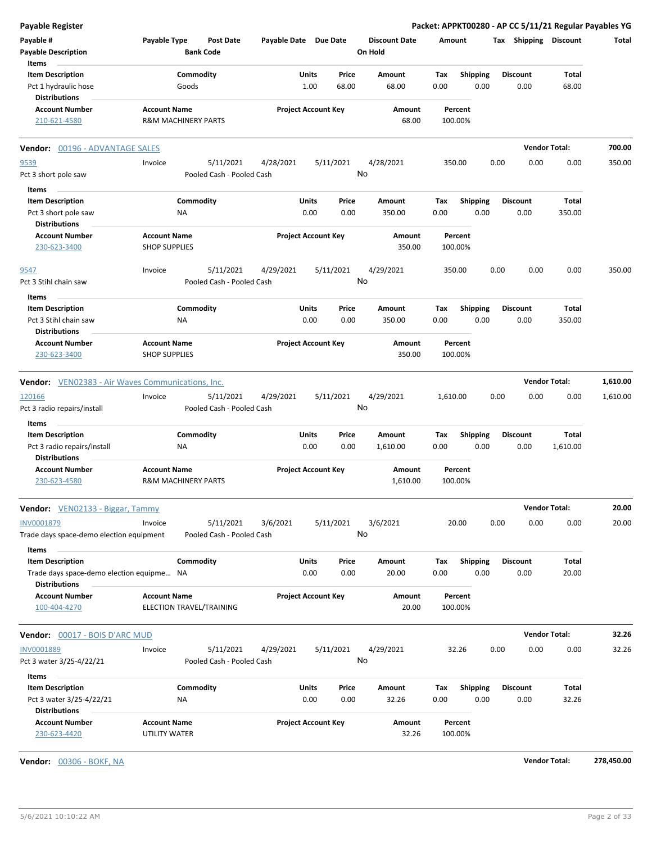| <b>Payable Register</b>                                           |                                                       |                           |                            |                |                                 |                    |                         |      |                         | Packet: APPKT00280 - AP CC 5/11/21 Regular Payables YG |          |
|-------------------------------------------------------------------|-------------------------------------------------------|---------------------------|----------------------------|----------------|---------------------------------|--------------------|-------------------------|------|-------------------------|--------------------------------------------------------|----------|
| Payable #<br><b>Payable Description</b>                           | Payable Type<br><b>Bank Code</b>                      | <b>Post Date</b>          | Payable Date Due Date      |                | <b>Discount Date</b><br>On Hold | Amount             |                         |      | Tax Shipping Discount   |                                                        | Total    |
| Items                                                             |                                                       |                           |                            |                |                                 |                    |                         |      |                         |                                                        |          |
| <b>Item Description</b><br>Pct 1 hydraulic hose                   | Commodity<br>Goods                                    |                           | Units<br>1.00              | Price<br>68.00 | Amount<br>68.00                 | Tax<br>0.00        | <b>Shipping</b><br>0.00 |      | <b>Discount</b><br>0.00 | Total<br>68.00                                         |          |
| <b>Distributions</b>                                              |                                                       |                           |                            |                |                                 |                    |                         |      |                         |                                                        |          |
| <b>Account Number</b><br>210-621-4580                             | <b>Account Name</b><br><b>R&amp;M MACHINERY PARTS</b> |                           | <b>Project Account Key</b> |                | Amount<br>68.00                 | Percent<br>100.00% |                         |      |                         |                                                        |          |
| Vendor: 00196 - ADVANTAGE SALES                                   |                                                       |                           |                            |                |                                 |                    |                         |      | <b>Vendor Total:</b>    |                                                        | 700.00   |
| 9539                                                              | Invoice                                               | 5/11/2021<br>4/28/2021    |                            | 5/11/2021      | 4/28/2021                       | 350.00             |                         | 0.00 | 0.00                    | 0.00                                                   | 350.00   |
| Pct 3 short pole saw                                              |                                                       | Pooled Cash - Pooled Cash |                            | No             |                                 |                    |                         |      |                         |                                                        |          |
| Items                                                             |                                                       |                           |                            |                |                                 |                    |                         |      |                         |                                                        |          |
| <b>Item Description</b>                                           | Commodity                                             |                           | Units                      | Price          | Amount                          | Tax                | <b>Shipping</b>         |      | <b>Discount</b>         | Total                                                  |          |
| Pct 3 short pole saw                                              | ΝA                                                    |                           | 0.00                       | 0.00           | 350.00                          | 0.00               | 0.00                    |      | 0.00                    | 350.00                                                 |          |
| <b>Distributions</b><br><b>Account Number</b>                     | <b>Account Name</b><br><b>SHOP SUPPLIES</b>           |                           | <b>Project Account Key</b> |                | Amount<br>350.00                | Percent<br>100.00% |                         |      |                         |                                                        |          |
| 230-623-3400                                                      |                                                       |                           |                            |                |                                 |                    |                         |      |                         |                                                        |          |
| 9547                                                              | Invoice                                               | 5/11/2021<br>4/29/2021    |                            | 5/11/2021      | 4/29/2021                       | 350.00             |                         | 0.00 | 0.00                    | 0.00                                                   | 350.00   |
| Pct 3 Stihl chain saw                                             |                                                       | Pooled Cash - Pooled Cash |                            | No             |                                 |                    |                         |      |                         |                                                        |          |
| Items                                                             |                                                       |                           |                            |                |                                 |                    |                         |      |                         |                                                        |          |
| <b>Item Description</b>                                           | Commodity                                             |                           | Units                      | Price          | Amount                          | Tax                | <b>Shipping</b>         |      | <b>Discount</b>         | Total                                                  |          |
| Pct 3 Stihl chain saw                                             | NA                                                    |                           | 0.00                       | 0.00           | 350.00                          | 0.00               | 0.00                    |      | 0.00                    | 350.00                                                 |          |
| <b>Distributions</b>                                              |                                                       |                           |                            |                |                                 |                    |                         |      |                         |                                                        |          |
| <b>Account Number</b><br>230-623-3400                             | <b>Account Name</b><br><b>SHOP SUPPLIES</b>           |                           | <b>Project Account Key</b> |                | Amount<br>350.00                | Percent<br>100.00% |                         |      |                         |                                                        |          |
| <b>Vendor:</b> VEN02383 - Air Waves Communications, Inc.          |                                                       |                           |                            |                |                                 |                    |                         |      | <b>Vendor Total:</b>    |                                                        | 1,610.00 |
| 120166                                                            | Invoice                                               | 5/11/2021<br>4/29/2021    |                            | 5/11/2021      | 4/29/2021                       | 1,610.00           |                         | 0.00 | 0.00                    | 0.00                                                   | 1,610.00 |
| Pct 3 radio repairs/install                                       |                                                       | Pooled Cash - Pooled Cash |                            | No             |                                 |                    |                         |      |                         |                                                        |          |
| Items                                                             |                                                       |                           |                            |                |                                 |                    |                         |      |                         |                                                        |          |
| <b>Item Description</b>                                           | Commodity                                             |                           | Units<br>0.00              | Price<br>0.00  | Amount<br>1,610.00              | Tax<br>0.00        | <b>Shipping</b><br>0.00 |      | <b>Discount</b><br>0.00 | Total<br>1,610.00                                      |          |
| Pct 3 radio repairs/install<br><b>Distributions</b>               | <b>NA</b>                                             |                           |                            |                |                                 |                    |                         |      |                         |                                                        |          |
| <b>Account Number</b>                                             | <b>Account Name</b>                                   |                           | <b>Project Account Key</b> |                | Amount                          | Percent            |                         |      |                         |                                                        |          |
| 230-623-4580                                                      | R&M MACHINERY PARTS                                   |                           |                            |                | 1,610.00                        | 100.00%            |                         |      |                         |                                                        |          |
| Vendor: VEN02133 - Biggar, Tammy                                  |                                                       |                           |                            |                |                                 |                    |                         |      |                         | <b>Vendor Total:</b>                                   | 20.00    |
| INV0001879                                                        | Invoice                                               | 5/11/2021<br>3/6/2021     |                            | 5/11/2021      | 3/6/2021                        | 20.00              |                         | 0.00 | 0.00                    | 0.00                                                   | 20.00    |
| Trade days space-demo election equipment                          |                                                       | Pooled Cash - Pooled Cash |                            | No             |                                 |                    |                         |      |                         |                                                        |          |
| Items                                                             |                                                       |                           |                            |                |                                 |                    |                         |      |                         |                                                        |          |
| <b>Item Description</b>                                           | Commodity                                             |                           | Units                      | Price          | Amount                          | Тах                | Shipping                |      | <b>Discount</b>         | <b>Total</b>                                           |          |
| Trade days space-demo election equipme NA<br><b>Distributions</b> |                                                       |                           | 0.00                       | 0.00           | 20.00                           | 0.00               | 0.00                    |      | 0.00                    | 20.00                                                  |          |
| <b>Account Number</b>                                             | <b>Account Name</b>                                   |                           | <b>Project Account Key</b> |                | Amount                          | Percent            |                         |      |                         |                                                        |          |
| 100-404-4270                                                      | ELECTION TRAVEL/TRAINING                              |                           |                            |                | 20.00                           | 100.00%            |                         |      |                         |                                                        |          |
| <b>Vendor: 00017 - BOIS D'ARC MUD</b>                             |                                                       |                           |                            |                |                                 |                    |                         |      |                         | <b>Vendor Total:</b>                                   | 32.26    |
| <b>INV0001889</b>                                                 | Invoice                                               | 5/11/2021<br>4/29/2021    |                            | 5/11/2021      | 4/29/2021                       | 32.26              |                         | 0.00 | 0.00                    | 0.00                                                   | 32.26    |
| Pct 3 water 3/25-4/22/21                                          |                                                       | Pooled Cash - Pooled Cash |                            | No             |                                 |                    |                         |      |                         |                                                        |          |
| Items                                                             |                                                       |                           |                            |                |                                 |                    |                         |      |                         |                                                        |          |
| <b>Item Description</b>                                           | Commodity                                             |                           | Units                      | Price          | Amount                          | Тах                | Shipping                |      | <b>Discount</b>         | Total                                                  |          |
|                                                                   |                                                       |                           |                            |                |                                 |                    |                         |      | 0.00                    |                                                        |          |
| Pct 3 water 3/25-4/22/21<br><b>Distributions</b>                  | ΝA                                                    |                           | 0.00                       | 0.00           | 32.26                           | 0.00               | 0.00                    |      |                         | 32.26                                                  |          |

**Vendor:** 00306 - BOKF, NA **Vendor Total: 278,450.00**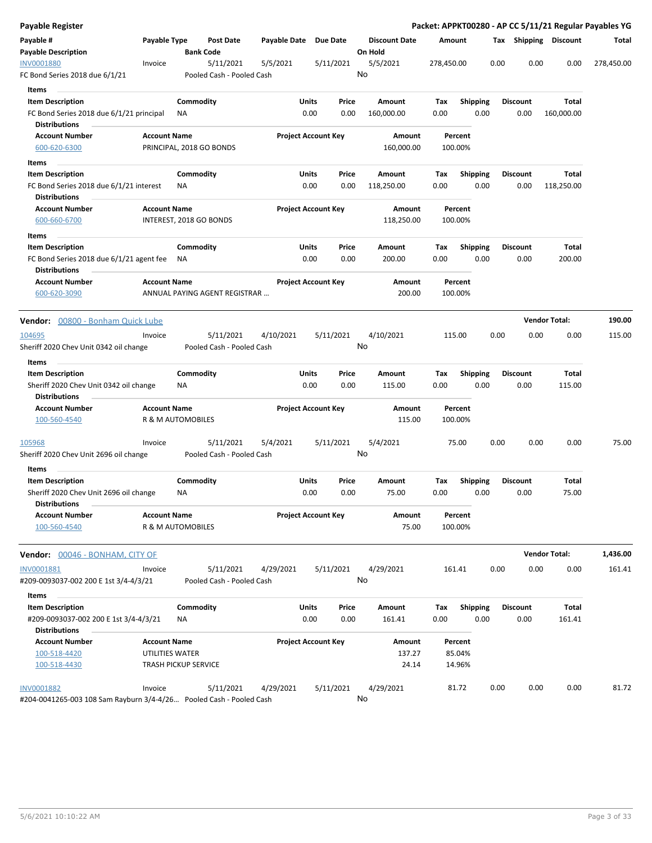| Payable Register                         |                     |                             |                               |              |                            |                 |                                 |            |                 |      |                 | Packet: APPKT00280 - AP CC 5/11/21 Regular Payables YG |            |
|------------------------------------------|---------------------|-----------------------------|-------------------------------|--------------|----------------------------|-----------------|---------------------------------|------------|-----------------|------|-----------------|--------------------------------------------------------|------------|
| Payable #<br><b>Payable Description</b>  | Payable Type        |                             | Post Date<br><b>Bank Code</b> | Payable Date |                            | <b>Due Date</b> | <b>Discount Date</b><br>On Hold | Amount     |                 |      |                 | Tax Shipping Discount                                  | Total      |
| <b>INV0001880</b>                        | Invoice             |                             | 5/11/2021                     | 5/5/2021     |                            | 5/11/2021       | 5/5/2021                        | 278,450.00 |                 | 0.00 | 0.00            | 0.00                                                   | 278,450.00 |
| FC Bond Series 2018 due 6/1/21           |                     |                             | Pooled Cash - Pooled Cash     |              |                            |                 | No                              |            |                 |      |                 |                                                        |            |
| Items                                    |                     |                             |                               |              |                            |                 |                                 |            |                 |      |                 |                                                        |            |
| <b>Item Description</b>                  |                     | Commodity                   |                               |              | Units                      | Price           | Amount                          | Тах        | <b>Shipping</b> |      | <b>Discount</b> | Total                                                  |            |
| FC Bond Series 2018 due 6/1/21 principal |                     | ΝA                          |                               |              | 0.00                       | 0.00            | 160,000.00                      | 0.00       | 0.00            |      | 0.00            | 160,000.00                                             |            |
| <b>Distributions</b>                     |                     |                             |                               |              |                            |                 |                                 |            |                 |      |                 |                                                        |            |
| <b>Account Number</b>                    | <b>Account Name</b> |                             |                               |              | <b>Project Account Key</b> |                 | Amount                          | Percent    |                 |      |                 |                                                        |            |
| 600-620-6300                             |                     |                             | PRINCIPAL, 2018 GO BONDS      |              |                            |                 | 160,000.00                      | 100.00%    |                 |      |                 |                                                        |            |
| Items                                    |                     |                             |                               |              |                            |                 |                                 |            |                 |      |                 |                                                        |            |
| <b>Item Description</b>                  |                     | Commodity                   |                               |              | Units                      | Price           | Amount                          | Tax        | <b>Shipping</b> |      | <b>Discount</b> | Total                                                  |            |
| FC Bond Series 2018 due 6/1/21 interest  |                     | ΝA                          |                               |              | 0.00                       | 0.00            | 118,250.00                      | 0.00       | 0.00            |      | 0.00            | 118,250.00                                             |            |
| <b>Distributions</b>                     |                     |                             |                               |              |                            |                 |                                 |            |                 |      |                 |                                                        |            |
| <b>Account Number</b>                    | <b>Account Name</b> |                             |                               |              | <b>Project Account Key</b> |                 | Amount                          | Percent    |                 |      |                 |                                                        |            |
| 600-660-6700                             |                     | INTEREST, 2018 GO BONDS     |                               |              |                            |                 | 118,250.00                      | 100.00%    |                 |      |                 |                                                        |            |
| Items                                    |                     |                             |                               |              |                            |                 |                                 |            |                 |      |                 |                                                        |            |
| <b>Item Description</b>                  |                     | Commodity                   |                               |              | Units                      | Price           | Amount                          | Тах        | <b>Shipping</b> |      | <b>Discount</b> | Total                                                  |            |
| FC Bond Series 2018 due 6/1/21 agent fee |                     | NA                          |                               |              | 0.00                       | 0.00            | 200.00                          | 0.00       | 0.00            |      | 0.00            | 200.00                                                 |            |
| Distributions                            |                     |                             |                               |              |                            |                 |                                 |            |                 |      |                 |                                                        |            |
| <b>Account Number</b>                    | <b>Account Name</b> |                             |                               |              | <b>Project Account Key</b> |                 | <b>Amount</b>                   | Percent    |                 |      |                 |                                                        |            |
| 600-620-3090                             |                     |                             | ANNUAL PAYING AGENT REGISTRAR |              |                            |                 | 200.00                          | 100.00%    |                 |      |                 |                                                        |            |
|                                          |                     |                             |                               |              |                            |                 |                                 |            |                 |      |                 |                                                        |            |
| Vendor: 00800 - Bonham Quick Lube        |                     |                             |                               |              |                            |                 |                                 |            |                 |      |                 | <b>Vendor Total:</b>                                   | 190.00     |
| 104695                                   | Invoice             |                             | 5/11/2021                     | 4/10/2021    |                            | 5/11/2021       | 4/10/2021                       | 115.00     |                 | 0.00 | 0.00            | 0.00                                                   | 115.00     |
| Sheriff 2020 Chev Unit 0342 oil change   |                     |                             | Pooled Cash - Pooled Cash     |              |                            |                 | No                              |            |                 |      |                 |                                                        |            |
| Items                                    |                     |                             |                               |              |                            |                 |                                 |            |                 |      |                 |                                                        |            |
| <b>Item Description</b>                  |                     | Commodity                   |                               |              | Units                      | Price           | Amount                          | Tax        | <b>Shipping</b> |      | <b>Discount</b> | Total                                                  |            |
| Sheriff 2020 Chev Unit 0342 oil change   |                     | ΝA                          |                               |              | 0.00                       | 0.00            | 115.00                          | 0.00       | 0.00            |      | 0.00            | 115.00                                                 |            |
| <b>Distributions</b>                     |                     |                             |                               |              |                            |                 |                                 |            |                 |      |                 |                                                        |            |
| <b>Account Number</b>                    | <b>Account Name</b> |                             |                               |              | <b>Project Account Key</b> |                 | Amount                          | Percent    |                 |      |                 |                                                        |            |
| 100-560-4540                             |                     | R & M AUTOMOBILES           |                               |              |                            |                 | 115.00                          | 100.00%    |                 |      |                 |                                                        |            |
| 105968                                   | Invoice             |                             | 5/11/2021                     | 5/4/2021     |                            | 5/11/2021       | 5/4/2021                        | 75.00      |                 | 0.00 | 0.00            | 0.00                                                   | 75.00      |
| Sheriff 2020 Chev Unit 2696 oil change   |                     |                             | Pooled Cash - Pooled Cash     |              |                            |                 | No                              |            |                 |      |                 |                                                        |            |
| Items                                    |                     |                             |                               |              |                            |                 |                                 |            |                 |      |                 |                                                        |            |
| <b>Item Description</b>                  |                     | Commodity                   |                               |              | <b>Units</b>               | Price           | Amount                          | Tax        | <b>Shipping</b> |      | <b>Discount</b> | Total                                                  |            |
| Sheriff 2020 Chev Unit 2696 oil change   |                     | ΝA                          |                               |              | 0.00                       | 0.00            | 75.00                           | 0.00       | 0.00            |      | 0.00            | 75.00                                                  |            |
| <b>Distributions</b>                     |                     |                             |                               |              |                            |                 |                                 |            |                 |      |                 |                                                        |            |
| <b>Account Number</b>                    | <b>Account Name</b> |                             |                               |              | <b>Project Account Key</b> |                 | Amount                          | Percent    |                 |      |                 |                                                        |            |
| 100-560-4540                             |                     | R & M AUTOMOBILES           |                               |              |                            |                 | 75.00                           | 100.00%    |                 |      |                 |                                                        |            |
|                                          |                     |                             |                               |              |                            |                 |                                 |            |                 |      |                 |                                                        |            |
| Vendor: 00046 - BONHAM, CITY OF          |                     |                             |                               |              |                            |                 |                                 |            |                 |      |                 | <b>Vendor Total:</b>                                   | 1,436.00   |
| INV0001881                               | Invoice             |                             | 5/11/2021                     | 4/29/2021    |                            | 5/11/2021       | 4/29/2021                       | 161.41     |                 | 0.00 | 0.00            | 0.00                                                   | 161.41     |
| #209-0093037-002 200 E 1st 3/4-4/3/21    |                     |                             | Pooled Cash - Pooled Cash     |              |                            |                 | No                              |            |                 |      |                 |                                                        |            |
|                                          |                     |                             |                               |              |                            |                 |                                 |            |                 |      |                 |                                                        |            |
| Items                                    |                     |                             |                               |              |                            | Price           | Amount                          | Tax        | Shipping        |      | <b>Discount</b> | Total                                                  |            |
| <b>Item Description</b>                  |                     | Commodity                   |                               |              | <b>Units</b>               |                 |                                 |            |                 |      |                 |                                                        |            |
| #209-0093037-002 200 E 1st 3/4-4/3/21    |                     | ΝA                          |                               |              | 0.00                       | 0.00            | 161.41                          | 0.00       | 0.00            |      | 0.00            | 161.41                                                 |            |
| <b>Distributions</b>                     |                     |                             |                               |              |                            |                 |                                 |            |                 |      |                 |                                                        |            |
| <b>Account Number</b>                    | <b>Account Name</b> |                             |                               |              | <b>Project Account Key</b> |                 | Amount                          | Percent    |                 |      |                 |                                                        |            |
| 100-518-4420                             |                     | UTILITIES WATER             |                               |              |                            |                 | 137.27                          | 85.04%     |                 |      |                 |                                                        |            |
| 100-518-4430                             |                     | <b>TRASH PICKUP SERVICE</b> |                               |              |                            |                 | 24.14                           | 14.96%     |                 |      |                 |                                                        |            |
| <b>INV0001882</b>                        | Invoice             |                             | 5/11/2021                     | 4/29/2021    |                            | 5/11/2021       | 4/29/2021                       | 81.72      |                 | 0.00 | 0.00            | 0.00                                                   | 81.72      |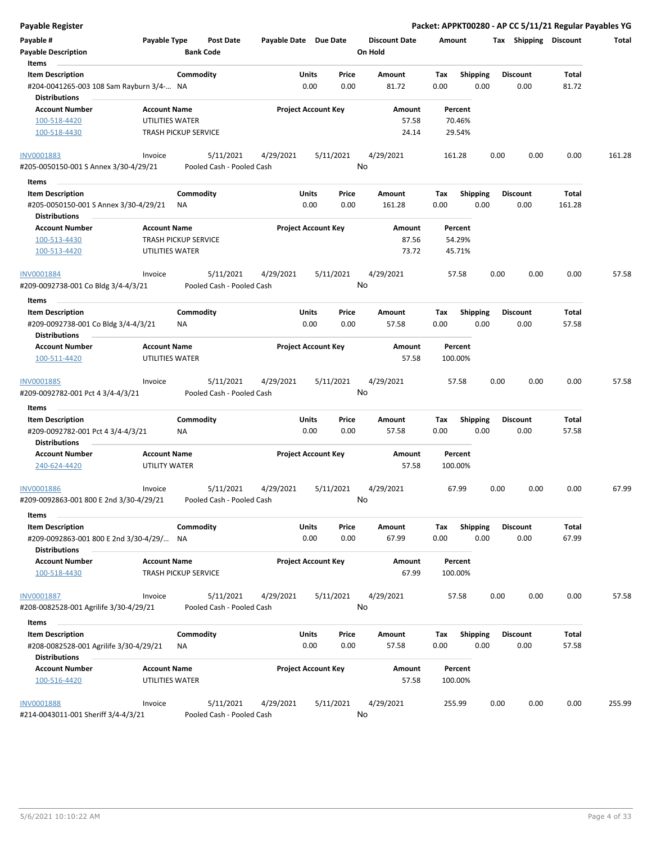| Payable Register                                                  |                                        |                                        |                       |                                |                                 | Packet: APPKT00280 - AP CC 5/11/21 Regular Payables YG |      |                         |                |        |
|-------------------------------------------------------------------|----------------------------------------|----------------------------------------|-----------------------|--------------------------------|---------------------------------|--------------------------------------------------------|------|-------------------------|----------------|--------|
| Payable #<br><b>Payable Description</b>                           | Payable Type                           | <b>Post Date</b><br><b>Bank Code</b>   | Payable Date Due Date |                                | <b>Discount Date</b><br>On Hold | Amount                                                 |      | Tax Shipping Discount   |                | Total  |
| Items                                                             |                                        |                                        |                       |                                |                                 |                                                        |      |                         |                |        |
| <b>Item Description</b>                                           |                                        | Commodity                              | Units                 | Price                          | Amount                          | <b>Shipping</b><br>Tax                                 |      | <b>Discount</b>         | Total          |        |
| #204-0041265-003 108 Sam Rayburn 3/4- NA<br><b>Distributions</b>  |                                        |                                        |                       | 0.00<br>0.00                   | 81.72                           | 0.00<br>0.00                                           |      | 0.00                    | 81.72          |        |
| <b>Account Number</b>                                             | <b>Account Name</b>                    |                                        |                       | <b>Project Account Key</b>     | Amount                          | Percent                                                |      |                         |                |        |
| 100-518-4420                                                      | UTILITIES WATER                        |                                        |                       |                                | 57.58                           | 70.46%                                                 |      |                         |                |        |
| 100-518-4430                                                      | <b>TRASH PICKUP SERVICE</b>            |                                        |                       |                                | 24.14                           | 29.54%                                                 |      |                         |                |        |
| INV0001883                                                        | Invoice                                | 5/11/2021                              | 4/29/2021             | 5/11/2021                      | 4/29/2021                       | 161.28                                                 | 0.00 | 0.00                    | 0.00           | 161.28 |
| #205-0050150-001 S Annex 3/30-4/29/21                             |                                        | Pooled Cash - Pooled Cash              |                       |                                | No                              |                                                        |      |                         |                |        |
| Items                                                             |                                        |                                        |                       |                                |                                 |                                                        |      |                         |                |        |
| <b>Item Description</b>                                           |                                        | Commodity                              |                       | Units<br>Price                 | Amount                          | Tax<br><b>Shipping</b>                                 |      | <b>Discount</b>         | Total          |        |
| #205-0050150-001 S Annex 3/30-4/29/21<br><b>Distributions</b>     | ΝA                                     |                                        |                       | 0.00<br>0.00                   | 161.28                          | 0.00<br>0.00                                           |      | 0.00                    | 161.28         |        |
| <b>Account Number</b>                                             | <b>Account Name</b>                    |                                        |                       | <b>Project Account Key</b>     | Amount                          | Percent                                                |      |                         |                |        |
| 100-513-4430                                                      | <b>TRASH PICKUP SERVICE</b>            |                                        |                       |                                | 87.56                           | 54.29%                                                 |      |                         |                |        |
| 100-513-4420                                                      | UTILITIES WATER                        |                                        |                       |                                | 73.72                           | 45.71%                                                 |      |                         |                |        |
| INV0001884                                                        | Invoice                                | 5/11/2021                              | 4/29/2021             | 5/11/2021                      | 4/29/2021                       | 57.58                                                  | 0.00 | 0.00                    | 0.00           | 57.58  |
| #209-0092738-001 Co Bldg 3/4-4/3/21                               |                                        | Pooled Cash - Pooled Cash              |                       |                                | No                              |                                                        |      |                         |                |        |
| Items                                                             |                                        |                                        |                       |                                |                                 |                                                        |      |                         |                |        |
| <b>Item Description</b><br>#209-0092738-001 Co Bldg 3/4-4/3/21    | ΝA                                     | Commodity                              | Units                 | Price<br>0.00<br>0.00          | Amount<br>57.58                 | Tax<br><b>Shipping</b><br>0.00<br>0.00                 |      | <b>Discount</b><br>0.00 | Total<br>57.58 |        |
| <b>Distributions</b>                                              |                                        |                                        |                       |                                |                                 |                                                        |      |                         |                |        |
| <b>Account Number</b>                                             | <b>Account Name</b>                    |                                        |                       | <b>Project Account Key</b>     | Amount                          | Percent                                                |      |                         |                |        |
| 100-511-4420                                                      | UTILITIES WATER                        |                                        |                       |                                | 57.58                           | 100.00%                                                |      |                         |                |        |
| INV0001885<br>#209-0092782-001 Pct 4 3/4-4/3/21                   | Invoice                                | 5/11/2021<br>Pooled Cash - Pooled Cash | 4/29/2021             | 5/11/2021                      | 4/29/2021<br>No                 | 57.58                                                  | 0.00 | 0.00                    | 0.00           | 57.58  |
| Items                                                             |                                        |                                        |                       |                                |                                 |                                                        |      |                         |                |        |
| <b>Item Description</b>                                           |                                        | Commodity                              | Units                 | Price                          | Amount                          | Tax<br><b>Shipping</b>                                 |      | <b>Discount</b>         | Total          |        |
| #209-0092782-001 Pct 4 3/4-4/3/21<br><b>Distributions</b>         | ΝA                                     |                                        |                       | 0.00<br>0.00                   | 57.58                           | 0.00<br>0.00                                           |      | 0.00                    | 57.58          |        |
| <b>Account Number</b>                                             | <b>Account Name</b>                    |                                        |                       | <b>Project Account Key</b>     | Amount                          | Percent                                                |      |                         |                |        |
| 240-624-4420                                                      | UTILITY WATER                          |                                        |                       |                                | 57.58                           | 100.00%                                                |      |                         |                |        |
| <b>INV0001886</b><br>#209-0092863-001 800 E 2nd 3/30-4/29/21      | Invoice                                | 5/11/2021<br>Pooled Cash - Pooled Cash | 4/29/2021             | 5/11/2021                      | 4/29/2021<br>No                 | 67.99                                                  | 0.00 | 0.00                    | 0.00           | 67.99  |
| Items                                                             |                                        |                                        |                       |                                |                                 |                                                        |      |                         |                |        |
| <b>Item Description</b>                                           |                                        | Commodity                              |                       | Units<br>Price                 | Amount                          | Shipping<br>Tax                                        |      | Discount                | Total          |        |
| #209-0092863-001 800 E 2nd 3/30-4/29/ NA<br><b>Distributions</b>  |                                        |                                        |                       | 0.00<br>0.00                   | 67.99                           | 0.00<br>0.00                                           |      | 0.00                    | 67.99          |        |
| <b>Account Number</b>                                             | <b>Account Name</b>                    |                                        |                       | <b>Project Account Key</b>     | Amount                          | Percent                                                |      |                         |                |        |
| 100-518-4430                                                      | <b>TRASH PICKUP SERVICE</b>            |                                        |                       |                                | 67.99                           | 100.00%                                                |      |                         |                |        |
| <b>INV0001887</b>                                                 | Invoice                                | 5/11/2021                              | 4/29/2021             | 5/11/2021                      | 4/29/2021                       | 57.58                                                  | 0.00 | 0.00                    | 0.00           | 57.58  |
| #208-0082528-001 Agrilife 3/30-4/29/21                            |                                        | Pooled Cash - Pooled Cash              |                       |                                | No                              |                                                        |      |                         |                |        |
| Items                                                             |                                        |                                        |                       |                                |                                 |                                                        |      |                         |                |        |
| <b>Item Description</b><br>#208-0082528-001 Agrilife 3/30-4/29/21 | NA                                     | Commodity                              |                       | Units<br>Price<br>0.00<br>0.00 | Amount<br>57.58                 | <b>Shipping</b><br>Тах<br>0.00<br>0.00                 |      | <b>Discount</b><br>0.00 | Total<br>57.58 |        |
| <b>Distributions</b>                                              |                                        |                                        |                       |                                |                                 |                                                        |      |                         |                |        |
| <b>Account Number</b><br>100-516-4420                             | <b>Account Name</b><br>UTILITIES WATER |                                        |                       | <b>Project Account Key</b>     | Amount<br>57.58                 | Percent<br>100.00%                                     |      |                         |                |        |
| INV0001888                                                        | Invoice                                | 5/11/2021                              | 4/29/2021             | 5/11/2021                      | 4/29/2021                       | 255.99                                                 | 0.00 | 0.00                    | 0.00           | 255.99 |
| #214-0043011-001 Sheriff 3/4-4/3/21                               |                                        | Pooled Cash - Pooled Cash              |                       |                                | No                              |                                                        |      |                         |                |        |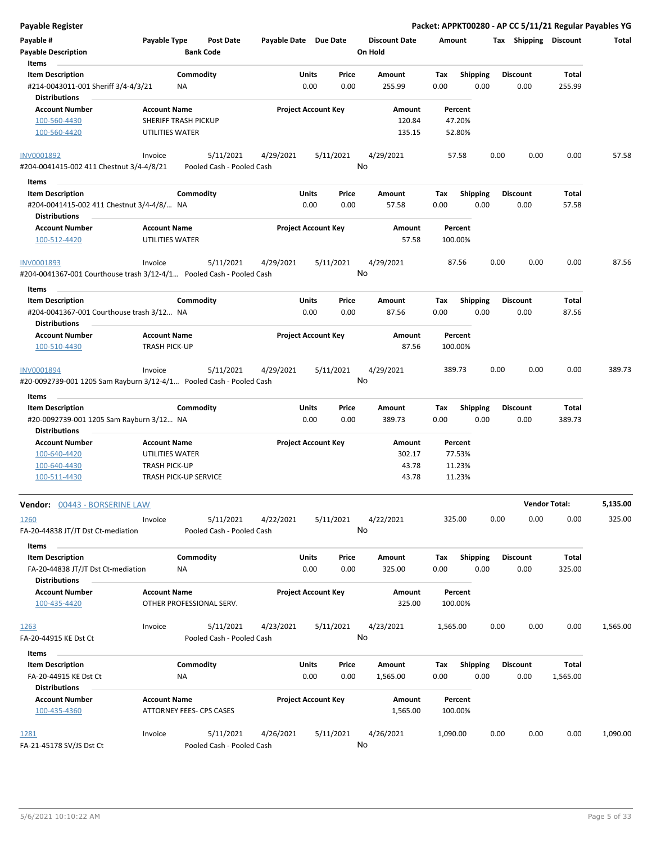| <b>Payable Register</b>                                                                |                                                    |                                        |                       |                            |               |                                 |             |                         |      |                         |                        | Packet: APPKT00280 - AP CC 5/11/21 Regular Payables YG |
|----------------------------------------------------------------------------------------|----------------------------------------------------|----------------------------------------|-----------------------|----------------------------|---------------|---------------------------------|-------------|-------------------------|------|-------------------------|------------------------|--------------------------------------------------------|
| Payable #<br><b>Payable Description</b>                                                | Payable Type                                       | <b>Post Date</b><br><b>Bank Code</b>   | Payable Date Due Date |                            |               | <b>Discount Date</b><br>On Hold | Amount      |                         |      | Tax Shipping Discount   |                        | Total                                                  |
| Items                                                                                  |                                                    |                                        |                       |                            |               |                                 |             |                         |      |                         |                        |                                                        |
| <b>Item Description</b><br>#214-0043011-001 Sheriff 3/4-4/3/21<br><b>Distributions</b> | NA                                                 | Commodity                              |                       | Units<br>0.00              | Price<br>0.00 | <b>Amount</b><br>255.99         | Tax<br>0.00 | <b>Shipping</b><br>0.00 |      | <b>Discount</b><br>0.00 | Total<br>255.99        |                                                        |
| <b>Account Number</b><br>100-560-4430                                                  | <b>Account Name</b><br><b>SHERIFF TRASH PICKUP</b> |                                        |                       | <b>Project Account Key</b> |               | Amount<br>120.84                |             | Percent<br>47.20%       |      |                         |                        |                                                        |
| 100-560-4420                                                                           | UTILITIES WATER                                    |                                        |                       |                            |               | 135.15                          |             | 52.80%                  |      |                         |                        |                                                        |
| INV0001892<br>#204-0041415-002 411 Chestnut 3/4-4/8/21                                 | Invoice                                            | 5/11/2021<br>Pooled Cash - Pooled Cash | 4/29/2021             | 5/11/2021                  |               | 4/29/2021<br>No                 |             | 57.58                   | 0.00 | 0.00                    | 0.00                   | 57.58                                                  |
| Items                                                                                  |                                                    |                                        |                       |                            |               |                                 |             |                         |      |                         |                        |                                                        |
| <b>Item Description</b>                                                                |                                                    | Commodity                              |                       | Units                      | Price         | Amount                          | Tax         | Shipping                |      | <b>Discount</b>         | Total                  |                                                        |
| #204-0041415-002 411 Chestnut 3/4-4/8/ NA<br><b>Distributions</b>                      |                                                    |                                        |                       | 0.00                       | 0.00          | 57.58                           | 0.00        | 0.00                    |      | 0.00                    | 57.58                  |                                                        |
| <b>Account Number</b>                                                                  | <b>Account Name</b>                                |                                        |                       | <b>Project Account Key</b> |               | Amount                          |             | Percent                 |      |                         |                        |                                                        |
| 100-512-4420                                                                           | UTILITIES WATER                                    |                                        |                       |                            |               | 57.58                           |             | 100.00%                 |      |                         |                        |                                                        |
| INV0001893                                                                             | Invoice                                            | 5/11/2021                              | 4/29/2021             | 5/11/2021                  |               | 4/29/2021                       |             | 87.56                   | 0.00 | 0.00                    | 0.00                   | 87.56                                                  |
| #204-0041367-001 Courthouse trash 3/12-4/1 Pooled Cash - Pooled Cash                   |                                                    |                                        |                       |                            |               | No                              |             |                         |      |                         |                        |                                                        |
| Items<br><b>Item Description</b>                                                       |                                                    | Commodity                              |                       | Units                      | Price         | Amount                          | Tax         | <b>Shipping</b>         |      | <b>Discount</b>         | Total                  |                                                        |
| #204-0041367-001 Courthouse trash 3/12 NA                                              |                                                    |                                        |                       | 0.00                       | 0.00          | 87.56                           | 0.00        | 0.00                    |      | 0.00                    | 87.56                  |                                                        |
| <b>Distributions</b>                                                                   |                                                    |                                        |                       |                            |               |                                 |             |                         |      |                         |                        |                                                        |
| <b>Account Number</b><br>100-510-4430                                                  | <b>Account Name</b><br><b>TRASH PICK-UP</b>        |                                        |                       | <b>Project Account Key</b> |               | Amount<br>87.56                 |             | Percent<br>100.00%      |      |                         |                        |                                                        |
|                                                                                        |                                                    |                                        |                       |                            |               |                                 |             |                         |      |                         |                        |                                                        |
| INV0001894<br>#20-0092739-001 1205 Sam Rayburn 3/12-4/1 Pooled Cash - Pooled Cash      | Invoice                                            | 5/11/2021                              | 4/29/2021             | 5/11/2021                  |               | 4/29/2021<br>No                 | 389.73      |                         | 0.00 | 0.00                    | 0.00                   | 389.73                                                 |
| Items                                                                                  |                                                    |                                        |                       |                            |               |                                 |             |                         |      |                         |                        |                                                        |
| <b>Item Description</b><br>#20-0092739-001 1205 Sam Rayburn 3/12 NA                    |                                                    | Commodity                              |                       | <b>Units</b><br>0.00       | Price<br>0.00 | Amount<br>389.73                | Tax<br>0.00 | <b>Shipping</b><br>0.00 |      | <b>Discount</b><br>0.00 | <b>Total</b><br>389.73 |                                                        |
| <b>Distributions</b>                                                                   |                                                    |                                        |                       |                            |               |                                 |             |                         |      |                         |                        |                                                        |
| <b>Account Number</b>                                                                  | <b>Account Name</b>                                |                                        |                       | <b>Project Account Key</b> |               | Amount                          |             | Percent                 |      |                         |                        |                                                        |
| 100-640-4420                                                                           | UTILITIES WATER                                    |                                        |                       |                            |               | 302.17                          |             | 77.53%                  |      |                         |                        |                                                        |
| 100-640-4430                                                                           | <b>TRASH PICK-UP</b>                               |                                        |                       |                            |               | 43.78                           |             | 11.23%                  |      |                         |                        |                                                        |
| 100-511-4430                                                                           | <b>TRASH PICK-UP SERVICE</b>                       |                                        |                       |                            |               | 43.78                           |             | 11.23%                  |      |                         |                        |                                                        |
| <b>Vendor:</b> 00443 - BORSERINE LAW                                                   |                                                    |                                        |                       |                            |               |                                 |             |                         |      |                         | <b>Vendor Total:</b>   | 5,135.00                                               |
| 1260<br>FA-20-44838 JT/JT Dst Ct-mediation                                             | Invoice                                            | 5/11/2021<br>Pooled Cash - Pooled Cash | 4/22/2021             | 5/11/2021                  |               | 4/22/2021<br>No                 | 325.00      |                         | 0.00 | 0.00                    | 0.00                   | 325.00                                                 |
| Items                                                                                  |                                                    |                                        |                       |                            |               |                                 |             |                         |      |                         |                        |                                                        |
| <b>Item Description</b>                                                                |                                                    | Commodity                              |                       | Units                      | Price         | Amount                          | Tax         | Shipping                |      | <b>Discount</b>         | Total                  |                                                        |
| FA-20-44838 JT/JT Dst Ct-mediation<br><b>Distributions</b>                             | NA                                                 |                                        |                       | 0.00                       | 0.00          | 325.00                          | 0.00        | 0.00                    |      | 0.00                    | 325.00                 |                                                        |
| <b>Account Number</b><br>100-435-4420                                                  | <b>Account Name</b>                                | OTHER PROFESSIONAL SERV.               |                       | <b>Project Account Key</b> |               | Amount<br>325.00                |             | Percent<br>100.00%      |      |                         |                        |                                                        |
| 1263<br>FA-20-44915 KE Dst Ct                                                          | Invoice                                            | 5/11/2021<br>Pooled Cash - Pooled Cash | 4/23/2021             | 5/11/2021                  |               | 4/23/2021<br>No                 | 1,565.00    |                         | 0.00 | 0.00                    | 0.00                   | 1,565.00                                               |
| Items                                                                                  |                                                    |                                        |                       |                            |               |                                 |             |                         |      |                         |                        |                                                        |
| <b>Item Description</b>                                                                |                                                    | Commodity                              |                       | Units                      | Price         | Amount                          | Tax         | <b>Shipping</b>         |      | <b>Discount</b>         | <b>Total</b>           |                                                        |
| FA-20-44915 KE Dst Ct<br><b>Distributions</b>                                          | ΝA                                                 |                                        |                       | 0.00                       | 0.00          | 1,565.00                        | 0.00        | 0.00                    |      | 0.00                    | 1,565.00               |                                                        |
| <b>Account Number</b>                                                                  | <b>Account Name</b>                                |                                        |                       | <b>Project Account Key</b> |               | Amount                          |             | Percent                 |      |                         |                        |                                                        |
| 100-435-4360                                                                           |                                                    | ATTORNEY FEES- CPS CASES               |                       |                            |               | 1,565.00                        |             | 100.00%                 |      |                         |                        |                                                        |
| <u> 1281</u><br>FA-21-45178 SV/JS Dst Ct                                               | Invoice                                            | 5/11/2021<br>Pooled Cash - Pooled Cash | 4/26/2021             | 5/11/2021                  |               | 4/26/2021<br>No                 | 1,090.00    |                         | 0.00 | 0.00                    | 0.00                   | 1,090.00                                               |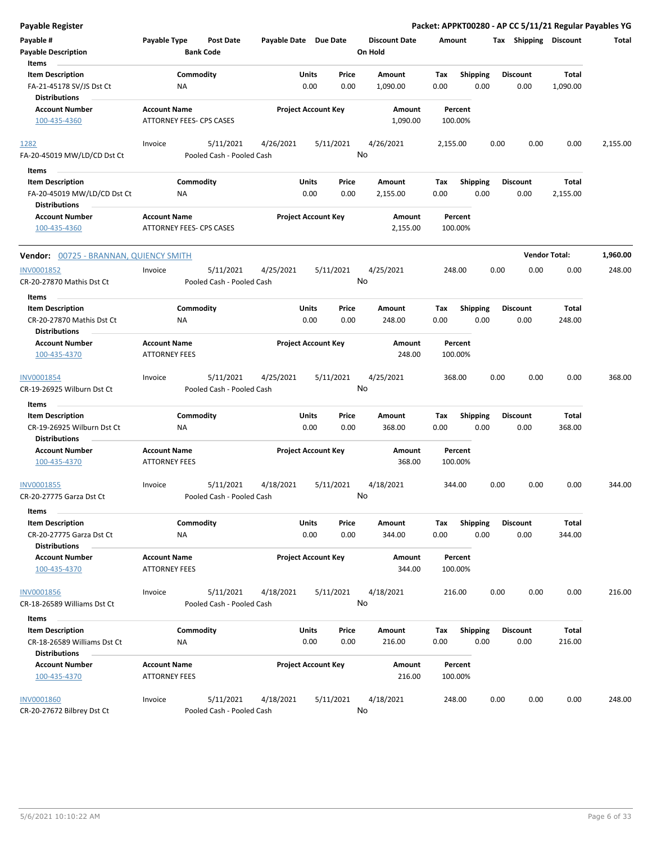| <b>Payable Register</b>                                                              |                                                 |                                        |                       |                                       |                                 | Packet: APPKT00280 - AP CC 5/11/21 Regular Payables YG |                         |                        |          |
|--------------------------------------------------------------------------------------|-------------------------------------------------|----------------------------------------|-----------------------|---------------------------------------|---------------------------------|--------------------------------------------------------|-------------------------|------------------------|----------|
| Payable #<br><b>Payable Description</b>                                              | Payable Type                                    | <b>Post Date</b><br><b>Bank Code</b>   | Payable Date Due Date |                                       | <b>Discount Date</b><br>On Hold | Amount                                                 | Tax Shipping Discount   |                        | Total    |
| Items<br><b>Item Description</b><br>FA-21-45178 SV/JS Dst Ct<br><b>Distributions</b> | NA                                              | Commodity                              |                       | Price<br>Units<br>0.00<br>0.00        | Amount<br>1,090.00              | Shipping<br>Tax<br>0.00<br>0.00                        | <b>Discount</b><br>0.00 | Total<br>1,090.00      |          |
| <b>Account Number</b><br>100-435-4360                                                | <b>Account Name</b><br>ATTORNEY FEES- CPS CASES |                                        |                       | <b>Project Account Key</b>            | Amount<br>1,090.00              | Percent<br>100.00%                                     |                         |                        |          |
| 1282                                                                                 | Invoice                                         | 5/11/2021                              | 4/26/2021             | 5/11/2021                             | 4/26/2021                       | 2,155.00                                               | 0.00<br>0.00            | 0.00                   | 2,155.00 |
| FA-20-45019 MW/LD/CD Dst Ct                                                          |                                                 | Pooled Cash - Pooled Cash              |                       |                                       | No                              |                                                        |                         |                        |          |
| Items<br>$\sim$                                                                      |                                                 |                                        |                       |                                       |                                 |                                                        |                         |                        |          |
| <b>Item Description</b><br>FA-20-45019 MW/LD/CD Dst Ct<br><b>Distributions</b>       | NA                                              | Commodity                              |                       | Units<br>Price<br>0.00<br>0.00        | Amount<br>2,155.00              | Tax<br><b>Shipping</b><br>0.00<br>0.00                 | <b>Discount</b><br>0.00 | Total<br>2,155.00      |          |
| <b>Account Number</b><br>100-435-4360                                                | <b>Account Name</b><br>ATTORNEY FEES- CPS CASES |                                        |                       | <b>Project Account Key</b>            | Amount<br>2,155.00              | Percent<br>100.00%                                     |                         |                        |          |
| <b>Vendor: 00725 - BRANNAN, QUIENCY SMITH</b>                                        |                                                 |                                        |                       |                                       |                                 |                                                        |                         | <b>Vendor Total:</b>   | 1,960.00 |
| INV0001852<br>CR-20-27870 Mathis Dst Ct                                              | Invoice                                         | 5/11/2021<br>Pooled Cash - Pooled Cash | 4/25/2021             | 5/11/2021                             | 4/25/2021<br>No                 | 248.00                                                 | 0.00<br>0.00            | 0.00                   | 248.00   |
| Items                                                                                |                                                 |                                        |                       |                                       |                                 |                                                        |                         |                        |          |
| <b>Item Description</b><br>CR-20-27870 Mathis Dst Ct                                 | NA                                              | Commodity                              |                       | Units<br>Price<br>0.00<br>0.00        | Amount<br>248.00                | Tax<br><b>Shipping</b><br>0.00<br>0.00                 | <b>Discount</b><br>0.00 | Total<br>248.00        |          |
| <b>Distributions</b><br><b>Account Number</b><br>100-435-4370                        | <b>Account Name</b><br><b>ATTORNEY FEES</b>     |                                        |                       | <b>Project Account Key</b>            | Amount<br>248.00                | Percent<br>100.00%                                     |                         |                        |          |
| INV0001854<br>CR-19-26925 Wilburn Dst Ct                                             | Invoice                                         | 5/11/2021<br>Pooled Cash - Pooled Cash | 4/25/2021             | 5/11/2021                             | 4/25/2021<br>No                 | 368.00                                                 | 0.00<br>0.00            | 0.00                   | 368.00   |
| Items                                                                                |                                                 |                                        |                       |                                       |                                 |                                                        |                         |                        |          |
| <b>Item Description</b><br>CR-19-26925 Wilburn Dst Ct                                | ΝA                                              | Commodity                              |                       | <b>Units</b><br>Price<br>0.00<br>0.00 | Amount<br>368.00                | Tax<br><b>Shipping</b><br>0.00<br>0.00                 | <b>Discount</b><br>0.00 | <b>Total</b><br>368.00 |          |
| <b>Distributions</b><br><b>Account Number</b><br>100-435-4370                        | <b>Account Name</b><br><b>ATTORNEY FEES</b>     |                                        |                       | <b>Project Account Key</b>            | Amount<br>368.00                | Percent<br>100.00%                                     |                         |                        |          |
| INV0001855<br>CR-20-27775 Garza Dst Ct                                               | Invoice                                         | 5/11/2021<br>Pooled Cash - Pooled Cash | 4/18/2021             | 5/11/2021                             | 4/18/2021<br>No.                | 344.00                                                 | 0.00<br>0.00            | 0.00                   | 344.00   |
| Items                                                                                |                                                 |                                        |                       |                                       |                                 |                                                        |                         |                        |          |
| <b>Item Description</b><br>CR-20-27775 Garza Dst Ct<br><b>Distributions</b>          | ΝA                                              | Commodity                              |                       | <b>Units</b><br>Price<br>0.00<br>0.00 | Amount<br>344.00                | <b>Shipping</b><br>Тах<br>0.00<br>0.00                 | <b>Discount</b><br>0.00 | Total<br>344.00        |          |
| <b>Account Number</b><br>100-435-4370                                                | <b>Account Name</b><br><b>ATTORNEY FEES</b>     |                                        |                       | <b>Project Account Key</b>            | Amount<br>344.00                | Percent<br>100.00%                                     |                         |                        |          |
| <b>INV0001856</b><br>CR-18-26589 Williams Dst Ct                                     | Invoice                                         | 5/11/2021<br>Pooled Cash - Pooled Cash | 4/18/2021             | 5/11/2021                             | 4/18/2021<br>No                 | 216.00                                                 | 0.00<br>0.00            | 0.00                   | 216.00   |
| Items                                                                                |                                                 |                                        |                       |                                       |                                 |                                                        |                         |                        |          |
| <b>Item Description</b><br>CR-18-26589 Williams Dst Ct                               | ΝA                                              | Commodity                              |                       | Units<br>Price<br>0.00<br>0.00        | Amount<br>216.00                | <b>Shipping</b><br>Tax<br>0.00<br>0.00                 | <b>Discount</b><br>0.00 | Total<br>216.00        |          |
| <b>Distributions</b><br><b>Account Number</b><br>100-435-4370                        | <b>Account Name</b><br><b>ATTORNEY FEES</b>     |                                        |                       | <b>Project Account Key</b>            | Amount<br>216.00                | Percent<br>100.00%                                     |                         |                        |          |
| <b>INV0001860</b><br>CR-20-27672 Bilbrey Dst Ct                                      | Invoice                                         | 5/11/2021<br>Pooled Cash - Pooled Cash | 4/18/2021             | 5/11/2021                             | 4/18/2021<br>No                 | 248.00                                                 | 0.00<br>0.00            | 0.00                   | 248.00   |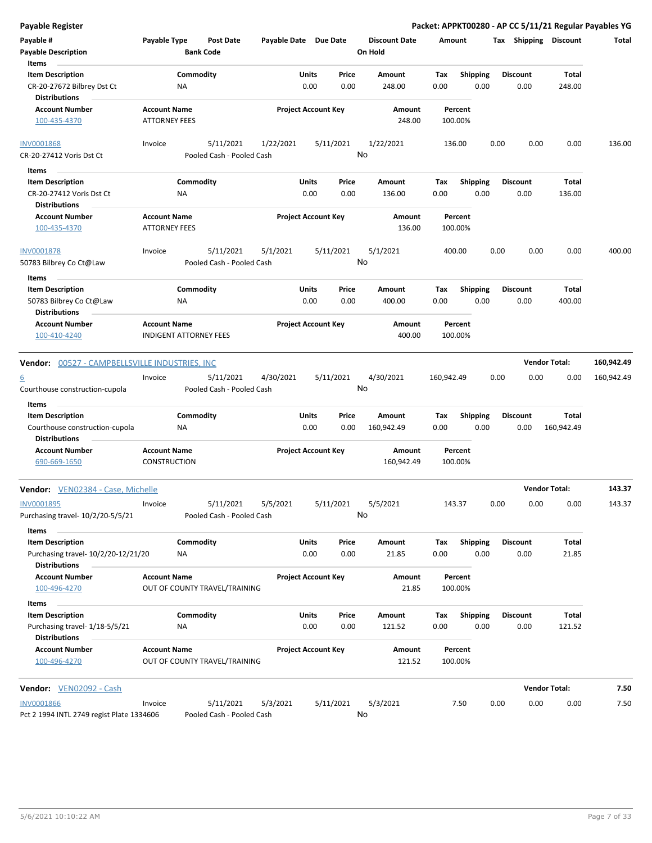**Payable # Payable Type Post Date Payable Date Due Date Payable Description Bank Code Discount Date Amount Tax Shipping Discount Total On Hold** 0.00 0.00 **Units** CR-20-27672 Bilbrey Dst Ct MA NA 0.00 0.00 248.00 0.00 **Item Description** 248.00 **Price Amount Tax** 0.00 248.00 Commodity **Shipping Shipping Commodity Shipping Discount** Total NA **Items** 0.00 **Discount Account Number Account Name Project Account Key Amount Distributions Percent** 100-435-4370 ATTORNEY FEES 248.00 100.00% 5/11/2021 1/22/2021 5/11/2021 CR-20-27412 Voris Dst Ct Pooled Cash - Pooled Cash <u>INV0001868</u> Invoice 5/11/2021 1/22/2021 1/22/2021 136.00 0.00 0.00 136.00 No 0.00 0.00 **Units** CR-20-27412 Voris Dst Ct 0.00 **Item Description** 136.00 **Price Amount Tax** 0.00 136.00 Commodity **Shipping Shipping Commodity Shipping Discount** Total NA **Items** 0.00 **Discount Account Number Account Name Project Account Key Amount Distributions Percent** 100-435-4370 **ATTORNEY FEES** 136.00 **100.00%** 5/11/2021 5/1/2021 5/11/2021 50783 Bilbrey Co Ct@Law Pooled Cash - Pooled Cash INV0001878 Invoice 5/1/2021 400.00 0.00 0.00 0.00 400.00 No 0.00 0.00 **Units** 50783 Bilbrey Co Ct@Law 0.00 **Item Description** 400.00 **Price Amount Tax** 0.00 400.00 Commodity **Shipping Example 1 Commodity Shipping Discount** Total NA **Items** 0.00 **Discount Account Number Account Name Project Account Key Amount Distributions Percent** 100-410-4240 INDIGENT ATTORNEY FEES 400.00 100.00% **Vendor:** 00527 - CAMPBELLSVILLE INDUSTRIES, INC **Vendor Total: 160,942.49** 5/11/2021 4/30/2021 5/11/2021 Courthouse construction-cupola Pooled Cash - Pooled Cash  $\frac{6}{2}$  Invoice  $\frac{5}{11/2021}$   $\frac{4}{30/2021}$   $\frac{5}{11/2021}$   $\frac{4}{30/2021}$   $\frac{4}{30/2021}$   $\frac{160}{942.49}$   $\frac{0.00}{0.00}$   $\frac{0.00}{0.00}$   $\frac{160}{942.49}$ No 0.00 0.00 **Units** Courthouse construction-cupola  $NA$  0.00 0.00 160,942.49 0.00 **Item Description** 160,942.49 **Price Amount Tax** 0.00 160,942.49 Commodity **Shipping Example 1 Commodity Shipping Discount** Total NA **Items** 0.00 **Discount Account Number Account Name Project Account Key Amount Distributions Percent** 690-669-1650 CONSTRUCTION 160,942.49 100.00% **Vendor:** VEN02384 - Case, Michelle **Vendor Total: 143.37** 5/11/2021 5/5/2021 5/11/2021 Purchasing travel- 10/2/20-5/5/21 Pooled Cash - Pooled Cash INV0001895 Invoice 5/5/2021 143.37 0.00 0.00 0.00 143.37 No 0.00 0.00 **Units** Purchasing travel- 10/2/20-12/21/20 0.00 **Item Description** 21.85 **Price Amount Tax** 0.00 21.85 Commodity **Shipping Example 1 Commodity Shipping Discount** Total NA **Items** 0.00 **Discount Account Number Account Name Project Account Key Amount Distributions Percent** 100-496-4270 OUT OF COUNTY TRAVEL/TRAINING 21.85 100.00% 0.00 0.00 **Units** Purchasing travel- 1/18-5/5/21 0.00 **Item Description** 121.52 **Price Amount Tax** 0.00 121.52 Commodity **Shipping Example 1 Commodity Shipping Discount** Total NA **Items** 0.00 **Discount Account Number Account Name Project Account Key Amount Distributions Percent** 100-496-4270 OUT OF COUNTY TRAVEL/TRAINING 121.52 100.00% **Vendor:** VEN02092 - Cash **Vendor Total: 7.50** 5/11/2021 5/3/2021 5/11/2021 INV0001866 Invoice 5/3/2021 7.50 0.00 0.00 0.00 7.50

No

**Payable Register Packet: APPKT00280 - AP CC 5/11/21 Regular Payables YG**

Pct 2 1994 INTL 2749 regist Plate 1334606 Pooled Cash - Pooled Cash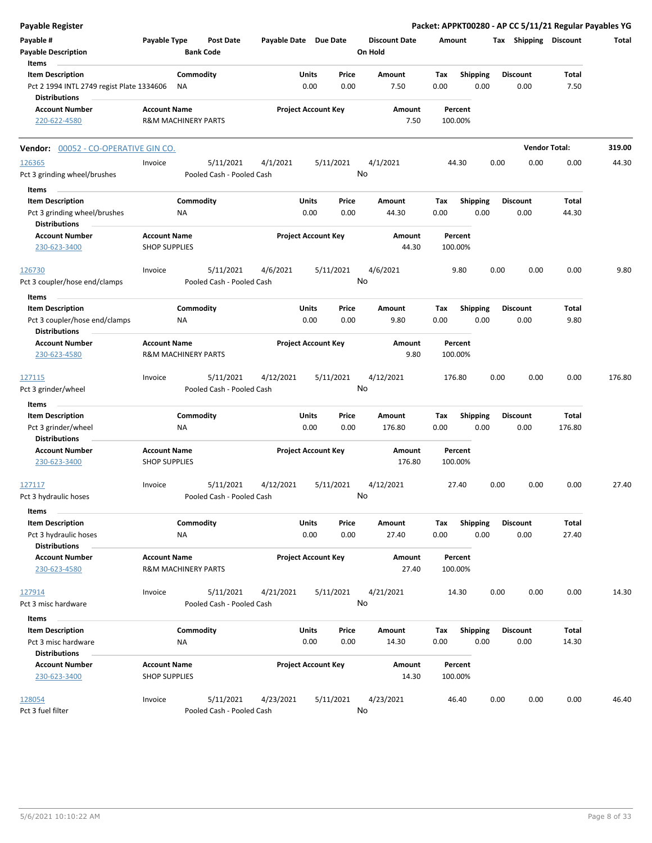| <b>Payable Register</b>                                                       |                                             |                                |                                        |                       |                            |               |                                 |             |                         |      |                         | Packet: APPKT00280 - AP CC 5/11/21 Regular Payables YG |        |
|-------------------------------------------------------------------------------|---------------------------------------------|--------------------------------|----------------------------------------|-----------------------|----------------------------|---------------|---------------------------------|-------------|-------------------------|------|-------------------------|--------------------------------------------------------|--------|
| Payable #<br><b>Payable Description</b>                                       | Payable Type                                |                                | <b>Post Date</b><br><b>Bank Code</b>   | Payable Date Due Date |                            |               | <b>Discount Date</b><br>On Hold | Amount      |                         |      | Tax Shipping Discount   |                                                        | Total  |
| Items<br><b>Item Description</b><br>Pct 2 1994 INTL 2749 regist Plate 1334606 |                                             | Commodity<br>NA                |                                        |                       | Units<br>0.00              | Price<br>0.00 | Amount<br>7.50                  | Tax<br>0.00 | <b>Shipping</b><br>0.00 |      | <b>Discount</b><br>0.00 | Total<br>7.50                                          |        |
| <b>Distributions</b><br><b>Account Number</b><br>220-622-4580                 | <b>Account Name</b>                         | <b>R&amp;M MACHINERY PARTS</b> |                                        |                       | <b>Project Account Key</b> |               | Amount<br>7.50                  |             | Percent<br>100.00%      |      |                         |                                                        |        |
|                                                                               |                                             |                                |                                        |                       |                            |               |                                 |             |                         |      |                         |                                                        |        |
| Vendor: 00052 - CO-OPERATIVE GIN CO.                                          |                                             |                                |                                        |                       |                            |               |                                 |             |                         |      |                         | <b>Vendor Total:</b>                                   | 319.00 |
| 126365<br>Pct 3 grinding wheel/brushes                                        | Invoice                                     |                                | 5/11/2021<br>Pooled Cash - Pooled Cash | 4/1/2021              |                            | 5/11/2021     | 4/1/2021<br>No                  |             | 44.30                   | 0.00 | 0.00                    | 0.00                                                   | 44.30  |
| Items<br><b>Item Description</b>                                              |                                             | Commodity                      |                                        |                       | Units                      | Price         | Amount                          | Tax         | <b>Shipping</b>         |      | <b>Discount</b>         | Total                                                  |        |
| Pct 3 grinding wheel/brushes<br><b>Distributions</b>                          |                                             | ΝA                             |                                        |                       | 0.00                       | 0.00          | 44.30                           | 0.00        | 0.00                    |      | 0.00                    | 44.30                                                  |        |
| <b>Account Number</b><br>230-623-3400                                         | <b>Account Name</b><br><b>SHOP SUPPLIES</b> |                                |                                        |                       | <b>Project Account Key</b> |               | <b>Amount</b><br>44.30          |             | Percent<br>100.00%      |      |                         |                                                        |        |
| 126730<br>Pct 3 coupler/hose end/clamps                                       | Invoice                                     |                                | 5/11/2021<br>Pooled Cash - Pooled Cash | 4/6/2021              |                            | 5/11/2021     | 4/6/2021<br>No                  |             | 9.80                    | 0.00 | 0.00                    | 0.00                                                   | 9.80   |
| Items                                                                         |                                             |                                |                                        |                       |                            |               |                                 |             |                         |      |                         |                                                        |        |
| <b>Item Description</b><br>Pct 3 coupler/hose end/clamps                      |                                             | Commodity<br>ΝA                |                                        |                       | Units<br>0.00              | Price<br>0.00 | Amount<br>9.80                  | Tax<br>0.00 | <b>Shipping</b><br>0.00 |      | <b>Discount</b><br>0.00 | Total<br>9.80                                          |        |
| <b>Distributions</b>                                                          |                                             |                                |                                        |                       |                            |               |                                 |             |                         |      |                         |                                                        |        |
| <b>Account Number</b><br>230-623-4580                                         | <b>Account Name</b>                         | <b>R&amp;M MACHINERY PARTS</b> |                                        |                       | <b>Project Account Key</b> |               | Amount<br>9.80                  |             | Percent<br>100.00%      |      |                         |                                                        |        |
| 127115<br>Pct 3 grinder/wheel                                                 | Invoice                                     |                                | 5/11/2021<br>Pooled Cash - Pooled Cash | 4/12/2021             |                            | 5/11/2021     | 4/12/2021<br>No                 | 176.80      |                         | 0.00 | 0.00                    | 0.00                                                   | 176.80 |
| Items                                                                         |                                             |                                |                                        |                       |                            |               |                                 |             |                         |      |                         |                                                        |        |
| <b>Item Description</b>                                                       |                                             | Commodity                      |                                        |                       | Units                      | Price         | Amount                          | Tax         | Shipping                |      | <b>Discount</b>         | <b>Total</b>                                           |        |
| Pct 3 grinder/wheel<br><b>Distributions</b>                                   |                                             | ΝA                             |                                        |                       | 0.00                       | 0.00          | 176.80                          | 0.00        | 0.00                    |      | 0.00                    | 176.80                                                 |        |
| <b>Account Number</b><br>230-623-3400                                         | <b>Account Name</b><br><b>SHOP SUPPLIES</b> |                                |                                        |                       | <b>Project Account Key</b> |               | Amount<br>176.80                |             | Percent<br>100.00%      |      |                         |                                                        |        |
| 127117<br>Pct 3 hydraulic hoses                                               | Invoice                                     |                                | 5/11/2021<br>Pooled Cash - Pooled Cash | 4/12/2021             |                            | 5/11/2021     | 4/12/2021<br>No                 |             | 27.40                   | 0.00 | 0.00                    | 0.00                                                   | 27.40  |
| Items<br><b>Item Description</b>                                              |                                             | Commodity                      |                                        |                       | Units                      | Price         | Amount                          | Tax         | <b>Shipping</b>         |      | <b>Discount</b>         | Total                                                  |        |
| Pct 3 hydraulic hoses<br><b>Distributions</b>                                 |                                             | ΝA                             |                                        |                       | 0.00                       | 0.00          | 27.40                           | 0.00        | 0.00                    |      | 0.00                    | 27.40                                                  |        |
| <b>Account Number</b><br>230-623-4580                                         | <b>Account Name</b>                         | <b>R&amp;M MACHINERY PARTS</b> |                                        |                       | <b>Project Account Key</b> |               | Amount<br>27.40                 |             | Percent<br>100.00%      |      |                         |                                                        |        |
| 127914<br>Pct 3 misc hardware                                                 | Invoice                                     |                                | 5/11/2021<br>Pooled Cash - Pooled Cash | 4/21/2021             |                            | 5/11/2021     | 4/21/2021<br>No                 |             | 14.30                   | 0.00 | 0.00                    | 0.00                                                   | 14.30  |
| Items                                                                         |                                             |                                |                                        |                       |                            |               |                                 |             |                         |      |                         |                                                        |        |
| <b>Item Description</b>                                                       |                                             | Commodity                      |                                        |                       | Units                      | Price         | Amount                          | Tax         | <b>Shipping</b>         |      | <b>Discount</b>         | Total                                                  |        |
| Pct 3 misc hardware                                                           |                                             | NA                             |                                        |                       | 0.00                       | 0.00          | 14.30                           | 0.00        | 0.00                    |      | 0.00                    | 14.30                                                  |        |
| <b>Distributions</b>                                                          |                                             |                                |                                        |                       |                            |               |                                 |             |                         |      |                         |                                                        |        |
| <b>Account Number</b><br>230-623-3400                                         | <b>Account Name</b><br><b>SHOP SUPPLIES</b> |                                |                                        |                       | <b>Project Account Key</b> |               | Amount<br>14.30                 |             | Percent<br>100.00%      |      |                         |                                                        |        |
| 128054                                                                        | Invoice                                     |                                | 5/11/2021                              | 4/23/2021             |                            | 5/11/2021     | 4/23/2021                       |             | 46.40                   | 0.00 | 0.00                    | 0.00                                                   | 46.40  |
| Pct 3 fuel filter                                                             |                                             |                                | Pooled Cash - Pooled Cash              |                       |                            |               | No                              |             |                         |      |                         |                                                        |        |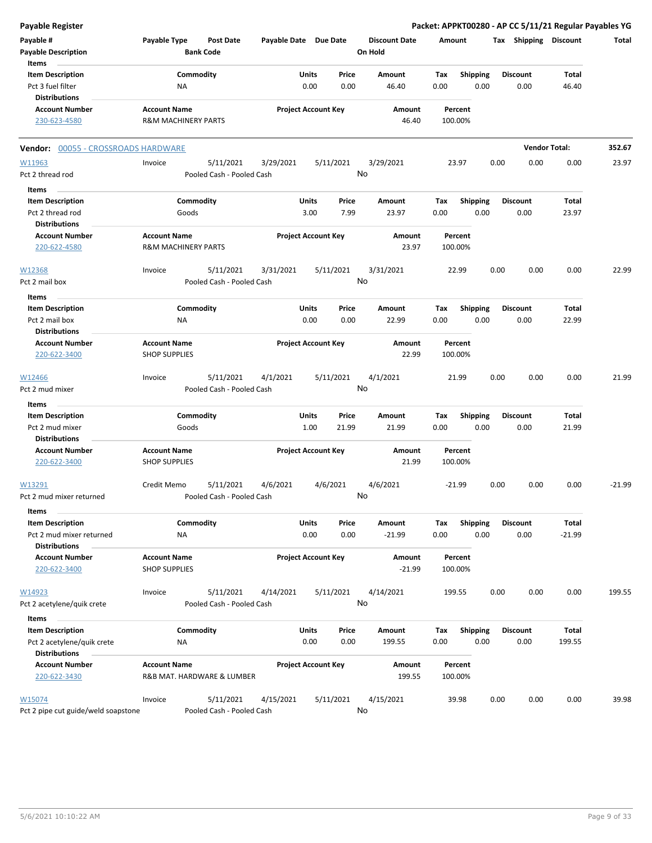| <b>Payable Register</b>                            |                                |                                        |                            |              |           |                                 |        |                 |      |                       |          | Packet: APPKT00280 - AP CC 5/11/21 Regular Payables YG |
|----------------------------------------------------|--------------------------------|----------------------------------------|----------------------------|--------------|-----------|---------------------------------|--------|-----------------|------|-----------------------|----------|--------------------------------------------------------|
| Payable #<br><b>Payable Description</b>            | Payable Type                   | <b>Post Date</b><br><b>Bank Code</b>   | Payable Date Due Date      |              |           | <b>Discount Date</b><br>On Hold | Amount |                 |      | Tax Shipping Discount |          | Total                                                  |
| Items                                              |                                |                                        |                            |              |           |                                 |        |                 |      |                       |          |                                                        |
| <b>Item Description</b>                            | Commodity                      |                                        |                            | Units        | Price     | <b>Amount</b>                   | Tax    | <b>Shipping</b> |      | <b>Discount</b>       | Total    |                                                        |
| Pct 3 fuel filter<br><b>Distributions</b>          | <b>NA</b>                      |                                        |                            | 0.00         | 0.00      | 46.40                           | 0.00   | 0.00            |      | 0.00                  | 46.40    |                                                        |
| <b>Account Number</b>                              | <b>Account Name</b>            |                                        | <b>Project Account Key</b> |              |           | Amount                          |        | Percent         |      |                       |          |                                                        |
| 230-623-4580                                       | <b>R&amp;M MACHINERY PARTS</b> |                                        |                            |              |           | 46.40                           |        | 100.00%         |      |                       |          |                                                        |
| Vendor: 00055 - CROSSROADS HARDWARE                |                                |                                        |                            |              |           |                                 |        |                 |      | <b>Vendor Total:</b>  |          | 352.67                                                 |
| W11963                                             | Invoice                        | 5/11/2021                              | 3/29/2021                  |              | 5/11/2021 | 3/29/2021                       |        | 23.97           | 0.00 | 0.00                  | 0.00     | 23.97                                                  |
| Pct 2 thread rod                                   |                                | Pooled Cash - Pooled Cash              |                            |              |           | No                              |        |                 |      |                       |          |                                                        |
| Items                                              |                                |                                        |                            |              |           |                                 |        |                 |      |                       |          |                                                        |
| <b>Item Description</b>                            | Commodity                      |                                        |                            | Units        | Price     | Amount                          | Tax    | <b>Shipping</b> |      | <b>Discount</b>       | Total    |                                                        |
| Pct 2 thread rod                                   | Goods                          |                                        |                            | 3.00         | 7.99      | 23.97                           | 0.00   | 0.00            |      | 0.00                  | 23.97    |                                                        |
| <b>Distributions</b>                               |                                |                                        |                            |              |           |                                 |        |                 |      |                       |          |                                                        |
| <b>Account Number</b>                              | <b>Account Name</b>            |                                        | <b>Project Account Key</b> |              |           | Amount                          |        | Percent         |      |                       |          |                                                        |
| 220-622-4580                                       | <b>R&amp;M MACHINERY PARTS</b> |                                        |                            |              |           | 23.97                           |        | 100.00%         |      |                       |          |                                                        |
| W12368                                             | Invoice                        | 5/11/2021                              | 3/31/2021                  |              | 5/11/2021 | 3/31/2021                       |        | 22.99           | 0.00 | 0.00                  | 0.00     | 22.99                                                  |
| Pct 2 mail box                                     |                                | Pooled Cash - Pooled Cash              |                            |              |           | No                              |        |                 |      |                       |          |                                                        |
| Items                                              |                                |                                        |                            |              |           |                                 |        |                 |      |                       |          |                                                        |
| <b>Item Description</b>                            | Commodity                      |                                        |                            | <b>Units</b> | Price     | Amount                          | Tax    | <b>Shipping</b> |      | <b>Discount</b>       | Total    |                                                        |
| Pct 2 mail box<br><b>Distributions</b>             | NA                             |                                        |                            | 0.00         | 0.00      | 22.99                           | 0.00   | 0.00            |      | 0.00                  | 22.99    |                                                        |
| <b>Account Number</b>                              | <b>Account Name</b>            |                                        | <b>Project Account Key</b> |              |           | Amount                          |        | Percent         |      |                       |          |                                                        |
| 220-622-3400                                       | <b>SHOP SUPPLIES</b>           |                                        |                            |              |           | 22.99                           |        | 100.00%         |      |                       |          |                                                        |
| W12466                                             | Invoice                        | 5/11/2021                              | 4/1/2021                   |              | 5/11/2021 | 4/1/2021                        |        | 21.99           | 0.00 | 0.00                  | 0.00     | 21.99                                                  |
| Pct 2 mud mixer                                    |                                | Pooled Cash - Pooled Cash              |                            |              |           | No                              |        |                 |      |                       |          |                                                        |
| Items                                              |                                |                                        |                            |              |           |                                 |        |                 |      |                       |          |                                                        |
| <b>Item Description</b>                            | Commodity                      |                                        |                            | Units        | Price     | Amount                          | Tax    | <b>Shipping</b> |      | <b>Discount</b>       | Total    |                                                        |
| Pct 2 mud mixer                                    | Goods                          |                                        |                            | 1.00         | 21.99     | 21.99                           | 0.00   | 0.00            |      | 0.00                  | 21.99    |                                                        |
| <b>Distributions</b>                               |                                |                                        |                            |              |           |                                 |        |                 |      |                       |          |                                                        |
| <b>Account Number</b>                              | <b>Account Name</b>            |                                        | <b>Project Account Key</b> |              |           | Amount                          |        | Percent         |      |                       |          |                                                        |
| 220-622-3400                                       | <b>SHOP SUPPLIES</b>           |                                        |                            |              |           | 21.99                           |        | 100.00%         |      |                       |          |                                                        |
| W13291<br>Pct 2 mud mixer returned                 | Credit Memo                    | 5/11/2021<br>Pooled Cash - Pooled Cash | 4/6/2021                   | 4/6/2021     |           | 4/6/2021<br>No                  |        | $-21.99$        | 0.00 | 0.00                  | 0.00     | $-21.99$                                               |
| Items                                              |                                |                                        |                            |              |           |                                 |        |                 |      |                       |          |                                                        |
| <b>Item Description</b>                            | Commodity                      |                                        |                            | Units        | Price     | Amount                          | Tax    | <b>Shipping</b> |      | <b>Discount</b>       | Total    |                                                        |
| Pct 2 mud mixer returned                           | NA                             |                                        |                            | 0.00         | 0.00      | $-21.99$                        | 0.00   | 0.00            |      | 0.00                  | $-21.99$ |                                                        |
| <b>Distributions</b>                               |                                |                                        |                            |              |           |                                 |        |                 |      |                       |          |                                                        |
| <b>Account Number</b>                              | <b>Account Name</b>            |                                        | <b>Project Account Key</b> |              |           | Amount                          |        | Percent         |      |                       |          |                                                        |
| 220-622-3400                                       | <b>SHOP SUPPLIES</b>           |                                        |                            |              |           | $-21.99$                        |        | 100.00%         |      |                       |          |                                                        |
| W14923                                             | Invoice                        | 5/11/2021                              | 4/14/2021                  |              | 5/11/2021 | 4/14/2021                       |        | 199.55          | 0.00 | 0.00                  | 0.00     | 199.55                                                 |
| Pct 2 acetylene/quik crete                         |                                | Pooled Cash - Pooled Cash              |                            |              |           | No                              |        |                 |      |                       |          |                                                        |
|                                                    |                                |                                        |                            |              |           |                                 |        |                 |      |                       |          |                                                        |
| Items                                              |                                |                                        |                            |              |           |                                 |        |                 |      |                       |          |                                                        |
| <b>Item Description</b>                            | Commodity                      |                                        |                            | <b>Units</b> | Price     | Amount                          | Tax    | <b>Shipping</b> |      | <b>Discount</b>       | Total    |                                                        |
| Pct 2 acetylene/quik crete<br><b>Distributions</b> | <b>NA</b>                      |                                        |                            | 0.00         | 0.00      | 199.55                          | 0.00   | 0.00            |      | 0.00                  | 199.55   |                                                        |
| <b>Account Number</b>                              | <b>Account Name</b>            |                                        | <b>Project Account Key</b> |              |           | Amount                          |        | Percent         |      |                       |          |                                                        |
| 220-622-3430                                       |                                | R&B MAT. HARDWARE & LUMBER             |                            |              |           | 199.55                          |        | 100.00%         |      |                       |          |                                                        |
| W15074                                             | Invoice                        | 5/11/2021                              | 4/15/2021                  |              | 5/11/2021 | 4/15/2021                       |        | 39.98           | 0.00 | 0.00                  | 0.00     | 39.98                                                  |
| Pct 2 pipe cut guide/weld soapstone                |                                | Pooled Cash - Pooled Cash              |                            |              |           | No                              |        |                 |      |                       |          |                                                        |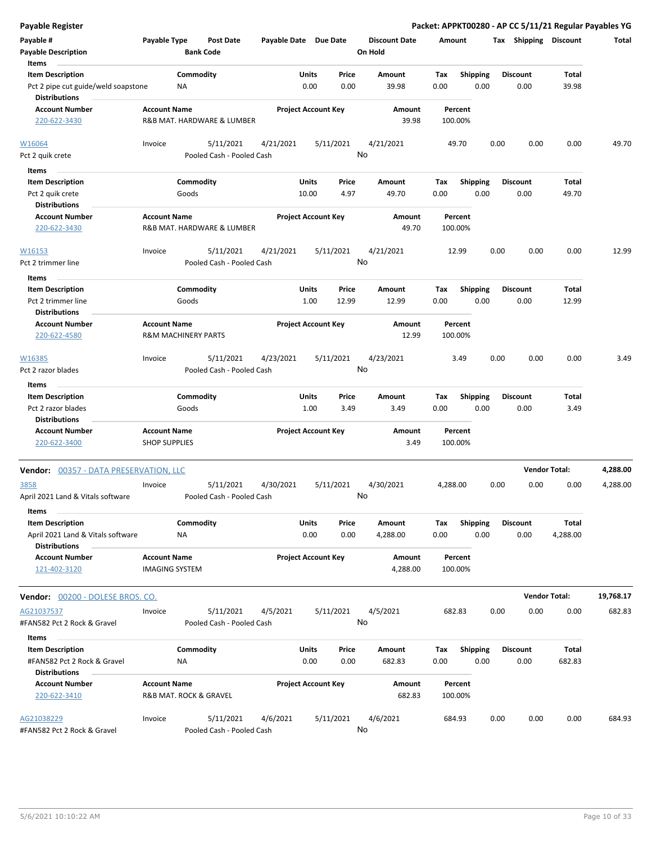| <b>Payable Register</b>                                     |                                               |                  |                            |                       |               |                            |                                 |             |                         |      |                         |                      | Packet: APPKT00280 - AP CC 5/11/21 Regular Payables YG |
|-------------------------------------------------------------|-----------------------------------------------|------------------|----------------------------|-----------------------|---------------|----------------------------|---------------------------------|-------------|-------------------------|------|-------------------------|----------------------|--------------------------------------------------------|
| Payable #<br><b>Payable Description</b>                     | Payable Type                                  | <b>Bank Code</b> | <b>Post Date</b>           | Payable Date Due Date |               |                            | <b>Discount Date</b><br>On Hold | Amount      |                         |      | Tax Shipping Discount   |                      | Total                                                  |
| Items                                                       |                                               |                  |                            |                       |               |                            |                                 |             |                         |      |                         |                      |                                                        |
| <b>Item Description</b>                                     |                                               | Commodity        |                            |                       | Units         | Price                      | Amount                          | Tax         | <b>Shipping</b>         |      | <b>Discount</b>         | Total                |                                                        |
| Pct 2 pipe cut guide/weld soapstone<br><b>Distributions</b> |                                               | NA               |                            |                       | 0.00          | 0.00                       | 39.98                           | 0.00        | 0.00                    |      | 0.00                    | 39.98                |                                                        |
| <b>Account Number</b><br>220-622-3430                       | <b>Account Name</b>                           |                  | R&B MAT. HARDWARE & LUMBER |                       |               | <b>Project Account Key</b> | Amount<br>39.98                 |             | Percent<br>100.00%      |      |                         |                      |                                                        |
| W16064                                                      | Invoice                                       |                  | 5/11/2021                  | 4/21/2021             |               | 5/11/2021                  | 4/21/2021                       |             | 49.70                   | 0.00 | 0.00                    | 0.00                 | 49.70                                                  |
| Pct 2 quik crete                                            |                                               |                  | Pooled Cash - Pooled Cash  |                       |               | No                         |                                 |             |                         |      |                         |                      |                                                        |
|                                                             |                                               |                  |                            |                       |               |                            |                                 |             |                         |      |                         |                      |                                                        |
| Items                                                       |                                               |                  |                            |                       |               |                            |                                 |             |                         |      |                         |                      |                                                        |
| <b>Item Description</b>                                     |                                               | Commodity        |                            |                       | Units         | Price                      | Amount                          | Tax         | <b>Shipping</b>         |      | <b>Discount</b>         | Total                |                                                        |
| Pct 2 quik crete                                            |                                               | Goods            |                            |                       | 10.00         | 4.97                       | 49.70                           | 0.00        | 0.00                    |      | 0.00                    | 49.70                |                                                        |
| <b>Distributions</b>                                        |                                               |                  |                            |                       |               |                            |                                 |             |                         |      |                         |                      |                                                        |
| <b>Account Number</b><br>220-622-3430                       | <b>Account Name</b>                           |                  | R&B MAT. HARDWARE & LUMBER |                       |               | <b>Project Account Key</b> | Amount<br>49.70                 |             | Percent<br>100.00%      |      |                         |                      |                                                        |
| W16153                                                      | Invoice                                       |                  | 5/11/2021                  | 4/21/2021             |               | 5/11/2021                  | 4/21/2021                       |             | 12.99                   | 0.00 | 0.00                    | 0.00                 | 12.99                                                  |
| Pct 2 trimmer line                                          |                                               |                  | Pooled Cash - Pooled Cash  |                       |               | No                         |                                 |             |                         |      |                         |                      |                                                        |
| Items                                                       |                                               |                  |                            |                       |               |                            |                                 |             |                         |      |                         |                      |                                                        |
| <b>Item Description</b>                                     |                                               | Commodity        |                            |                       | Units         | Price                      | Amount                          | Tax         | <b>Shipping</b>         |      | <b>Discount</b>         | Total                |                                                        |
| Pct 2 trimmer line<br><b>Distributions</b>                  |                                               | Goods            |                            |                       | 1.00          | 12.99                      | 12.99                           | 0.00        | 0.00                    |      | 0.00                    | 12.99                |                                                        |
| <b>Account Number</b>                                       | <b>Account Name</b>                           |                  |                            |                       |               | <b>Project Account Key</b> | Amount                          |             | Percent                 |      |                         |                      |                                                        |
| 220-622-4580                                                | <b>R&amp;M MACHINERY PARTS</b>                |                  |                            |                       |               |                            | 12.99                           |             | 100.00%                 |      |                         |                      |                                                        |
| W16385                                                      | Invoice                                       |                  | 5/11/2021                  | 4/23/2021             |               | 5/11/2021<br>No            | 4/23/2021                       |             | 3.49                    | 0.00 | 0.00                    | 0.00                 | 3.49                                                   |
| Pct 2 razor blades<br>Items                                 |                                               |                  | Pooled Cash - Pooled Cash  |                       |               |                            |                                 |             |                         |      |                         |                      |                                                        |
| <b>Item Description</b>                                     |                                               | Commodity        |                            |                       | Units         | Price                      | Amount                          | Tax         | <b>Shipping</b>         |      | <b>Discount</b>         | Total                |                                                        |
| Pct 2 razor blades                                          |                                               | Goods            |                            |                       | 1.00          | 3.49                       | 3.49                            | 0.00        | 0.00                    |      | 0.00                    | 3.49                 |                                                        |
| <b>Distributions</b>                                        |                                               |                  |                            |                       |               |                            |                                 |             |                         |      |                         |                      |                                                        |
| <b>Account Number</b>                                       | <b>Account Name</b>                           |                  |                            |                       |               | <b>Project Account Key</b> | Amount                          |             | Percent                 |      |                         |                      |                                                        |
| 220-622-3400                                                | <b>SHOP SUPPLIES</b>                          |                  |                            |                       |               |                            | 3.49                            |             | 100.00%                 |      |                         |                      |                                                        |
| <b>Vendor: 00357 - DATA PRESERVATION, LLC</b>               |                                               |                  |                            |                       |               |                            |                                 |             |                         |      |                         | <b>Vendor Total:</b> | 4,288.00                                               |
| 3858                                                        | Invoice                                       |                  | 5/11/2021                  | 4/30/2021             |               | 5/11/2021                  | 4/30/2021                       | 4,288.00    |                         | 0.00 | 0.00                    | 0.00                 | 4,288.00                                               |
| April 2021 Land & Vitals software                           |                                               |                  | Pooled Cash - Pooled Cash  |                       |               |                            | No                              |             |                         |      |                         |                      |                                                        |
| Items                                                       |                                               |                  |                            |                       |               |                            |                                 |             |                         |      |                         |                      |                                                        |
| <b>Item Description</b>                                     |                                               | Commodity        |                            |                       | Units         | Price                      | Amount                          | Tax         | <b>Shipping</b>         |      | Discount                | Total                |                                                        |
| April 2021 Land & Vitals software<br><b>Distributions</b>   |                                               | NA               |                            |                       | 0.00          | 0.00                       | 4,288.00                        | 0.00        | 0.00                    |      | 0.00                    | 4,288.00             |                                                        |
| <b>Account Number</b><br>121-402-3120                       | <b>Account Name</b><br><b>IMAGING SYSTEM</b>  |                  |                            |                       |               | <b>Project Account Key</b> | Amount<br>4,288.00              |             | Percent<br>100.00%      |      |                         |                      |                                                        |
| Vendor: 00200 - DOLESE BROS. CO.                            |                                               |                  |                            |                       |               |                            |                                 |             |                         |      |                         | <b>Vendor Total:</b> | 19,768.17                                              |
| AG21037537                                                  | Invoice                                       |                  | 5/11/2021                  | 4/5/2021              |               | 5/11/2021                  | 4/5/2021                        |             | 682.83                  | 0.00 | 0.00                    | 0.00                 | 682.83                                                 |
| #FAN582 Pct 2 Rock & Gravel                                 |                                               |                  | Pooled Cash - Pooled Cash  |                       |               | No                         |                                 |             |                         |      |                         |                      |                                                        |
| Items                                                       |                                               |                  |                            |                       |               |                            |                                 |             |                         |      |                         |                      |                                                        |
| <b>Item Description</b><br>#FAN582 Pct 2 Rock & Gravel      |                                               | Commodity<br>NA  |                            |                       | Units<br>0.00 | Price<br>0.00              | Amount<br>682.83                | Tax<br>0.00 | <b>Shipping</b><br>0.00 |      | <b>Discount</b><br>0.00 | Total<br>682.83      |                                                        |
| <b>Distributions</b>                                        |                                               |                  |                            |                       |               |                            |                                 |             |                         |      |                         |                      |                                                        |
| <b>Account Number</b><br>220-622-3410                       | <b>Account Name</b><br>R&B MAT. ROCK & GRAVEL |                  |                            |                       |               | <b>Project Account Key</b> | Amount<br>682.83                |             | Percent<br>100.00%      |      |                         |                      |                                                        |
| AG21038229                                                  | Invoice                                       |                  | 5/11/2021                  | 4/6/2021              |               | 5/11/2021                  | 4/6/2021                        |             | 684.93                  | 0.00 | 0.00                    | 0.00                 | 684.93                                                 |
| #FAN582 Pct 2 Rock & Gravel                                 |                                               |                  | Pooled Cash - Pooled Cash  |                       |               | No                         |                                 |             |                         |      |                         |                      |                                                        |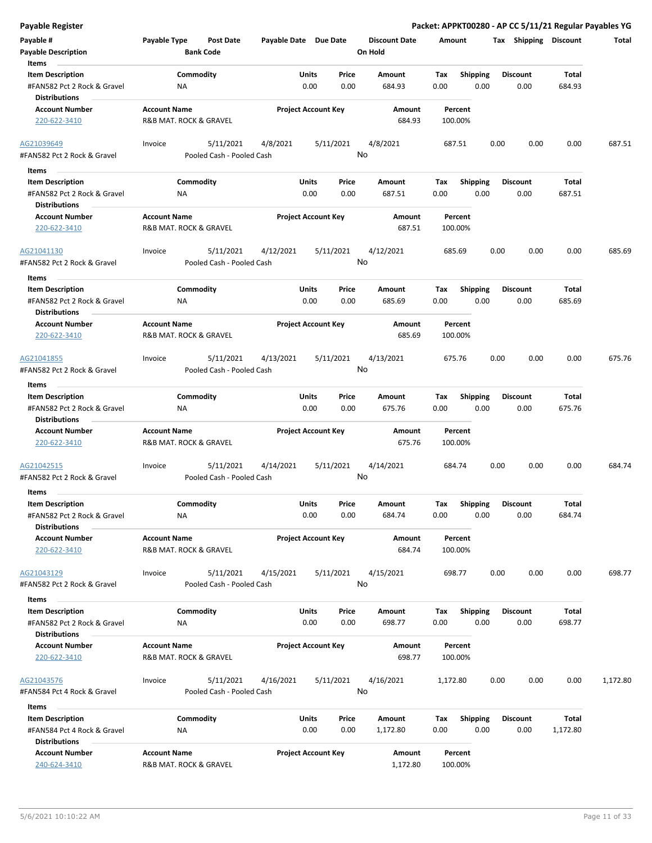| Payable #                                                                      | Payable Type                                  | <b>Post Date</b>                       | Payable Date Due Date |                                       | <b>Discount Date</b> | Amount             |                         |      | Tax Shipping Discount   |                   | Total    |
|--------------------------------------------------------------------------------|-----------------------------------------------|----------------------------------------|-----------------------|---------------------------------------|----------------------|--------------------|-------------------------|------|-------------------------|-------------------|----------|
| <b>Payable Description</b><br>Items                                            |                                               | <b>Bank Code</b>                       |                       |                                       | On Hold              |                    |                         |      |                         |                   |          |
| <b>Item Description</b>                                                        |                                               | Commodity                              |                       | Units<br>Price                        | Amount               | Tax                | <b>Shipping</b>         |      | <b>Discount</b>         | Total             |          |
| #FAN582 Pct 2 Rock & Gravel<br><b>Distributions</b>                            | ΝA                                            |                                        |                       | 0.00<br>0.00                          | 684.93               | 0.00               | 0.00                    |      | 0.00                    | 684.93            |          |
| <b>Account Number</b>                                                          | <b>Account Name</b>                           |                                        |                       | <b>Project Account Key</b>            | Amount               | Percent            |                         |      |                         |                   |          |
| 220-622-3410                                                                   | R&B MAT. ROCK & GRAVEL                        |                                        |                       |                                       | 684.93               | 100.00%            |                         |      |                         |                   |          |
| AG21039649<br>#FAN582 Pct 2 Rock & Gravel                                      | Invoice                                       | 5/11/2021<br>Pooled Cash - Pooled Cash | 4/8/2021              | 5/11/2021                             | 4/8/2021<br>No       | 687.51             |                         | 0.00 | 0.00                    | 0.00              | 687.51   |
|                                                                                |                                               |                                        |                       |                                       |                      |                    |                         |      |                         |                   |          |
| Items                                                                          |                                               |                                        |                       |                                       |                      |                    |                         |      |                         |                   |          |
| <b>Item Description</b>                                                        |                                               | Commodity                              |                       | Units<br>Price<br>0.00                | Amount               | Tax                | <b>Shipping</b>         |      | <b>Discount</b>         | Total<br>687.51   |          |
| #FAN582 Pct 2 Rock & Gravel<br><b>Distributions</b>                            | ΝA                                            |                                        |                       | 0.00                                  | 687.51               | 0.00               | 0.00                    |      | 0.00                    |                   |          |
| <b>Account Number</b><br>220-622-3410                                          | <b>Account Name</b><br>R&B MAT. ROCK & GRAVEL |                                        |                       | <b>Project Account Key</b>            | Amount<br>687.51     | Percent<br>100.00% |                         |      |                         |                   |          |
| AG21041130                                                                     | Invoice                                       | 5/11/2021                              | 4/12/2021             | 5/11/2021                             | 4/12/2021            | 685.69             |                         | 0.00 | 0.00                    | 0.00              | 685.69   |
| #FAN582 Pct 2 Rock & Gravel<br>Items                                           |                                               | Pooled Cash - Pooled Cash              |                       |                                       | No                   |                    |                         |      |                         |                   |          |
| <b>Item Description</b>                                                        |                                               | Commodity                              |                       | Units<br>Price                        | Amount               | Tax                | <b>Shipping</b>         |      | <b>Discount</b>         | Total             |          |
| #FAN582 Pct 2 Rock & Gravel<br><b>Distributions</b>                            | NA                                            |                                        |                       | 0.00<br>0.00                          | 685.69               | 0.00               | 0.00                    |      | 0.00                    | 685.69            |          |
| <b>Account Number</b><br>220-622-3410                                          | <b>Account Name</b><br>R&B MAT. ROCK & GRAVEL |                                        |                       | <b>Project Account Key</b>            | Amount<br>685.69     | Percent<br>100.00% |                         |      |                         |                   |          |
| AG21041855                                                                     | Invoice                                       | 5/11/2021                              | 4/13/2021             | 5/11/2021                             | 4/13/2021            | 675.76             |                         | 0.00 | 0.00                    | 0.00              | 675.76   |
| #FAN582 Pct 2 Rock & Gravel<br>Items                                           |                                               | Pooled Cash - Pooled Cash              |                       |                                       | No                   |                    |                         |      |                         |                   |          |
| <b>Item Description</b>                                                        |                                               | Commodity                              |                       | Units<br>Price                        | Amount               | Tax                | <b>Shipping</b>         |      | Discount                | Total             |          |
| #FAN582 Pct 2 Rock & Gravel<br><b>Distributions</b>                            | ΝA                                            |                                        |                       | 0.00<br>0.00                          | 675.76               | 0.00               | 0.00                    |      | 0.00                    | 675.76            |          |
| <b>Account Number</b><br>220-622-3410                                          | <b>Account Name</b><br>R&B MAT. ROCK & GRAVEL |                                        |                       | <b>Project Account Key</b>            | Amount<br>675.76     | Percent<br>100.00% |                         |      |                         |                   |          |
| AG21042515<br>#FAN582 Pct 2 Rock & Gravel                                      | Invoice                                       | 5/11/2021<br>Pooled Cash - Pooled Cash | 4/14/2021             | 5/11/2021                             | 4/14/2021<br>No      | 684.74             |                         | 0.00 | 0.00                    | 0.00              | 684.74   |
| Items                                                                          |                                               |                                        |                       |                                       |                      |                    |                         |      |                         |                   |          |
| <b>Item Description</b><br>#FAN582 Pct 2 Rock & Gravel<br><b>Distributions</b> | <b>NA</b>                                     | Commodity                              |                       | <b>Units</b><br>Price<br>0.00<br>0.00 | Amount<br>684.74     | Tax<br>0.00        | <b>Shipping</b><br>0.00 |      | <b>Discount</b><br>0.00 | Total<br>684.74   |          |
| <b>Account Number</b><br>220-622-3410                                          | <b>Account Name</b><br>R&B MAT. ROCK & GRAVEL |                                        |                       | <b>Project Account Key</b>            | Amount<br>684.74     | Percent<br>100.00% |                         |      |                         |                   |          |
| AG21043129<br>#FAN582 Pct 2 Rock & Gravel                                      | Invoice                                       | 5/11/2021<br>Pooled Cash - Pooled Cash | 4/15/2021             | 5/11/2021                             | 4/15/2021<br>No      | 698.77             |                         | 0.00 | 0.00                    | 0.00              | 698.77   |
| Items                                                                          |                                               |                                        |                       |                                       |                      |                    |                         |      |                         |                   |          |
| <b>Item Description</b><br>#FAN582 Pct 2 Rock & Gravel                         | ΝA                                            | Commodity                              |                       | Units<br>Price<br>0.00<br>0.00        | Amount<br>698.77     | Tax<br>0.00        | <b>Shipping</b><br>0.00 |      | <b>Discount</b><br>0.00 | Total<br>698.77   |          |
| <b>Distributions</b>                                                           |                                               |                                        |                       |                                       |                      |                    |                         |      |                         |                   |          |
| <b>Account Number</b><br>220-622-3410                                          | <b>Account Name</b><br>R&B MAT. ROCK & GRAVEL |                                        |                       | <b>Project Account Key</b>            | Amount<br>698.77     | Percent<br>100.00% |                         |      |                         |                   |          |
| AG21043576<br>#FAN584 Pct 4 Rock & Gravel                                      | Invoice                                       | 5/11/2021<br>Pooled Cash - Pooled Cash | 4/16/2021             | 5/11/2021                             | 4/16/2021<br>No      | 1,172.80           |                         | 0.00 | 0.00                    | 0.00              | 1,172.80 |
| Items                                                                          |                                               |                                        |                       |                                       |                      |                    |                         |      |                         |                   |          |
| <b>Item Description</b><br>#FAN584 Pct 4 Rock & Gravel                         | ΝA                                            | Commodity                              |                       | Units<br>Price<br>0.00<br>0.00        | Amount<br>1,172.80   | Tax<br>0.00        | <b>Shipping</b><br>0.00 |      | <b>Discount</b><br>0.00 | Total<br>1,172.80 |          |
| <b>Distributions</b>                                                           |                                               |                                        |                       |                                       |                      |                    |                         |      |                         |                   |          |
| <b>Account Number</b><br>240-624-3410                                          | <b>Account Name</b><br>R&B MAT. ROCK & GRAVEL |                                        |                       | <b>Project Account Key</b>            | Amount<br>1,172.80   | Percent<br>100.00% |                         |      |                         |                   |          |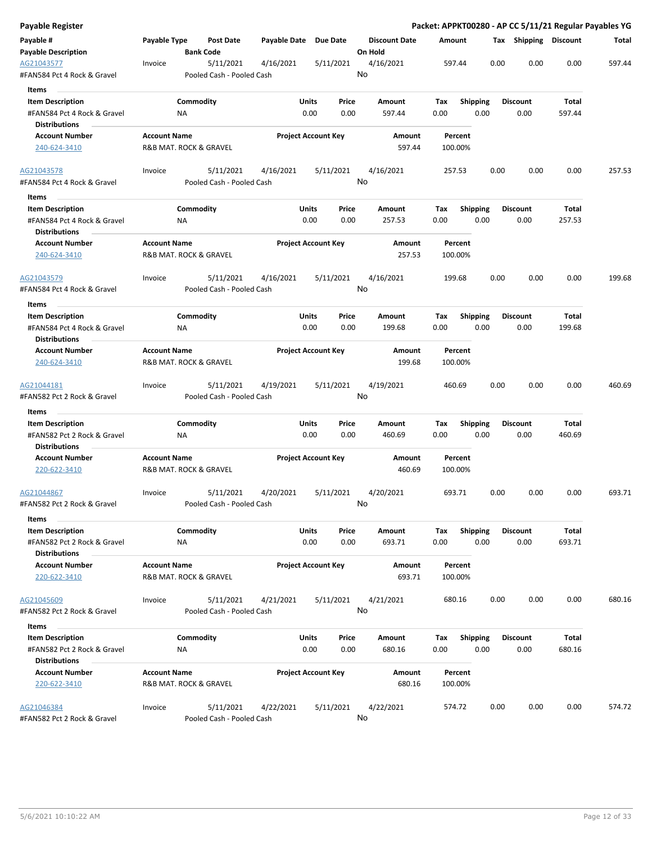| Payable Register                                    |                                               |                  |                                        |                       |                            |           |                      |        |                    |      |      |                       |        | Packet: APPKT00280 - AP CC 5/11/21 Regular Payables YG |
|-----------------------------------------------------|-----------------------------------------------|------------------|----------------------------------------|-----------------------|----------------------------|-----------|----------------------|--------|--------------------|------|------|-----------------------|--------|--------------------------------------------------------|
| Payable #                                           | Payable Type                                  |                  | <b>Post Date</b>                       | Payable Date Due Date |                            |           | <b>Discount Date</b> | Amount |                    |      |      | Tax Shipping Discount |        | Total                                                  |
| <b>Payable Description</b>                          |                                               | <b>Bank Code</b> |                                        |                       |                            |           | On Hold              |        |                    |      |      |                       |        |                                                        |
| AG21043577<br>#FAN584 Pct 4 Rock & Gravel           | Invoice                                       |                  | 5/11/2021<br>Pooled Cash - Pooled Cash | 4/16/2021             |                            | 5/11/2021 | 4/16/2021<br>No      |        | 597.44             |      | 0.00 | 0.00                  | 0.00   | 597.44                                                 |
| Items                                               |                                               |                  |                                        |                       |                            |           |                      |        |                    |      |      |                       |        |                                                        |
| <b>Item Description</b>                             |                                               | Commodity        |                                        |                       | Units                      | Price     | Amount               | Tax    | <b>Shipping</b>    |      |      | <b>Discount</b>       | Total  |                                                        |
| #FAN584 Pct 4 Rock & Gravel                         |                                               | ΝA               |                                        |                       | 0.00                       | 0.00      | 597.44               | 0.00   |                    | 0.00 |      | 0.00                  | 597.44 |                                                        |
| <b>Distributions</b>                                |                                               |                  |                                        |                       |                            |           |                      |        |                    |      |      |                       |        |                                                        |
| <b>Account Number</b>                               | <b>Account Name</b>                           |                  |                                        |                       | <b>Project Account Key</b> |           | Amount               |        | Percent            |      |      |                       |        |                                                        |
| 240-624-3410                                        | R&B MAT. ROCK & GRAVEL                        |                  |                                        |                       |                            |           | 597.44               |        | 100.00%            |      |      |                       |        |                                                        |
| AG21043578                                          | Invoice                                       |                  | 5/11/2021                              | 4/16/2021             |                            | 5/11/2021 | 4/16/2021            |        | 257.53             |      | 0.00 | 0.00                  | 0.00   | 257.53                                                 |
| #FAN584 Pct 4 Rock & Gravel<br>Items                |                                               |                  | Pooled Cash - Pooled Cash              |                       |                            |           | No                   |        |                    |      |      |                       |        |                                                        |
| <b>Item Description</b>                             |                                               | Commodity        |                                        |                       | Units                      | Price     | Amount               | Tax    | <b>Shipping</b>    |      |      | <b>Discount</b>       | Total  |                                                        |
| #FAN584 Pct 4 Rock & Gravel<br><b>Distributions</b> |                                               | NA               |                                        |                       | 0.00                       | 0.00      | 257.53               | 0.00   |                    | 0.00 |      | 0.00                  | 257.53 |                                                        |
| <b>Account Number</b><br>240-624-3410               | <b>Account Name</b><br>R&B MAT. ROCK & GRAVEL |                  |                                        |                       | <b>Project Account Key</b> |           | Amount<br>257.53     |        | Percent<br>100.00% |      |      |                       |        |                                                        |
| AG21043579                                          | Invoice                                       |                  | 5/11/2021                              | 4/16/2021             |                            | 5/11/2021 | 4/16/2021            |        | 199.68             |      | 0.00 | 0.00                  | 0.00   | 199.68                                                 |
| #FAN584 Pct 4 Rock & Gravel                         |                                               |                  | Pooled Cash - Pooled Cash              |                       |                            |           | No                   |        |                    |      |      |                       |        |                                                        |
| Items                                               |                                               |                  |                                        |                       |                            |           |                      |        |                    |      |      |                       |        |                                                        |
| <b>Item Description</b>                             |                                               | Commodity        |                                        |                       | Units                      | Price     | Amount               | Tax    | <b>Shipping</b>    |      |      | <b>Discount</b>       | Total  |                                                        |
| #FAN584 Pct 4 Rock & Gravel<br><b>Distributions</b> |                                               | ΝA               |                                        |                       | 0.00                       | 0.00      | 199.68               | 0.00   |                    | 0.00 |      | 0.00                  | 199.68 |                                                        |
| <b>Account Number</b>                               | <b>Account Name</b>                           |                  |                                        |                       | <b>Project Account Key</b> |           | Amount               |        | Percent            |      |      |                       |        |                                                        |
| 240-624-3410                                        | R&B MAT. ROCK & GRAVEL                        |                  |                                        |                       |                            |           | 199.68               |        | 100.00%            |      |      |                       |        |                                                        |
| AG21044181<br>#FAN582 Pct 2 Rock & Gravel           | Invoice                                       |                  | 5/11/2021<br>Pooled Cash - Pooled Cash | 4/19/2021             |                            | 5/11/2021 | 4/19/2021<br>No      |        | 460.69             |      | 0.00 | 0.00                  | 0.00   | 460.69                                                 |
| Items                                               |                                               |                  |                                        |                       |                            |           |                      |        |                    |      |      |                       |        |                                                        |
| <b>Item Description</b>                             |                                               | Commodity        |                                        |                       | Units                      | Price     | Amount               | Tax    | Shipping           |      |      | <b>Discount</b>       | Total  |                                                        |
| #FAN582 Pct 2 Rock & Gravel                         |                                               | ΝA               |                                        |                       | 0.00                       | 0.00      | 460.69               | 0.00   |                    | 0.00 |      | 0.00                  | 460.69 |                                                        |
| <b>Distributions</b>                                |                                               |                  |                                        |                       |                            |           |                      |        |                    |      |      |                       |        |                                                        |
| <b>Account Number</b><br>220-622-3410               | <b>Account Name</b><br>R&B MAT. ROCK & GRAVEL |                  |                                        |                       | <b>Project Account Key</b> |           | Amount<br>460.69     |        | Percent<br>100.00% |      |      |                       |        |                                                        |
| AG21044867                                          | Invoice                                       |                  | 5/11/2021                              | 4/20/2021             |                            | 5/11/2021 | 4/20/2021            |        | 693.71             |      | 0.00 | 0.00                  | 0.00   | 693.71                                                 |
| #FAN582 Pct 2 Rock & Gravel                         |                                               |                  | Pooled Cash - Pooled Cash              |                       |                            |           | No                   |        |                    |      |      |                       |        |                                                        |
| Items<br><b>Item Description</b>                    |                                               | Commodity        |                                        |                       | Units                      | Price     | Amount               | Tax    | Shipping           |      |      | <b>Discount</b>       | Total  |                                                        |
| #FAN582 Pct 2 Rock & Gravel<br><b>Distributions</b> |                                               | NA               |                                        |                       | 0.00                       | 0.00      | 693.71               | 0.00   |                    | 0.00 |      | 0.00                  | 693.71 |                                                        |
| <b>Account Number</b><br>220-622-3410               | <b>Account Name</b><br>R&B MAT. ROCK & GRAVEL |                  |                                        |                       | <b>Project Account Key</b> |           | Amount<br>693.71     |        | Percent<br>100.00% |      |      |                       |        |                                                        |
|                                                     |                                               |                  |                                        |                       |                            |           |                      |        |                    |      |      |                       |        |                                                        |
| AG21045609<br>#FAN582 Pct 2 Rock & Gravel           | Invoice                                       |                  | 5/11/2021<br>Pooled Cash - Pooled Cash | 4/21/2021             |                            | 5/11/2021 | 4/21/2021<br>No      |        | 680.16             |      | 0.00 | 0.00                  | 0.00   | 680.16                                                 |
| Items                                               |                                               |                  |                                        |                       |                            |           |                      |        |                    |      |      |                       |        |                                                        |
| <b>Item Description</b>                             |                                               | Commodity        |                                        |                       | Units                      | Price     | Amount               | Tax    | <b>Shipping</b>    |      |      | <b>Discount</b>       | Total  |                                                        |
| #FAN582 Pct 2 Rock & Gravel<br><b>Distributions</b> |                                               | ΝA               |                                        |                       | 0.00                       | 0.00      | 680.16               | 0.00   |                    | 0.00 |      | 0.00                  | 680.16 |                                                        |
| <b>Account Number</b>                               | <b>Account Name</b>                           |                  |                                        |                       | <b>Project Account Key</b> |           | Amount               |        | Percent            |      |      |                       |        |                                                        |
| 220-622-3410                                        | R&B MAT. ROCK & GRAVEL                        |                  |                                        |                       |                            |           | 680.16               |        | 100.00%            |      |      |                       |        |                                                        |
| AG21046384                                          | Invoice                                       |                  | 5/11/2021                              | 4/22/2021             |                            | 5/11/2021 | 4/22/2021            |        | 574.72             |      | 0.00 | 0.00                  | 0.00   | 574.72                                                 |
| #FAN582 Pct 2 Rock & Gravel                         |                                               |                  | Pooled Cash - Pooled Cash              |                       |                            |           | No                   |        |                    |      |      |                       |        |                                                        |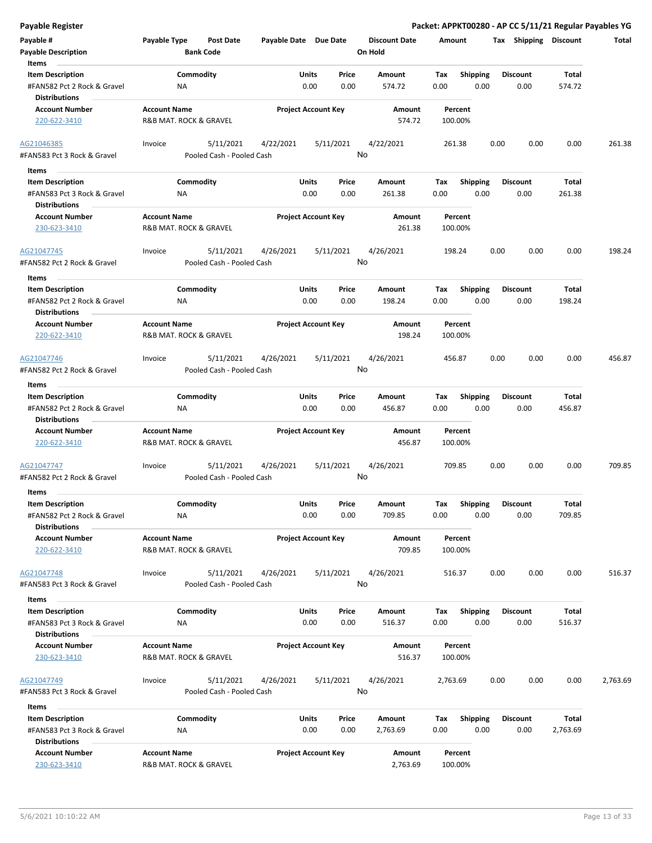|  | Payable Register |
|--|------------------|
|--|------------------|

| Payable #                                           | Payable Type           | Post Date                              | Payable Date Due Date |                            | <b>Discount Date</b> | Amount   |                 | Tax  | Shipping        | Discount | Total    |
|-----------------------------------------------------|------------------------|----------------------------------------|-----------------------|----------------------------|----------------------|----------|-----------------|------|-----------------|----------|----------|
| Payable Description<br>Items                        |                        | <b>Bank Code</b>                       |                       |                            | On Hold              |          |                 |      |                 |          |          |
| <b>Item Description</b>                             |                        | Commodity                              |                       | Units<br>Price             | Amount               | Tax      | <b>Shipping</b> |      | <b>Discount</b> | Total    |          |
| #FAN582 Pct 2 Rock & Gravel<br><b>Distributions</b> | ΝA                     |                                        |                       | 0.00<br>0.00               | 574.72               | 0.00     | 0.00            |      | 0.00            | 574.72   |          |
| <b>Account Number</b>                               | <b>Account Name</b>    |                                        |                       | <b>Project Account Key</b> | Amount               | Percent  |                 |      |                 |          |          |
| 220-622-3410                                        | R&B MAT. ROCK & GRAVEL |                                        |                       |                            | 574.72               | 100.00%  |                 |      |                 |          |          |
| AG21046385                                          | Invoice                | 5/11/2021                              | 4/22/2021             | 5/11/2021                  | 4/22/2021            | 261.38   |                 | 0.00 | 0.00            | 0.00     | 261.38   |
| #FAN583 Pct 3 Rock & Gravel                         |                        | Pooled Cash - Pooled Cash              |                       |                            | No                   |          |                 |      |                 |          |          |
| Items                                               |                        |                                        |                       |                            |                      |          |                 |      |                 |          |          |
| <b>Item Description</b>                             |                        | Commodity                              |                       | Units<br>Price             | Amount               | Tax      | <b>Shipping</b> |      | <b>Discount</b> | Total    |          |
| #FAN583 Pct 3 Rock & Gravel                         | ΝA                     |                                        |                       | 0.00<br>0.00               | 261.38               | 0.00     | 0.00            |      | 0.00            | 261.38   |          |
| <b>Distributions</b>                                |                        |                                        |                       |                            |                      |          |                 |      |                 |          |          |
| <b>Account Number</b>                               | <b>Account Name</b>    |                                        |                       | <b>Project Account Key</b> | Amount               | Percent  |                 |      |                 |          |          |
| 230-623-3410                                        | R&B MAT. ROCK & GRAVEL |                                        |                       |                            | 261.38               | 100.00%  |                 |      |                 |          |          |
| AG21047745                                          | Invoice                | 5/11/2021                              | 4/26/2021             | 5/11/2021                  | 4/26/2021            | 198.24   |                 | 0.00 | 0.00            | 0.00     | 198.24   |
| #FAN582 Pct 2 Rock & Gravel                         |                        | Pooled Cash - Pooled Cash              |                       |                            | No                   |          |                 |      |                 |          |          |
| Items                                               |                        |                                        |                       |                            |                      |          |                 |      |                 |          |          |
| <b>Item Description</b>                             |                        | Commodity                              |                       | Units<br>Price             | Amount               | Tax      | <b>Shipping</b> |      | <b>Discount</b> | Total    |          |
| #FAN582 Pct 2 Rock & Gravel<br><b>Distributions</b> | <b>NA</b>              |                                        |                       | 0.00<br>0.00               | 198.24               | 0.00     | 0.00            |      | 0.00            | 198.24   |          |
| <b>Account Number</b>                               | <b>Account Name</b>    |                                        |                       | <b>Project Account Key</b> | Amount               | Percent  |                 |      |                 |          |          |
| 220-622-3410                                        | R&B MAT. ROCK & GRAVEL |                                        |                       |                            | 198.24               | 100.00%  |                 |      |                 |          |          |
| AG21047746                                          | Invoice                | 5/11/2021                              | 4/26/2021             | 5/11/2021                  | 4/26/2021            | 456.87   |                 | 0.00 | 0.00            | 0.00     | 456.87   |
| #FAN582 Pct 2 Rock & Gravel                         |                        | Pooled Cash - Pooled Cash              |                       |                            | No                   |          |                 |      |                 |          |          |
| Items                                               |                        |                                        |                       |                            |                      |          |                 |      |                 |          |          |
| <b>Item Description</b>                             |                        | Commodity                              |                       | <b>Units</b><br>Price      | Amount               | Tax      | <b>Shipping</b> |      | <b>Discount</b> | Total    |          |
| #FAN582 Pct 2 Rock & Gravel<br><b>Distributions</b> | ΝA                     |                                        |                       | 0.00<br>0.00               | 456.87               | 0.00     | 0.00            |      | 0.00            | 456.87   |          |
| <b>Account Number</b>                               | <b>Account Name</b>    |                                        |                       | <b>Project Account Key</b> | Amount               | Percent  |                 |      |                 |          |          |
| 220-622-3410                                        | R&B MAT. ROCK & GRAVEL |                                        |                       |                            | 456.87               | 100.00%  |                 |      |                 |          |          |
| AG21047747<br>#FAN582 Pct 2 Rock & Gravel           | Invoice                | 5/11/2021<br>Pooled Cash - Pooled Cash | 4/26/2021             | 5/11/2021                  | 4/26/2021<br>No      | 709.85   |                 | 0.00 | 0.00            | 0.00     | 709.85   |
| Items                                               |                        |                                        |                       |                            |                      |          |                 |      |                 |          |          |
| <b>Item Description</b>                             |                        | Commodity                              |                       | Units<br>Price             | Amount               | Tax      | <b>Shipping</b> |      | <b>Discount</b> | Total    |          |
| #FAN582 Pct 2 Rock & Gravel<br><b>Distributions</b> | ΝA                     |                                        |                       | 0.00<br>0.00               | 709.85               | 0.00     | 0.00            |      | 0.00            | 709.85   |          |
| <b>Account Number</b>                               | <b>Account Name</b>    |                                        |                       | <b>Project Account Key</b> | Amount               | Percent  |                 |      |                 |          |          |
| 220-622-3410                                        | R&B MAT. ROCK & GRAVEL |                                        |                       |                            | 709.85               | 100.00%  |                 |      |                 |          |          |
| AG21047748                                          | Invoice                | 5/11/2021                              | 4/26/2021             | 5/11/2021                  | 4/26/2021            | 516.37   |                 | 0.00 | 0.00            | 0.00     | 516.37   |
| #FAN583 Pct 3 Rock & Gravel                         |                        | Pooled Cash - Pooled Cash              |                       |                            | No                   |          |                 |      |                 |          |          |
| Items                                               |                        |                                        |                       |                            |                      |          |                 |      |                 |          |          |
| <b>Item Description</b>                             |                        | Commodity                              |                       | Units<br>Price             | Amount               | Тах      | <b>Shipping</b> |      | <b>Discount</b> | Total    |          |
| #FAN583 Pct 3 Rock & Gravel<br><b>Distributions</b> | ΝA                     |                                        |                       | 0.00<br>0.00               | 516.37               | 0.00     | 0.00            |      | 0.00            | 516.37   |          |
| <b>Account Number</b>                               | <b>Account Name</b>    |                                        |                       | <b>Project Account Key</b> | Amount               | Percent  |                 |      |                 |          |          |
| 230-623-3410                                        | R&B MAT. ROCK & GRAVEL |                                        |                       |                            | 516.37               | 100.00%  |                 |      |                 |          |          |
| AG21047749                                          | Invoice                | 5/11/2021                              | 4/26/2021             | 5/11/2021                  | 4/26/2021            | 2,763.69 |                 | 0.00 | 0.00            | 0.00     | 2,763.69 |
| #FAN583 Pct 3 Rock & Gravel                         |                        | Pooled Cash - Pooled Cash              |                       |                            | No                   |          |                 |      |                 |          |          |
| Items                                               |                        |                                        |                       |                            |                      |          |                 |      |                 |          |          |
| <b>Item Description</b>                             |                        | Commodity                              |                       | Units<br>Price             | Amount               | Tax      | <b>Shipping</b> |      | <b>Discount</b> | Total    |          |
| #FAN583 Pct 3 Rock & Gravel<br><b>Distributions</b> | ΝA                     |                                        |                       | 0.00<br>0.00               | 2,763.69             | 0.00     | 0.00            |      | 0.00            | 2,763.69 |          |
| <b>Account Number</b>                               | <b>Account Name</b>    |                                        |                       | <b>Project Account Key</b> | Amount               | Percent  |                 |      |                 |          |          |
| 230-623-3410                                        | R&B MAT. ROCK & GRAVEL |                                        |                       |                            | 2,763.69             | 100.00%  |                 |      |                 |          |          |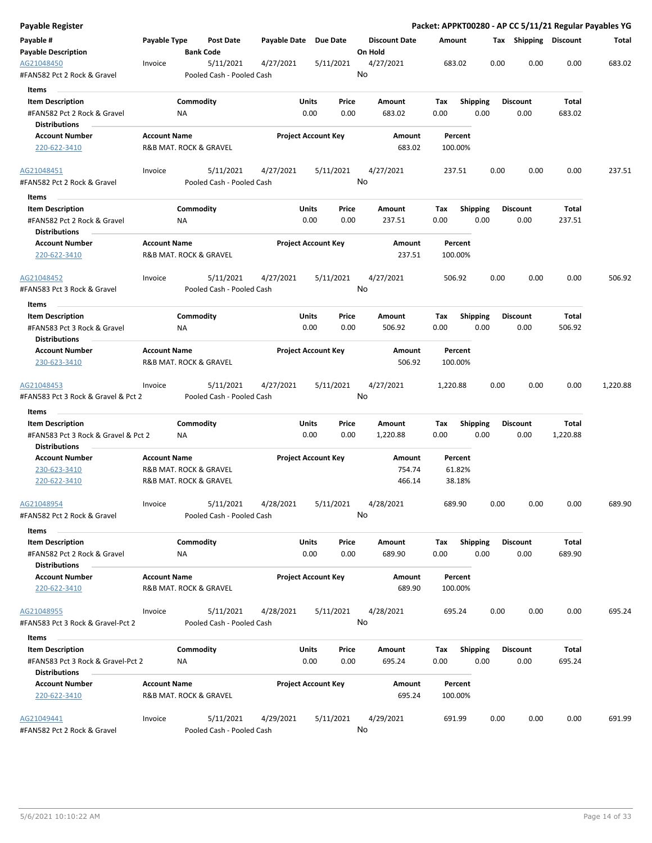| Payable Register                                            |                                               |                  |                                        |                       |                            |           |         |                      |          |                    |      | Packet: APPKT00280 - AP CC 5/11/21 Regular Payables YG |          |          |
|-------------------------------------------------------------|-----------------------------------------------|------------------|----------------------------------------|-----------------------|----------------------------|-----------|---------|----------------------|----------|--------------------|------|--------------------------------------------------------|----------|----------|
| Payable #<br><b>Payable Description</b>                     | Payable Type                                  | <b>Bank Code</b> | Post Date                              | Payable Date Due Date |                            |           | On Hold | <b>Discount Date</b> | Amount   |                    |      | Tax Shipping Discount                                  |          | Total    |
| AG21048450<br>#FAN582 Pct 2 Rock & Gravel                   | Invoice                                       |                  | 5/11/2021<br>Pooled Cash - Pooled Cash | 4/27/2021             |                            | 5/11/2021 | No      | 4/27/2021            |          | 683.02             | 0.00 | 0.00                                                   | 0.00     | 683.02   |
| <b>Items</b>                                                |                                               |                  |                                        |                       |                            |           |         |                      |          |                    |      |                                                        |          |          |
| <b>Item Description</b>                                     |                                               | Commodity        |                                        |                       | Units                      | Price     |         | Amount               | Tax      | <b>Shipping</b>    |      | <b>Discount</b>                                        | Total    |          |
| #FAN582 Pct 2 Rock & Gravel                                 |                                               | ΝA               |                                        |                       | 0.00                       | 0.00      |         | 683.02               | 0.00     |                    | 0.00 | 0.00                                                   | 683.02   |          |
| <b>Distributions</b>                                        |                                               |                  |                                        |                       |                            |           |         |                      |          |                    |      |                                                        |          |          |
| <b>Account Number</b>                                       | <b>Account Name</b>                           |                  |                                        |                       | <b>Project Account Key</b> |           |         | Amount               |          | Percent            |      |                                                        |          |          |
| 220-622-3410                                                | R&B MAT. ROCK & GRAVEL                        |                  |                                        |                       |                            |           |         | 683.02               |          | 100.00%            |      |                                                        |          |          |
| AG21048451                                                  | Invoice                                       |                  | 5/11/2021                              | 4/27/2021             |                            | 5/11/2021 |         | 4/27/2021            |          | 237.51             | 0.00 | 0.00                                                   | 0.00     | 237.51   |
| #FAN582 Pct 2 Rock & Gravel                                 |                                               |                  | Pooled Cash - Pooled Cash              |                       |                            |           | No      |                      |          |                    |      |                                                        |          |          |
| Items                                                       |                                               |                  |                                        |                       |                            |           |         |                      |          |                    |      |                                                        |          |          |
| <b>Item Description</b>                                     |                                               | Commodity        |                                        |                       | Units                      | Price     |         | Amount               | Tax      | <b>Shipping</b>    |      | <b>Discount</b>                                        | Total    |          |
| #FAN582 Pct 2 Rock & Gravel<br><b>Distributions</b>         |                                               | NA               |                                        |                       | 0.00                       | 0.00      |         | 237.51               | 0.00     |                    | 0.00 | 0.00                                                   | 237.51   |          |
| <b>Account Number</b>                                       | <b>Account Name</b>                           |                  |                                        |                       | <b>Project Account Key</b> |           |         | <b>Amount</b>        |          | Percent            |      |                                                        |          |          |
| 220-622-3410                                                | R&B MAT. ROCK & GRAVEL                        |                  |                                        |                       |                            |           |         | 237.51               |          | 100.00%            |      |                                                        |          |          |
| AG21048452                                                  | Invoice                                       |                  | 5/11/2021                              | 4/27/2021             |                            | 5/11/2021 |         | 4/27/2021            |          | 506.92             | 0.00 | 0.00                                                   | 0.00     | 506.92   |
| #FAN583 Pct 3 Rock & Gravel                                 |                                               |                  | Pooled Cash - Pooled Cash              |                       |                            |           | No      |                      |          |                    |      |                                                        |          |          |
| Items                                                       |                                               |                  |                                        |                       |                            |           |         |                      |          |                    |      |                                                        |          |          |
| <b>Item Description</b>                                     |                                               | Commodity        |                                        |                       | Units                      | Price     |         | Amount               | Tax      | <b>Shipping</b>    |      | <b>Discount</b>                                        | Total    |          |
| #FAN583 Pct 3 Rock & Gravel<br><b>Distributions</b>         |                                               | ΝA               |                                        |                       | 0.00                       | 0.00      |         | 506.92               | 0.00     |                    | 0.00 | 0.00                                                   | 506.92   |          |
| <b>Account Number</b>                                       | <b>Account Name</b>                           |                  |                                        |                       | <b>Project Account Key</b> |           |         | Amount               |          | Percent            |      |                                                        |          |          |
| 230-623-3410                                                | R&B MAT. ROCK & GRAVEL                        |                  |                                        |                       |                            |           |         | 506.92               |          | 100.00%            |      |                                                        |          |          |
| AG21048453                                                  | Invoice                                       |                  | 5/11/2021                              | 4/27/2021             |                            | 5/11/2021 |         | 4/27/2021            | 1,220.88 |                    | 0.00 | 0.00                                                   | 0.00     | 1,220.88 |
| #FAN583 Pct 3 Rock & Gravel & Pct 2                         |                                               |                  | Pooled Cash - Pooled Cash              |                       |                            |           | No      |                      |          |                    |      |                                                        |          |          |
| Items                                                       |                                               |                  |                                        |                       |                            |           |         |                      |          |                    |      |                                                        |          |          |
| <b>Item Description</b>                                     |                                               | Commodity        |                                        |                       | Units                      | Price     |         | Amount               | Tax      | <b>Shipping</b>    |      | <b>Discount</b>                                        | Total    |          |
| #FAN583 Pct 3 Rock & Gravel & Pct 2<br><b>Distributions</b> |                                               | ΝA               |                                        |                       | 0.00                       | 0.00      |         | 1,220.88             | 0.00     |                    | 0.00 | 0.00                                                   | 1,220.88 |          |
| <b>Account Number</b>                                       | <b>Account Name</b>                           |                  |                                        |                       | <b>Project Account Key</b> |           |         | Amount               |          | Percent            |      |                                                        |          |          |
| 230-623-3410                                                | R&B MAT. ROCK & GRAVEL                        |                  |                                        |                       |                            |           |         | 754.74               |          | 61.82%             |      |                                                        |          |          |
| 220-622-3410                                                | R&B MAT. ROCK & GRAVEL                        |                  |                                        |                       |                            |           |         | 466.14               |          | 38.18%             |      |                                                        |          |          |
| AG21048954                                                  | Invoice                                       |                  | 5/11/2021                              | 4/28/2021             |                            | 5/11/2021 |         | 4/28/2021            |          | 689.90             | 0.00 | 0.00                                                   | 0.00     | 689.90   |
| #FAN582 Pct 2 Rock & Gravel                                 |                                               |                  | Pooled Cash - Pooled Cash              |                       |                            |           | No      |                      |          |                    |      |                                                        |          |          |
| Items                                                       |                                               |                  |                                        |                       |                            |           |         |                      |          |                    |      |                                                        |          |          |
| <b>Item Description</b>                                     |                                               | Commodity        |                                        |                       | Units                      | Price     |         | Amount               | Tax      | <b>Shipping</b>    |      | <b>Discount</b>                                        | Total    |          |
| #FAN582 Pct 2 Rock & Gravel                                 |                                               | ΝA               |                                        |                       | 0.00                       | 0.00      |         | 689.90               | 0.00     |                    | 0.00 | 0.00                                                   | 689.90   |          |
| <b>Distributions</b>                                        |                                               |                  |                                        |                       |                            |           |         |                      |          |                    |      |                                                        |          |          |
| <b>Account Number</b>                                       | <b>Account Name</b>                           |                  |                                        |                       | <b>Project Account Key</b> |           |         | Amount               |          | Percent            |      |                                                        |          |          |
| 220-622-3410                                                | R&B MAT. ROCK & GRAVEL                        |                  |                                        |                       |                            |           |         | 689.90               |          | 100.00%            |      |                                                        |          |          |
| AG21048955                                                  | Invoice                                       |                  | 5/11/2021                              | 4/28/2021             |                            | 5/11/2021 |         | 4/28/2021            |          | 695.24             | 0.00 | 0.00                                                   | 0.00     | 695.24   |
| #FAN583 Pct 3 Rock & Gravel-Pct 2                           |                                               |                  | Pooled Cash - Pooled Cash              |                       |                            |           | No      |                      |          |                    |      |                                                        |          |          |
| Items                                                       |                                               |                  |                                        |                       |                            |           |         |                      |          |                    |      |                                                        |          |          |
| <b>Item Description</b>                                     |                                               | Commodity        |                                        |                       | Units                      | Price     |         | Amount               | Tax      | <b>Shipping</b>    |      | <b>Discount</b>                                        | Total    |          |
| #FAN583 Pct 3 Rock & Gravel-Pct 2<br><b>Distributions</b>   |                                               | NA               |                                        |                       | 0.00                       | 0.00      |         | 695.24               | 0.00     |                    | 0.00 | 0.00                                                   | 695.24   |          |
|                                                             |                                               |                  |                                        |                       |                            |           |         |                      |          |                    |      |                                                        |          |          |
| <b>Account Number</b><br>220-622-3410                       | <b>Account Name</b><br>R&B MAT. ROCK & GRAVEL |                  |                                        |                       | <b>Project Account Key</b> |           |         | Amount<br>695.24     |          | Percent<br>100.00% |      |                                                        |          |          |
| AG21049441                                                  | Invoice                                       |                  | 5/11/2021                              | 4/29/2021             |                            | 5/11/2021 |         | 4/29/2021            |          | 691.99             | 0.00 | 0.00                                                   | 0.00     | 691.99   |
| #FAN582 Pct 2 Rock & Gravel                                 |                                               |                  | Pooled Cash - Pooled Cash              |                       |                            |           | No      |                      |          |                    |      |                                                        |          |          |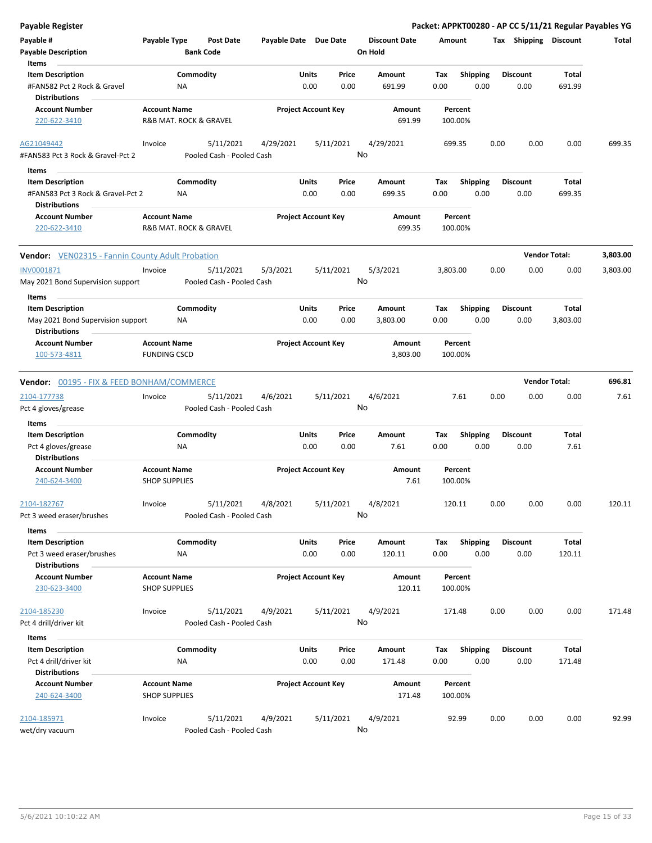| <b>Payable Register</b>                                                              |                                             |                                      |                                       |               |                            |                                 |             |                         |      |                         | Packet: APPKT00280 - AP CC 5/11/21 Regular Payables YG |          |
|--------------------------------------------------------------------------------------|---------------------------------------------|--------------------------------------|---------------------------------------|---------------|----------------------------|---------------------------------|-------------|-------------------------|------|-------------------------|--------------------------------------------------------|----------|
| Payable #<br><b>Payable Description</b>                                              | Payable Type                                | <b>Post Date</b><br><b>Bank Code</b> |                                       |               | Payable Date Due Date      | <b>Discount Date</b><br>On Hold | Amount      |                         |      | Tax Shipping Discount   |                                                        | Total    |
| Items<br><b>Item Description</b><br>#FAN582 Pct 2 Rock & Gravel                      |                                             | Commodity<br>NA                      |                                       | Units<br>0.00 | Price<br>0.00              | Amount<br>691.99                | Tax<br>0.00 | <b>Shipping</b><br>0.00 |      | <b>Discount</b><br>0.00 | Total<br>691.99                                        |          |
| <b>Distributions</b><br><b>Account Number</b><br>220-622-3410                        | <b>Account Name</b>                         | R&B MAT. ROCK & GRAVEL               |                                       |               | <b>Project Account Key</b> | Amount<br>691.99                | 100.00%     | Percent                 |      |                         |                                                        |          |
| AG21049442                                                                           | Invoice                                     | 5/11/2021                            | 4/29/2021                             |               | 5/11/2021                  | 4/29/2021                       | 699.35      |                         | 0.00 | 0.00                    | 0.00                                                   | 699.35   |
| #FAN583 Pct 3 Rock & Gravel-Pct 2                                                    |                                             |                                      | Pooled Cash - Pooled Cash             |               |                            | No                              |             |                         |      |                         |                                                        |          |
| Items                                                                                |                                             |                                      |                                       |               |                            |                                 |             |                         |      |                         |                                                        |          |
| <b>Item Description</b><br>#FAN583 Pct 3 Rock & Gravel-Pct 2<br><b>Distributions</b> |                                             | Commodity<br><b>NA</b>               |                                       | Units<br>0.00 | Price<br>0.00              | Amount<br>699.35                | Tax<br>0.00 | <b>Shipping</b><br>0.00 |      | <b>Discount</b><br>0.00 | Total<br>699.35                                        |          |
| <b>Account Number</b><br>220-622-3410                                                | <b>Account Name</b>                         | R&B MAT. ROCK & GRAVEL               |                                       |               | <b>Project Account Key</b> | Amount<br>699.35                | 100.00%     | Percent                 |      |                         |                                                        |          |
| <b>Vendor:</b> VEN02315 - Fannin County Adult Probation                              |                                             |                                      |                                       |               |                            |                                 |             |                         |      |                         | <b>Vendor Total:</b>                                   | 3,803.00 |
| INV0001871<br>May 2021 Bond Supervision support                                      | Invoice                                     | 5/11/2021                            | 5/3/2021<br>Pooled Cash - Pooled Cash |               | 5/11/2021                  | 5/3/2021<br>No                  | 3,803.00    |                         | 0.00 | 0.00                    | 0.00                                                   | 3,803.00 |
| Items                                                                                |                                             |                                      |                                       |               |                            |                                 |             |                         |      |                         |                                                        |          |
| <b>Item Description</b><br>May 2021 Bond Supervision support                         |                                             | Commodity<br>ΝA                      |                                       | Units<br>0.00 | Price<br>0.00              | Amount<br>3,803.00              | Tax<br>0.00 | Shipping<br>0.00        |      | <b>Discount</b><br>0.00 | Total<br>3,803.00                                      |          |
| <b>Distributions</b>                                                                 |                                             |                                      |                                       |               |                            |                                 |             |                         |      |                         |                                                        |          |
| <b>Account Number</b><br>100-573-4811                                                | <b>Account Name</b><br><b>FUNDING CSCD</b>  |                                      |                                       |               | <b>Project Account Key</b> | Amount<br>3,803.00              | 100.00%     | Percent                 |      |                         |                                                        |          |
| <b>Vendor: 00195 - FIX &amp; FEED BONHAM/COMMERCE</b>                                |                                             |                                      |                                       |               |                            |                                 |             |                         |      |                         | <b>Vendor Total:</b>                                   | 696.81   |
| 2104-177738                                                                          | Invoice                                     | 5/11/2021                            | 4/6/2021                              |               | 5/11/2021                  | 4/6/2021                        |             | 7.61                    | 0.00 | 0.00                    | 0.00                                                   | 7.61     |
| Pct 4 gloves/grease                                                                  |                                             |                                      | Pooled Cash - Pooled Cash             |               |                            | No                              |             |                         |      |                         |                                                        |          |
| Items                                                                                |                                             |                                      |                                       |               |                            |                                 |             |                         |      |                         |                                                        |          |
| <b>Item Description</b><br>Pct 4 gloves/grease<br><b>Distributions</b>               |                                             | Commodity<br><b>NA</b>               |                                       | Units<br>0.00 | Price<br>0.00              | Amount<br>7.61                  | Tax<br>0.00 | <b>Shipping</b><br>0.00 |      | <b>Discount</b><br>0.00 | Total<br>7.61                                          |          |
| <b>Account Number</b><br>240-624-3400                                                | <b>Account Name</b><br><b>SHOP SUPPLIES</b> |                                      |                                       |               | <b>Project Account Key</b> | Amount<br>7.61                  | 100.00%     | Percent                 |      |                         |                                                        |          |
| 2104-182767<br>Pct 3 weed eraser/brushes                                             | Invoice                                     | 5/11/2021                            | 4/8/2021<br>Pooled Cash - Pooled Cash |               | 5/11/2021                  | 4/8/2021<br>No                  | 120.11      |                         | 0.00 | 0.00                    | 0.00                                                   | 120.11   |
| Items                                                                                |                                             |                                      |                                       |               |                            |                                 |             |                         |      |                         |                                                        |          |
| <b>Item Description</b><br>Pct 3 weed eraser/brushes<br><b>Distributions</b>         |                                             | Commodity<br>ΝA                      |                                       | Units<br>0.00 | Price<br>0.00              | Amount<br>120.11                | Tax<br>0.00 | Shipping<br>0.00        |      | <b>Discount</b><br>0.00 | Total<br>120.11                                        |          |
| <b>Account Number</b><br>230-623-3400                                                | <b>Account Name</b><br><b>SHOP SUPPLIES</b> |                                      |                                       |               | <b>Project Account Key</b> | Amount<br>120.11                | 100.00%     | Percent                 |      |                         |                                                        |          |
| 2104-185230<br>Pct 4 drill/driver kit                                                | Invoice                                     | 5/11/2021                            | 4/9/2021<br>Pooled Cash - Pooled Cash |               | 5/11/2021                  | 4/9/2021<br>No                  | 171.48      |                         | 0.00 | 0.00                    | 0.00                                                   | 171.48   |
| Items                                                                                |                                             |                                      |                                       |               |                            |                                 |             |                         |      |                         |                                                        |          |
| <b>Item Description</b><br>Pct 4 drill/driver kit<br><b>Distributions</b>            |                                             | Commodity<br>NA                      |                                       | Units<br>0.00 | Price<br>0.00              | Amount<br>171.48                | Tax<br>0.00 | <b>Shipping</b><br>0.00 |      | <b>Discount</b><br>0.00 | Total<br>171.48                                        |          |
| <b>Account Number</b><br>240-624-3400                                                | <b>Account Name</b><br><b>SHOP SUPPLIES</b> |                                      |                                       |               | <b>Project Account Key</b> | Amount<br>171.48                | 100.00%     | Percent                 |      |                         |                                                        |          |
| 2104-185971<br>wet/dry vacuum                                                        | Invoice                                     | 5/11/2021                            | 4/9/2021<br>Pooled Cash - Pooled Cash |               | 5/11/2021                  | 4/9/2021<br>No                  |             | 92.99                   | 0.00 | 0.00                    | 0.00                                                   | 92.99    |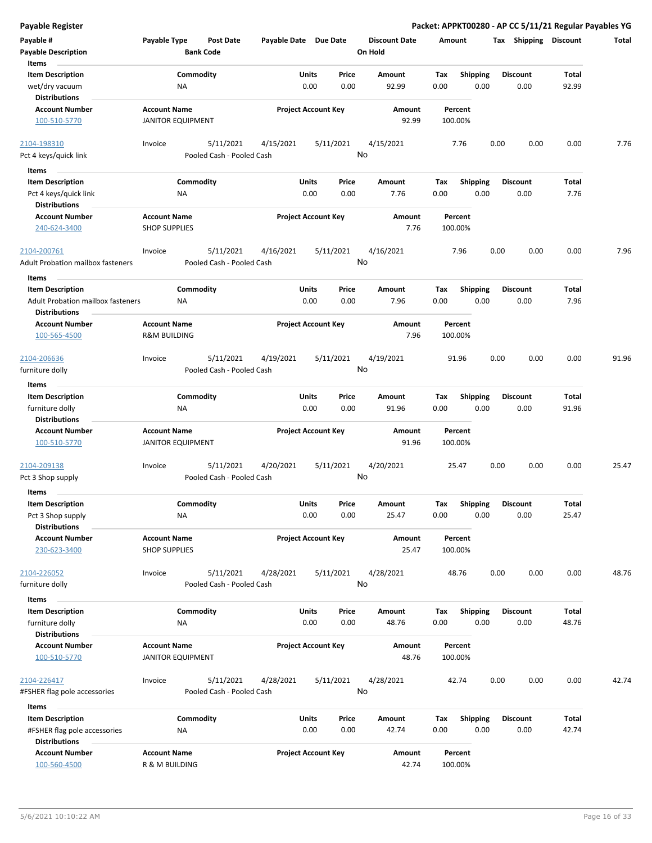| <b>Payable Register</b>                                                         |                                                 |                                        |                       |                            |               |                                 |             |                         |      |                         |                       | Packet: APPKT00280 - AP CC 5/11/21 Regular Payables YG |
|---------------------------------------------------------------------------------|-------------------------------------------------|----------------------------------------|-----------------------|----------------------------|---------------|---------------------------------|-------------|-------------------------|------|-------------------------|-----------------------|--------------------------------------------------------|
| Payable #<br><b>Payable Description</b>                                         | Payable Type                                    | <b>Post Date</b><br><b>Bank Code</b>   | Payable Date Due Date |                            |               | <b>Discount Date</b><br>On Hold | Amount      |                         |      | Tax Shipping Discount   |                       | Total                                                  |
| Items<br><b>Item Description</b><br>wet/dry vacuum                              |                                                 | Commodity<br><b>NA</b>                 |                       | <b>Units</b><br>0.00       | Price<br>0.00 | Amount<br>92.99                 | Tax<br>0.00 | <b>Shipping</b><br>0.00 |      | <b>Discount</b><br>0.00 | Total<br>92.99        |                                                        |
| <b>Distributions</b><br><b>Account Number</b><br>100-510-5770                   | <b>Account Name</b><br><b>JANITOR EQUIPMENT</b> |                                        |                       | <b>Project Account Key</b> |               | Amount<br>92.99                 |             | Percent<br>100.00%      |      |                         |                       |                                                        |
| 2104-198310<br>Pct 4 keys/quick link                                            | Invoice                                         | 5/11/2021<br>Pooled Cash - Pooled Cash | 4/15/2021             | 5/11/2021                  | No            | 4/15/2021                       |             | 7.76                    | 0.00 | 0.00                    | 0.00                  | 7.76                                                   |
| Items                                                                           |                                                 |                                        |                       |                            |               |                                 |             |                         |      |                         |                       |                                                        |
| <b>Item Description</b><br>Pct 4 keys/quick link<br><b>Distributions</b>        |                                                 | Commodity<br>ΝA                        |                       | Units<br>0.00              | Price<br>0.00 | Amount<br>7.76                  | Tax<br>0.00 | <b>Shipping</b><br>0.00 |      | <b>Discount</b><br>0.00 | Total<br>7.76         |                                                        |
| <b>Account Number</b><br>240-624-3400                                           | <b>Account Name</b><br><b>SHOP SUPPLIES</b>     |                                        |                       | <b>Project Account Key</b> |               | Amount<br>7.76                  |             | Percent<br>100.00%      |      |                         |                       |                                                        |
| 2104-200761<br><b>Adult Probation mailbox fasteners</b>                         | Invoice                                         | 5/11/2021<br>Pooled Cash - Pooled Cash | 4/16/2021             | 5/11/2021                  | No            | 4/16/2021                       |             | 7.96                    | 0.00 | 0.00                    | 0.00                  | 7.96                                                   |
| Items<br><b>Item Description</b><br><b>Adult Probation mailbox fasteners</b>    |                                                 | Commodity<br><b>NA</b>                 |                       | Units<br>0.00              | Price<br>0.00 | Amount<br>7.96                  | Tax<br>0.00 | <b>Shipping</b><br>0.00 |      | <b>Discount</b><br>0.00 | Total<br>7.96         |                                                        |
| <b>Distributions</b><br><b>Account Number</b><br>100-565-4500                   | <b>Account Name</b><br><b>R&amp;M BUILDING</b>  |                                        |                       | <b>Project Account Key</b> |               | Amount<br>7.96                  |             | Percent<br>100.00%      |      |                         |                       |                                                        |
| 2104-206636<br>furniture dolly                                                  | Invoice                                         | 5/11/2021<br>Pooled Cash - Pooled Cash | 4/19/2021             | 5/11/2021                  | No            | 4/19/2021                       |             | 91.96                   | 0.00 | 0.00                    | 0.00                  | 91.96                                                  |
| Items                                                                           |                                                 |                                        |                       |                            |               |                                 |             |                         |      |                         |                       |                                                        |
| <b>Item Description</b><br>furniture dolly<br><b>Distributions</b>              |                                                 | Commodity<br><b>NA</b>                 |                       | Units<br>0.00              | Price<br>0.00 | Amount<br>91.96                 | Tax<br>0.00 | <b>Shipping</b><br>0.00 |      | <b>Discount</b><br>0.00 | <b>Total</b><br>91.96 |                                                        |
| <b>Account Number</b><br>100-510-5770                                           | <b>Account Name</b><br><b>JANITOR EQUIPMENT</b> |                                        |                       | <b>Project Account Key</b> |               | Amount<br>91.96                 |             | Percent<br>100.00%      |      |                         |                       |                                                        |
| 2104-209138<br>Pct 3 Shop supply                                                | Invoice                                         | 5/11/2021<br>Pooled Cash - Pooled Cash | 4/20/2021             | 5/11/2021                  | No            | 4/20/2021                       |             | 25.47                   | 0.00 | 0.00                    | 0.00                  | 25.47                                                  |
| Items                                                                           |                                                 |                                        |                       |                            |               |                                 |             |                         |      |                         |                       |                                                        |
| <b>Item Description</b><br>Pct 3 Shop supply<br><b>Distributions</b>            |                                                 | Commodity<br><b>NA</b>                 |                       | Units<br>0.00              | Price<br>0.00 | Amount<br>25.47                 | Tax<br>0.00 | Shipping<br>0.00        |      | <b>Discount</b><br>0.00 | Total<br>25.47        |                                                        |
| <b>Account Number</b><br>230-623-3400                                           | <b>Account Name</b><br><b>SHOP SUPPLIES</b>     |                                        |                       | <b>Project Account Key</b> |               | Amount<br>25.47                 |             | Percent<br>100.00%      |      |                         |                       |                                                        |
| 2104-226052<br>furniture dolly                                                  | Invoice                                         | 5/11/2021<br>Pooled Cash - Pooled Cash | 4/28/2021             | 5/11/2021                  | No            | 4/28/2021                       |             | 48.76                   | 0.00 | 0.00                    | 0.00                  | 48.76                                                  |
| Items                                                                           |                                                 |                                        |                       |                            |               |                                 |             |                         |      |                         |                       |                                                        |
| <b>Item Description</b><br>furniture dolly<br><b>Distributions</b>              |                                                 | Commodity<br>NA                        |                       | Units<br>0.00              | Price<br>0.00 | Amount<br>48.76                 | Tax<br>0.00 | <b>Shipping</b><br>0.00 |      | <b>Discount</b><br>0.00 | Total<br>48.76        |                                                        |
| <b>Account Number</b><br>100-510-5770                                           | <b>Account Name</b><br><b>JANITOR EQUIPMENT</b> |                                        |                       | <b>Project Account Key</b> |               | Amount<br>48.76                 |             | Percent<br>100.00%      |      |                         |                       |                                                        |
| 2104-226417<br>#FSHER flag pole accessories                                     | Invoice                                         | 5/11/2021<br>Pooled Cash - Pooled Cash | 4/28/2021             | 5/11/2021                  | No            | 4/28/2021                       |             | 42.74                   | 0.00 | 0.00                    | 0.00                  | 42.74                                                  |
| Items                                                                           |                                                 |                                        |                       |                            |               |                                 |             |                         |      |                         |                       |                                                        |
| <b>Item Description</b><br>#FSHER flag pole accessories<br><b>Distributions</b> |                                                 | Commodity<br>ΝA                        |                       | Units<br>0.00              | Price<br>0.00 | Amount<br>42.74                 | Tax<br>0.00 | Shipping<br>0.00        |      | <b>Discount</b><br>0.00 | Total<br>42.74        |                                                        |
| <b>Account Number</b><br>100-560-4500                                           | <b>Account Name</b><br>R & M BUILDING           |                                        |                       | <b>Project Account Key</b> |               | Amount<br>42.74                 |             | Percent<br>100.00%      |      |                         |                       |                                                        |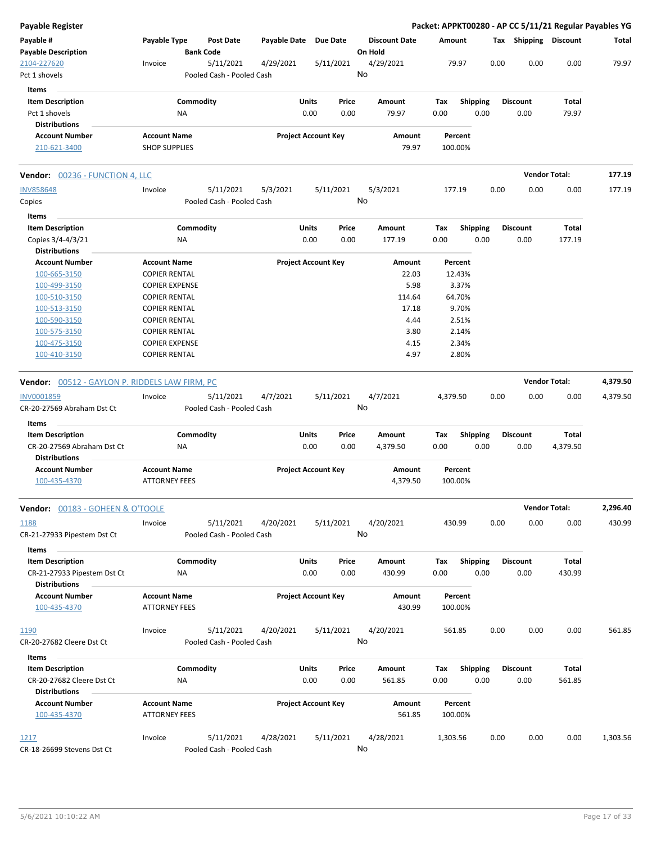| <b>Payable Register</b>                               |                       |                                        |                       |                            |                                 |          |                 | Packet: APPKT00280 - AP CC 5/11/21 Regular Payables YG |                      |          |
|-------------------------------------------------------|-----------------------|----------------------------------------|-----------------------|----------------------------|---------------------------------|----------|-----------------|--------------------------------------------------------|----------------------|----------|
| Payable #<br><b>Payable Description</b>               | Payable Type          | <b>Post Date</b><br><b>Bank Code</b>   | Payable Date Due Date |                            | <b>Discount Date</b><br>On Hold | Amount   |                 | Tax Shipping Discount                                  |                      | Total    |
| 2104-227620                                           | Invoice               | 5/11/2021                              | 4/29/2021             | 5/11/2021                  | 4/29/2021                       | 79.97    |                 | 0.00<br>0.00                                           | 0.00                 | 79.97    |
| Pct 1 shovels                                         |                       | Pooled Cash - Pooled Cash              |                       |                            | No                              |          |                 |                                                        |                      |          |
| Items                                                 |                       |                                        |                       |                            |                                 |          |                 |                                                        |                      |          |
| <b>Item Description</b>                               |                       | Commodity                              |                       | Units<br>Price             | Amount                          | Tax      | <b>Shipping</b> | Discount                                               | Total                |          |
| Pct 1 shovels                                         | NA                    |                                        |                       | 0.00<br>0.00               | 79.97                           | 0.00     | 0.00            | 0.00                                                   | 79.97                |          |
| <b>Distributions</b>                                  |                       |                                        |                       |                            |                                 |          |                 |                                                        |                      |          |
| <b>Account Number</b>                                 | <b>Account Name</b>   |                                        |                       | <b>Project Account Key</b> | Amount                          | Percent  |                 |                                                        |                      |          |
| 210-621-3400                                          | <b>SHOP SUPPLIES</b>  |                                        |                       |                            | 79.97                           | 100.00%  |                 |                                                        |                      |          |
| Vendor: 00236 - FUNCTION 4, LLC                       |                       |                                        |                       |                            |                                 |          |                 |                                                        | <b>Vendor Total:</b> | 177.19   |
| <b>INV858648</b>                                      | Invoice               | 5/11/2021                              | 5/3/2021              | 5/11/2021                  | 5/3/2021                        | 177.19   |                 | 0.00<br>0.00                                           | 0.00                 | 177.19   |
| Copies                                                |                       | Pooled Cash - Pooled Cash              |                       |                            | No                              |          |                 |                                                        |                      |          |
| Items                                                 |                       |                                        |                       |                            |                                 |          |                 |                                                        |                      |          |
| <b>Item Description</b>                               |                       | Commodity                              |                       | Units<br>Price             | Amount                          | Tax      | <b>Shipping</b> | <b>Discount</b>                                        | Total                |          |
| Copies 3/4-4/3/21                                     | ΝA                    |                                        |                       | 0.00<br>0.00               | 177.19                          | 0.00     | 0.00            | 0.00                                                   | 177.19               |          |
| <b>Distributions</b>                                  |                       |                                        |                       |                            |                                 |          |                 |                                                        |                      |          |
| <b>Account Number</b>                                 | <b>Account Name</b>   |                                        |                       | <b>Project Account Key</b> | Amount                          | Percent  |                 |                                                        |                      |          |
| 100-665-3150                                          | <b>COPIER RENTAL</b>  |                                        |                       |                            | 22.03                           | 12.43%   |                 |                                                        |                      |          |
| 100-499-3150                                          | <b>COPIER EXPENSE</b> |                                        |                       |                            | 5.98                            | 3.37%    |                 |                                                        |                      |          |
| 100-510-3150                                          | <b>COPIER RENTAL</b>  |                                        |                       |                            | 114.64                          | 64.70%   |                 |                                                        |                      |          |
| 100-513-3150                                          | <b>COPIER RENTAL</b>  |                                        |                       |                            | 17.18                           | 9.70%    |                 |                                                        |                      |          |
| 100-590-3150                                          | <b>COPIER RENTAL</b>  |                                        |                       |                            | 4.44                            | 2.51%    |                 |                                                        |                      |          |
| 100-575-3150                                          | <b>COPIER RENTAL</b>  |                                        |                       |                            | 3.80                            | 2.14%    |                 |                                                        |                      |          |
| 100-475-3150                                          | <b>COPIER EXPENSE</b> |                                        |                       |                            | 4.15                            | 2.34%    |                 |                                                        |                      |          |
| 100-410-3150                                          | <b>COPIER RENTAL</b>  |                                        |                       |                            | 4.97                            | 2.80%    |                 |                                                        |                      |          |
| <b>Vendor: 00512 - GAYLON P. RIDDELS LAW FIRM, PC</b> |                       |                                        |                       |                            |                                 |          |                 |                                                        | <b>Vendor Total:</b> | 4,379.50 |
| INV0001859                                            | Invoice               | 5/11/2021                              | 4/7/2021              | 5/11/2021                  | 4/7/2021                        | 4,379.50 |                 | 0.00<br>0.00                                           | 0.00                 | 4,379.50 |
| CR-20-27569 Abraham Dst Ct                            |                       | Pooled Cash - Pooled Cash              |                       |                            | No                              |          |                 |                                                        |                      |          |
|                                                       |                       |                                        |                       |                            |                                 |          |                 |                                                        |                      |          |
| Items                                                 |                       |                                        |                       |                            |                                 |          |                 |                                                        |                      |          |
| <b>Item Description</b>                               |                       | Commodity                              |                       | Units<br>Price             | Amount                          | Tax      | <b>Shipping</b> | Discount                                               | Total                |          |
| CR-20-27569 Abraham Dst Ct                            | NA                    |                                        |                       | 0.00<br>0.00               | 4,379.50                        | 0.00     | 0.00            | 0.00                                                   | 4,379.50             |          |
| <b>Distributions</b>                                  |                       |                                        |                       |                            |                                 |          |                 |                                                        |                      |          |
| <b>Account Number</b>                                 | <b>Account Name</b>   |                                        |                       | <b>Project Account Key</b> | Amount                          | Percent  |                 |                                                        |                      |          |
| 100-435-4370                                          | <b>ATTORNEY FEES</b>  |                                        |                       |                            | 4,379.50                        | 100.00%  |                 |                                                        |                      |          |
| <b>Vendor: 00183 - GOHEEN &amp; O'TOOLE</b>           |                       |                                        |                       |                            |                                 |          |                 |                                                        | <b>Vendor Total:</b> | 2,296.40 |
| 1188<br>CR-21-27933 Pipestem Dst Ct                   | Invoice               | 5/11/2021<br>Pooled Cash - Pooled Cash | 4/20/2021             | 5/11/2021                  | 4/20/2021<br>No                 | 430.99   |                 | 0.00<br>0.00                                           | 0.00                 | 430.99   |
| Items                                                 |                       |                                        |                       |                            |                                 |          |                 |                                                        |                      |          |
| <b>Item Description</b>                               |                       | Commodity                              |                       | Units<br>Price             | Amount                          | Tax      | Shipping        | Discount                                               | Total                |          |
| CR-21-27933 Pipestem Dst Ct                           | NA                    |                                        |                       | 0.00<br>0.00               | 430.99                          | 0.00     | 0.00            | 0.00                                                   | 430.99               |          |
| <b>Distributions</b>                                  |                       |                                        |                       |                            |                                 |          |                 |                                                        |                      |          |
| <b>Account Number</b>                                 | <b>Account Name</b>   |                                        |                       | <b>Project Account Key</b> | Amount                          | Percent  |                 |                                                        |                      |          |
| 100-435-4370                                          | <b>ATTORNEY FEES</b>  |                                        |                       |                            | 430.99                          | 100.00%  |                 |                                                        |                      |          |
|                                                       |                       |                                        |                       |                            |                                 |          |                 |                                                        |                      |          |
| 1190                                                  | Invoice               | 5/11/2021                              | 4/20/2021             | 5/11/2021                  | 4/20/2021                       | 561.85   |                 | 0.00<br>0.00                                           | 0.00                 | 561.85   |
| CR-20-27682 Cleere Dst Ct                             |                       | Pooled Cash - Pooled Cash              |                       |                            | No                              |          |                 |                                                        |                      |          |
| Items                                                 |                       |                                        |                       |                            |                                 |          |                 |                                                        |                      |          |
| <b>Item Description</b>                               |                       | Commodity                              |                       | Units<br>Price             | Amount                          | Tax      | <b>Shipping</b> | <b>Discount</b>                                        | Total                |          |
| CR-20-27682 Cleere Dst Ct                             | ΝA                    |                                        |                       | 0.00<br>0.00               | 561.85                          | 0.00     | 0.00            | 0.00                                                   | 561.85               |          |
| <b>Distributions</b>                                  |                       |                                        |                       |                            |                                 |          |                 |                                                        |                      |          |
| <b>Account Number</b>                                 | <b>Account Name</b>   |                                        |                       | <b>Project Account Key</b> | Amount                          | Percent  |                 |                                                        |                      |          |
| 100-435-4370                                          | <b>ATTORNEY FEES</b>  |                                        |                       |                            | 561.85                          | 100.00%  |                 |                                                        |                      |          |
|                                                       |                       |                                        |                       |                            |                                 |          |                 |                                                        |                      |          |
| 1217                                                  | Invoice               | 5/11/2021                              | 4/28/2021             | 5/11/2021                  | 4/28/2021                       | 1,303.56 |                 | 0.00<br>0.00                                           | 0.00                 | 1,303.56 |
| CR-18-26699 Stevens Dst Ct                            |                       | Pooled Cash - Pooled Cash              |                       |                            | No                              |          |                 |                                                        |                      |          |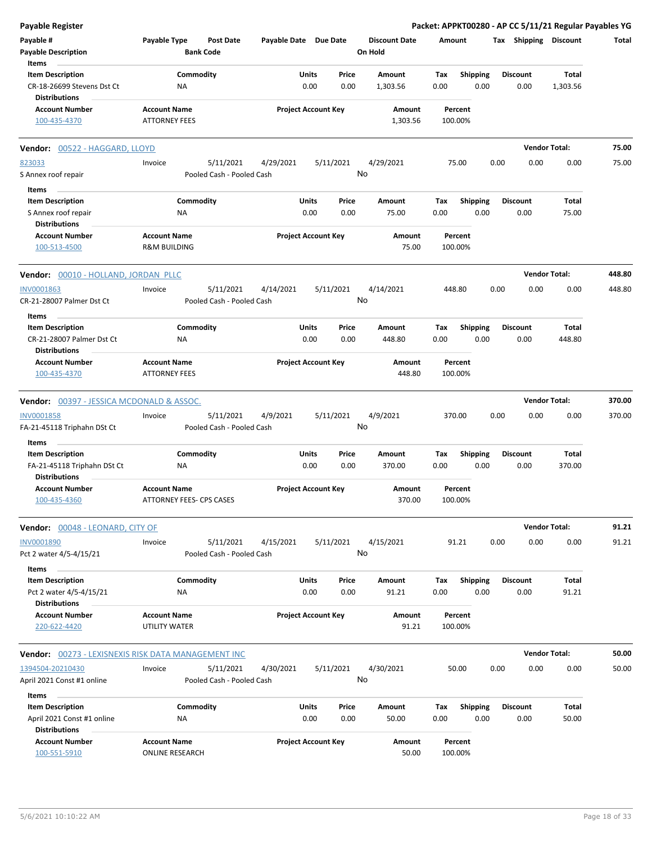| <b>Payable Register</b>                                                        |                                                 |                                        |                       |                                |                                 | Packet: APPKT00280 - AP CC 5/11/21 Regular Payables YG |                         |                         |                      |        |
|--------------------------------------------------------------------------------|-------------------------------------------------|----------------------------------------|-----------------------|--------------------------------|---------------------------------|--------------------------------------------------------|-------------------------|-------------------------|----------------------|--------|
| Payable #<br><b>Payable Description</b>                                        | Payable Type                                    | <b>Post Date</b><br><b>Bank Code</b>   | Payable Date Due Date |                                | <b>Discount Date</b><br>On Hold | Amount                                                 |                         | Tax Shipping Discount   |                      | Total  |
| Items                                                                          |                                                 |                                        |                       |                                |                                 |                                                        |                         |                         |                      |        |
| <b>Item Description</b><br>CR-18-26699 Stevens Dst Ct<br><b>Distributions</b>  | ΝA                                              | Commodity                              |                       | Units<br>Price<br>0.00<br>0.00 | Amount<br>1,303.56              | Tax<br>0.00                                            | <b>Shipping</b><br>0.00 | <b>Discount</b><br>0.00 | Total<br>1,303.56    |        |
| <b>Account Number</b><br>100-435-4370                                          | <b>Account Name</b><br><b>ATTORNEY FEES</b>     |                                        |                       | <b>Project Account Key</b>     | Amount<br>1,303.56              | Percent<br>100.00%                                     |                         |                         |                      |        |
| <b>Vendor: 00522 - HAGGARD, LLOYD</b>                                          |                                                 |                                        |                       |                                |                                 |                                                        |                         |                         | <b>Vendor Total:</b> | 75.00  |
| 823033                                                                         | Invoice                                         | 5/11/2021                              | 4/29/2021             | 5/11/2021                      | 4/29/2021                       | 75.00                                                  | 0.00                    | 0.00                    | 0.00                 | 75.00  |
| S Annex roof repair                                                            |                                                 | Pooled Cash - Pooled Cash              |                       |                                | No                              |                                                        |                         |                         |                      |        |
| Items                                                                          |                                                 |                                        |                       |                                |                                 |                                                        |                         |                         |                      |        |
| <b>Item Description</b>                                                        |                                                 | Commodity                              |                       | Units<br>Price                 | Amount                          | Tax                                                    | <b>Shipping</b>         | <b>Discount</b>         | Total                |        |
| S Annex roof repair                                                            | ΝA                                              |                                        |                       | 0.00<br>0.00                   | 75.00                           | 0.00                                                   | 0.00                    | 0.00                    | 75.00                |        |
| <b>Distributions</b><br><b>Account Number</b><br>100-513-4500                  | <b>Account Name</b><br><b>R&amp;M BUILDING</b>  |                                        |                       | <b>Project Account Key</b>     | Amount<br>75.00                 | Percent<br>100.00%                                     |                         |                         |                      |        |
| Vendor: 00010 - HOLLAND, JORDAN PLLC                                           |                                                 |                                        |                       |                                |                                 |                                                        |                         |                         | <b>Vendor Total:</b> | 448.80 |
| INV0001863<br>CR-21-28007 Palmer Dst Ct                                        | Invoice                                         | 5/11/2021<br>Pooled Cash - Pooled Cash | 4/14/2021             | 5/11/2021                      | 4/14/2021<br>No                 | 448.80                                                 | 0.00                    | 0.00                    | 0.00                 | 448.80 |
| Items<br><b>Item Description</b><br>CR-21-28007 Palmer Dst Ct                  | ΝA                                              | Commodity                              |                       | Units<br>Price<br>0.00<br>0.00 | Amount<br>448.80                | Tax<br>0.00                                            | <b>Shipping</b><br>0.00 | <b>Discount</b><br>0.00 | Total<br>448.80      |        |
| <b>Distributions</b><br><b>Account Number</b><br>100-435-4370                  | <b>Account Name</b><br><b>ATTORNEY FEES</b>     |                                        |                       | <b>Project Account Key</b>     | Amount<br>448.80                | Percent<br>100.00%                                     |                         |                         |                      |        |
| <b>Vendor: 00397 - JESSICA MCDONALD &amp; ASSOC.</b>                           |                                                 |                                        |                       |                                |                                 |                                                        |                         |                         | <b>Vendor Total:</b> | 370.00 |
| INV0001858<br>FA-21-45118 Triphahn DSt Ct                                      | Invoice                                         | 5/11/2021<br>Pooled Cash - Pooled Cash | 4/9/2021              | 5/11/2021                      | 4/9/2021<br>No                  | 370.00                                                 | 0.00                    | 0.00                    | 0.00                 | 370.00 |
| Items                                                                          |                                                 |                                        |                       |                                |                                 |                                                        |                         |                         |                      |        |
| <b>Item Description</b><br>FA-21-45118 Triphahn DSt Ct<br><b>Distributions</b> | ΝA                                              | Commodity                              |                       | Units<br>Price<br>0.00<br>0.00 | Amount<br>370.00                | Tax<br>0.00                                            | <b>Shipping</b><br>0.00 | <b>Discount</b><br>0.00 | Total<br>370.00      |        |
| <b>Account Number</b><br>100-435-4360                                          | <b>Account Name</b><br>ATTORNEY FEES- CPS CASES |                                        |                       | <b>Project Account Key</b>     | Amount<br>370.00                | Percent<br>100.00%                                     |                         |                         |                      |        |
| Vendor: 00048 - LEONARD, CITY OF                                               |                                                 |                                        |                       |                                |                                 |                                                        |                         |                         | <b>Vendor Total:</b> | 91.21  |
| INV0001890<br>Pct 2 water 4/5-4/15/21                                          | Invoice                                         | 5/11/2021<br>Pooled Cash - Pooled Cash | 4/15/2021             | 5/11/2021                      | 4/15/2021<br>No                 | 91.21                                                  | 0.00                    | 0.00                    | 0.00                 | 91.21  |
| Items                                                                          |                                                 |                                        |                       |                                |                                 |                                                        |                         |                         |                      |        |
| <b>Item Description</b><br>Pct 2 water 4/5-4/15/21<br><b>Distributions</b>     | NA                                              | Commodity                              |                       | Units<br>Price<br>0.00<br>0.00 | Amount<br>91.21                 | Tax<br>0.00                                            | Shipping<br>0.00        | <b>Discount</b><br>0.00 | Total<br>91.21       |        |
| <b>Account Number</b><br>220-622-4420                                          | <b>Account Name</b><br>UTILITY WATER            |                                        |                       | <b>Project Account Key</b>     | Amount<br>91.21                 | Percent<br>100.00%                                     |                         |                         |                      |        |
| Vendor: 00273 - LEXISNEXIS RISK DATA MANAGEMENT INC                            |                                                 |                                        |                       |                                |                                 |                                                        |                         |                         | <b>Vendor Total:</b> | 50.00  |
| 1394504-20210430                                                               | Invoice                                         | 5/11/2021                              | 4/30/2021             | 5/11/2021                      | 4/30/2021                       | 50.00                                                  | 0.00                    | 0.00                    | 0.00                 | 50.00  |
| April 2021 Const #1 online                                                     |                                                 | Pooled Cash - Pooled Cash              |                       |                                | No                              |                                                        |                         |                         |                      |        |
| Items                                                                          |                                                 |                                        |                       |                                |                                 |                                                        |                         |                         |                      |        |
| <b>Item Description</b><br>April 2021 Const #1 online<br><b>Distributions</b>  | NA                                              | Commodity                              |                       | Units<br>Price<br>0.00<br>0.00 | Amount<br>50.00                 | Tax<br>0.00                                            | <b>Shipping</b><br>0.00 | <b>Discount</b><br>0.00 | Total<br>50.00       |        |
| <b>Account Number</b><br>100-551-5910                                          | <b>Account Name</b><br><b>ONLINE RESEARCH</b>   |                                        |                       | <b>Project Account Key</b>     | Amount<br>50.00                 | Percent<br>100.00%                                     |                         |                         |                      |        |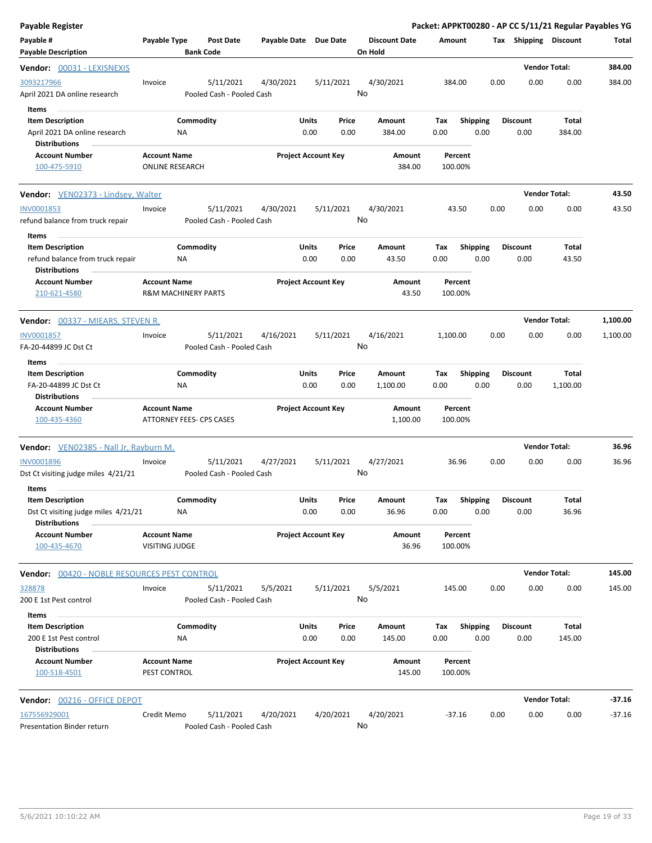| <b>Payable Register</b>                                                                |                                                       |                                        |                       |                                       |    |                                 |                    |                         |      |                              | Packet: APPKT00280 - AP CC 5/11/21 Regular Payables YG |          |
|----------------------------------------------------------------------------------------|-------------------------------------------------------|----------------------------------------|-----------------------|---------------------------------------|----|---------------------------------|--------------------|-------------------------|------|------------------------------|--------------------------------------------------------|----------|
| Payable #<br><b>Payable Description</b>                                                | Payable Type                                          | <b>Post Date</b><br><b>Bank Code</b>   | Payable Date Due Date |                                       |    | <b>Discount Date</b><br>On Hold | Amount             |                         |      | <b>Tax Shipping Discount</b> |                                                        | Total    |
|                                                                                        |                                                       |                                        |                       |                                       |    |                                 |                    |                         |      | <b>Vendor Total:</b>         |                                                        | 384.00   |
| 3093217966<br>April 2021 DA online research                                            | Invoice                                               | 5/11/2021<br>Pooled Cash - Pooled Cash | 4/30/2021             | 5/11/2021                             | No | 4/30/2021                       | 384.00             |                         | 0.00 | 0.00                         | 0.00                                                   | 384.00   |
| Items<br><b>Item Description</b><br>April 2021 DA online research                      | ΝA                                                    | Commodity                              |                       | Units<br>Price<br>0.00<br>0.00        |    | Amount<br>384.00                | Tax<br>0.00        | <b>Shipping</b><br>0.00 |      | <b>Discount</b><br>0.00      | Total<br>384.00                                        |          |
| <b>Distributions</b><br><b>Account Number</b><br>100-475-5910                          | <b>Account Name</b><br><b>ONLINE RESEARCH</b>         |                                        |                       | <b>Project Account Key</b>            |    | Amount<br>384.00                | Percent<br>100.00% |                         |      |                              |                                                        |          |
| <b>Vendor:</b> VEN02373 - Lindsey, Walter                                              |                                                       |                                        |                       |                                       |    |                                 |                    |                         |      |                              | <b>Vendor Total:</b>                                   | 43.50    |
| INV0001853<br>refund balance from truck repair<br>Items                                | Invoice                                               | 5/11/2021<br>Pooled Cash - Pooled Cash | 4/30/2021             | 5/11/2021                             | No | 4/30/2021                       | 43.50              |                         | 0.00 | 0.00                         | 0.00                                                   | 43.50    |
| <b>Item Description</b><br>refund balance from truck repair<br><b>Distributions</b>    | NA                                                    | Commodity                              |                       | Units<br>Price<br>0.00<br>0.00        |    | Amount<br>43.50                 | Tax<br>0.00        | <b>Shipping</b><br>0.00 |      | <b>Discount</b><br>0.00      | Total<br>43.50                                         |          |
| <b>Account Number</b><br>210-621-4580                                                  | <b>Account Name</b><br><b>R&amp;M MACHINERY PARTS</b> |                                        |                       | <b>Project Account Key</b>            |    | Amount<br>43.50                 | Percent<br>100.00% |                         |      |                              |                                                        |          |
| Vendor: 00337 - MIEARS, STEVEN R.                                                      |                                                       |                                        |                       |                                       |    |                                 |                    |                         |      |                              | <b>Vendor Total:</b>                                   | 1,100.00 |
| <b>INV0001857</b><br>FA-20-44899 JC Dst Ct                                             | Invoice                                               | 5/11/2021<br>Pooled Cash - Pooled Cash | 4/16/2021             | 5/11/2021                             | No | 4/16/2021                       | 1,100.00           |                         | 0.00 | 0.00                         | 0.00                                                   | 1,100.00 |
| Items<br><b>Item Description</b><br>FA-20-44899 JC Dst Ct<br><b>Distributions</b>      | NA                                                    | Commodity                              |                       | Units<br>Price<br>0.00<br>0.00        |    | Amount<br>1,100.00              | Tax<br>0.00        | <b>Shipping</b><br>0.00 |      | <b>Discount</b><br>0.00      | Total<br>1,100.00                                      |          |
| <b>Account Number</b><br>100-435-4360                                                  | <b>Account Name</b><br>ATTORNEY FEES- CPS CASES       |                                        |                       | <b>Project Account Key</b>            |    | Amount<br>1,100.00              | Percent<br>100.00% |                         |      |                              |                                                        |          |
| <b>Vendor:</b> VEN02385 - Nall Jr, Rayburn M.                                          |                                                       |                                        |                       |                                       |    |                                 |                    |                         |      |                              | <b>Vendor Total:</b>                                   | 36.96    |
| <b>INV0001896</b><br>Dst Ct visiting judge miles 4/21/21<br>Items                      | Invoice                                               | 5/11/2021<br>Pooled Cash - Pooled Cash | 4/27/2021             | 5/11/2021                             | No | 4/27/2021                       | 36.96              |                         | 0.00 | 0.00                         | 0.00                                                   | 36.96    |
| <b>Item Description</b><br>Dst Ct visiting judge miles 4/21/21<br><b>Distributions</b> | NA                                                    | Commodity                              |                       | <b>Units</b><br>Price<br>0.00<br>0.00 |    | Amount<br>36.96                 | Tax<br>0.00        | 0.00                    |      | Shipping Discount<br>0.00    | Total<br>36.96                                         |          |
| <b>Account Number</b><br>100-435-4670                                                  | <b>Account Name</b><br><b>VISITING JUDGE</b>          |                                        |                       | <b>Project Account Key</b>            |    | Amount<br>36.96                 | Percent<br>100.00% |                         |      |                              |                                                        |          |
| Vendor: 00420 - NOBLE RESOURCES PEST CONTROL                                           |                                                       |                                        |                       |                                       |    |                                 |                    |                         |      |                              | <b>Vendor Total:</b>                                   | 145.00   |
| 328878<br>200 E 1st Pest control                                                       | Invoice                                               | 5/11/2021<br>Pooled Cash - Pooled Cash | 5/5/2021              | 5/11/2021                             | No | 5/5/2021                        | 145.00             |                         | 0.00 | 0.00                         | 0.00                                                   | 145.00   |
| Items<br><b>Item Description</b>                                                       |                                                       | Commodity                              |                       | Units<br>Price                        |    | Amount                          | Tax                | <b>Shipping</b>         |      | <b>Discount</b>              | Total                                                  |          |
| 200 E 1st Pest control<br><b>Distributions</b>                                         | NA                                                    |                                        |                       | 0.00<br>0.00                          |    | 145.00                          | 0.00               | 0.00                    |      | 0.00                         | 145.00                                                 |          |
| <b>Account Number</b><br>100-518-4501                                                  | <b>Account Name</b><br>PEST CONTROL                   |                                        |                       | <b>Project Account Key</b>            |    | Amount<br>145.00                | Percent<br>100.00% |                         |      |                              |                                                        |          |
| Vendor: 00216 - OFFICE DEPOT                                                           |                                                       |                                        |                       |                                       |    |                                 |                    |                         |      |                              | <b>Vendor Total:</b>                                   | $-37.16$ |
| 167556929001<br>Presentation Binder return                                             | Credit Memo                                           | 5/11/2021<br>Pooled Cash - Pooled Cash | 4/20/2021             | 4/20/2021                             | No | 4/20/2021                       | $-37.16$           |                         | 0.00 | 0.00                         | 0.00                                                   | $-37.16$ |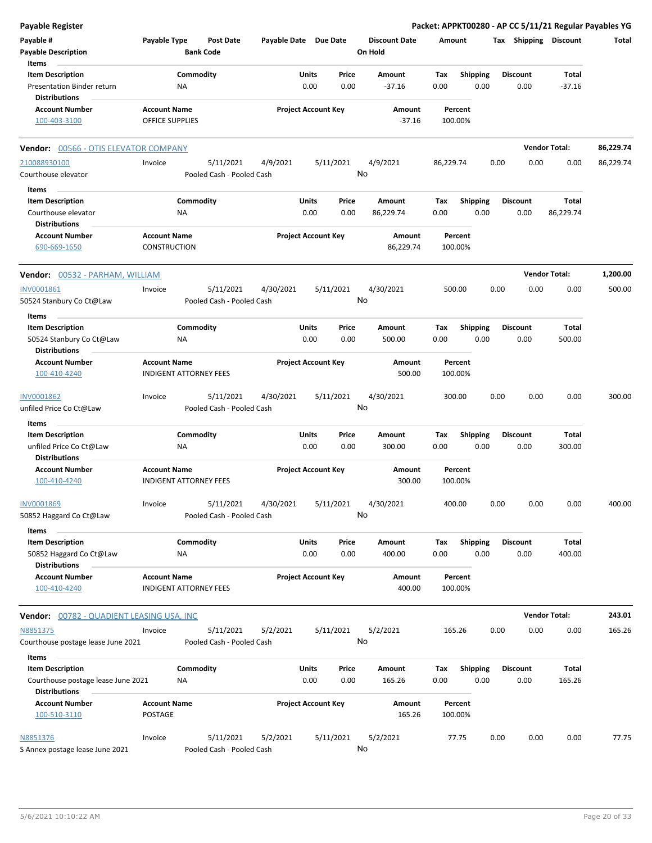| Payable Register                                                              |                                                      |                                        |                       |                            |               |                                 |                    |                         |      |                         |                       | Packet: APPKT00280 - AP CC 5/11/21 Regular Payables YG |
|-------------------------------------------------------------------------------|------------------------------------------------------|----------------------------------------|-----------------------|----------------------------|---------------|---------------------------------|--------------------|-------------------------|------|-------------------------|-----------------------|--------------------------------------------------------|
| Payable #<br><b>Payable Description</b>                                       | Payable Type                                         | <b>Post Date</b><br><b>Bank Code</b>   | Payable Date Due Date |                            |               | <b>Discount Date</b><br>On Hold | Amount             |                         |      |                         | Tax Shipping Discount | Total                                                  |
| Items                                                                         |                                                      |                                        |                       |                            |               |                                 |                    |                         |      |                         |                       |                                                        |
| <b>Item Description</b><br>Presentation Binder return<br><b>Distributions</b> | ΝA                                                   | Commodity                              |                       | Units<br>0.00              | Price<br>0.00 | Amount<br>$-37.16$              | Tax<br>0.00        | <b>Shipping</b><br>0.00 |      | <b>Discount</b><br>0.00 | Total<br>$-37.16$     |                                                        |
| <b>Account Number</b>                                                         | <b>Account Name</b>                                  |                                        |                       | <b>Project Account Key</b> |               | Amount                          | Percent            |                         |      |                         |                       |                                                        |
| 100-403-3100                                                                  | <b>OFFICE SUPPLIES</b>                               |                                        |                       |                            |               | $-37.16$                        | 100.00%            |                         |      |                         |                       |                                                        |
| <b>Vendor: 00566 - OTIS ELEVATOR COMPANY</b>                                  |                                                      |                                        |                       |                            |               |                                 |                    |                         |      |                         | <b>Vendor Total:</b>  | 86,229.74                                              |
| 210088930100                                                                  | Invoice                                              | 5/11/2021                              | 4/9/2021              | 5/11/2021                  |               | 4/9/2021                        | 86,229.74          |                         | 0.00 | 0.00                    | 0.00                  | 86,229.74                                              |
| Courthouse elevator                                                           |                                                      | Pooled Cash - Pooled Cash              |                       |                            |               | No                              |                    |                         |      |                         |                       |                                                        |
| Items                                                                         |                                                      |                                        |                       |                            |               |                                 |                    |                         |      |                         |                       |                                                        |
| <b>Item Description</b>                                                       |                                                      | Commodity                              |                       | Units                      | Price         | Amount                          | Tax                | <b>Shipping</b>         |      | <b>Discount</b>         | Total                 |                                                        |
| Courthouse elevator<br><b>Distributions</b>                                   | <b>NA</b>                                            |                                        |                       | 0.00                       | 0.00          | 86,229.74                       | 0.00               | 0.00                    |      | 0.00                    | 86,229.74             |                                                        |
| <b>Account Number</b><br>690-669-1650                                         | <b>Account Name</b><br><b>CONSTRUCTION</b>           |                                        |                       | <b>Project Account Key</b> |               | Amount<br>86,229.74             | Percent<br>100.00% |                         |      |                         |                       |                                                        |
| <b>Vendor:</b> 00532 - PARHAM, WILLIAM                                        |                                                      |                                        |                       |                            |               |                                 |                    |                         |      |                         | <b>Vendor Total:</b>  | 1,200.00                                               |
| INV0001861                                                                    | Invoice                                              | 5/11/2021                              | 4/30/2021             | 5/11/2021                  |               | 4/30/2021                       | 500.00             |                         | 0.00 | 0.00                    | 0.00                  | 500.00                                                 |
| 50524 Stanbury Co Ct@Law                                                      |                                                      | Pooled Cash - Pooled Cash              |                       |                            |               | No                              |                    |                         |      |                         |                       |                                                        |
| Items                                                                         |                                                      |                                        |                       |                            |               |                                 |                    |                         |      |                         |                       |                                                        |
| <b>Item Description</b><br>50524 Stanbury Co Ct@Law<br><b>Distributions</b>   | ΝA                                                   | Commodity                              |                       | Units<br>0.00              | Price<br>0.00 | Amount<br>500.00                | Tax<br>0.00        | <b>Shipping</b><br>0.00 |      | <b>Discount</b><br>0.00 | Total<br>500.00       |                                                        |
| <b>Account Number</b>                                                         | <b>Account Name</b>                                  |                                        |                       | <b>Project Account Key</b> |               | Amount                          | Percent            |                         |      |                         |                       |                                                        |
| 100-410-4240                                                                  | <b>INDIGENT ATTORNEY FEES</b>                        |                                        |                       |                            |               | 500.00                          | 100.00%            |                         |      |                         |                       |                                                        |
| INV0001862<br>unfiled Price Co Ct@Law                                         | Invoice                                              | 5/11/2021<br>Pooled Cash - Pooled Cash | 4/30/2021             | 5/11/2021                  |               | 4/30/2021<br>No                 | 300.00             |                         | 0.00 | 0.00                    | 0.00                  | 300.00                                                 |
|                                                                               |                                                      |                                        |                       |                            |               |                                 |                    |                         |      |                         |                       |                                                        |
| Items<br><b>Item Description</b>                                              |                                                      | Commodity                              |                       | Units                      | Price         | Amount                          | Tax                | <b>Shipping</b>         |      | <b>Discount</b>         | Total                 |                                                        |
| unfiled Price Co Ct@Law<br><b>Distributions</b>                               | <b>NA</b>                                            |                                        |                       | 0.00                       | 0.00          | 300.00                          | 0.00               | 0.00                    |      | 0.00                    | 300.00                |                                                        |
| <b>Account Number</b><br>100-410-4240                                         | <b>Account Name</b><br><b>INDIGENT ATTORNEY FEES</b> |                                        |                       | <b>Project Account Key</b> |               | Amount<br>300.00                | Percent<br>100.00% |                         |      |                         |                       |                                                        |
| INV0001869                                                                    | Invoice                                              | 5/11/2021                              | 4/30/2021             | 5/11/2021                  |               | 4/30/2021                       | 400.00             |                         | 0.00 | 0.00                    | 0.00                  | 400.00                                                 |
| 50852 Haggard Co Ct@Law                                                       |                                                      | Pooled Cash - Pooled Cash              |                       |                            |               | No                              |                    |                         |      |                         |                       |                                                        |
| Items<br><b>Item Description</b>                                              |                                                      | Commodity                              |                       | Units                      | Price         | Amount                          | Tax                | Shipping                |      | <b>Discount</b>         | Total                 |                                                        |
| 50852 Haggard Co Ct@Law<br><b>Distributions</b>                               | ΝA                                                   |                                        |                       | 0.00                       | 0.00          | 400.00                          | 0.00               | 0.00                    |      | 0.00                    | 400.00                |                                                        |
| <b>Account Number</b><br>100-410-4240                                         | <b>Account Name</b><br><b>INDIGENT ATTORNEY FEES</b> |                                        |                       | <b>Project Account Key</b> |               | <b>Amount</b><br>400.00         | Percent<br>100.00% |                         |      |                         |                       |                                                        |
| Vendor: 00782 - QUADIENT LEASING USA, INC                                     |                                                      |                                        |                       |                            |               |                                 |                    |                         |      |                         | <b>Vendor Total:</b>  | 243.01                                                 |
| N8851375                                                                      | Invoice                                              | 5/11/2021                              | 5/2/2021              | 5/11/2021                  |               | 5/2/2021                        | 165.26             |                         | 0.00 | 0.00                    | 0.00                  | 165.26                                                 |
| Courthouse postage lease June 2021                                            |                                                      | Pooled Cash - Pooled Cash              |                       |                            |               | No                              |                    |                         |      |                         |                       |                                                        |
| Items                                                                         |                                                      |                                        |                       |                            |               |                                 |                    |                         |      |                         |                       |                                                        |
| <b>Item Description</b><br>Courthouse postage lease June 2021                 | ΝA                                                   | Commodity                              |                       | <b>Units</b><br>0.00       | Price<br>0.00 | Amount<br>165.26                | Tax<br>0.00        | <b>Shipping</b><br>0.00 |      | <b>Discount</b><br>0.00 | Total<br>165.26       |                                                        |
| <b>Distributions</b><br><b>Account Number</b>                                 | <b>Account Name</b>                                  |                                        |                       | <b>Project Account Key</b> |               | Amount                          | Percent            |                         |      |                         |                       |                                                        |
| 100-510-3110                                                                  | POSTAGE                                              |                                        |                       |                            |               | 165.26                          | 100.00%            |                         |      |                         |                       |                                                        |
| N8851376<br>S Annex postage lease June 2021                                   | Invoice                                              | 5/11/2021<br>Pooled Cash - Pooled Cash | 5/2/2021              | 5/11/2021                  |               | 5/2/2021<br>No                  | 77.75              |                         | 0.00 | 0.00                    | 0.00                  | 77.75                                                  |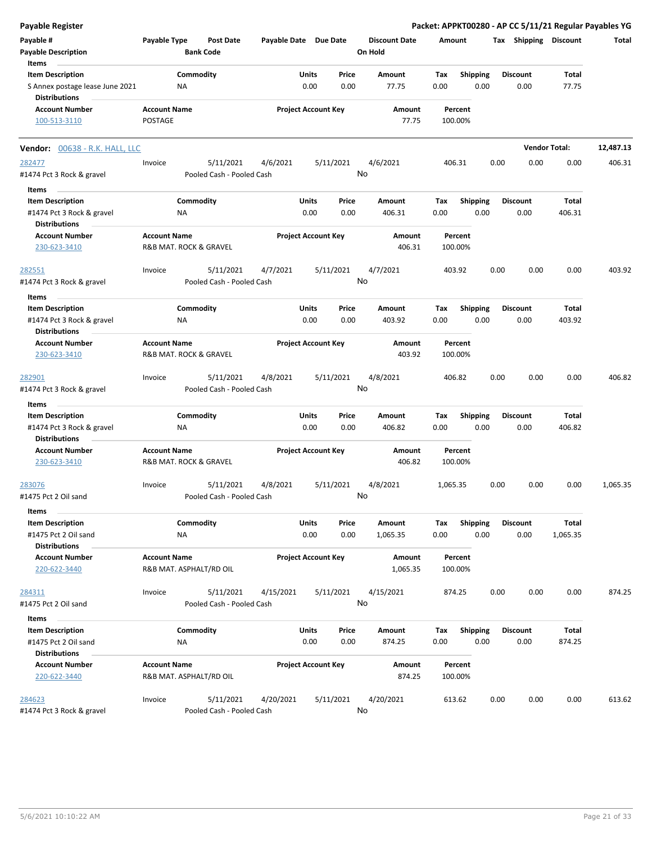| <b>Payable Register</b>               |                     |                           |                       |                            |           |                      |             |                         |      |                         |                      | Packet: APPKT00280 - AP CC 5/11/21 Regular Payables YG |
|---------------------------------------|---------------------|---------------------------|-----------------------|----------------------------|-----------|----------------------|-------------|-------------------------|------|-------------------------|----------------------|--------------------------------------------------------|
| Payable #                             | Payable Type        | <b>Post Date</b>          | Payable Date Due Date |                            |           | <b>Discount Date</b> | Amount      |                         |      | Tax Shipping Discount   |                      | Total                                                  |
| <b>Payable Description</b>            |                     | <b>Bank Code</b>          |                       |                            |           | On Hold              |             |                         |      |                         |                      |                                                        |
| Items<br><b>Item Description</b>      |                     |                           |                       |                            | Price     |                      |             |                         |      |                         | Total                |                                                        |
| S Annex postage lease June 2021       |                     | Commodity<br>ΝA           |                       | Units<br>0.00              | 0.00      | Amount<br>77.75      | Tax<br>0.00 | <b>Shipping</b><br>0.00 |      | <b>Discount</b><br>0.00 | 77.75                |                                                        |
| <b>Distributions</b>                  |                     |                           |                       |                            |           |                      |             |                         |      |                         |                      |                                                        |
| <b>Account Number</b>                 | <b>Account Name</b> |                           |                       | <b>Project Account Key</b> |           | Amount               |             | Percent                 |      |                         |                      |                                                        |
| 100-513-3110                          | <b>POSTAGE</b>      |                           |                       |                            |           | 77.75                |             | 100.00%                 |      |                         |                      |                                                        |
| <b>Vendor:</b> 00638 - R.K. HALL, LLC |                     |                           |                       |                            |           |                      |             |                         |      |                         | <b>Vendor Total:</b> | 12,487.13                                              |
| 282477                                | Invoice             | 5/11/2021                 | 4/6/2021              |                            | 5/11/2021 | 4/6/2021             |             | 406.31                  | 0.00 | 0.00                    | 0.00                 | 406.31                                                 |
| #1474 Pct 3 Rock & gravel             |                     | Pooled Cash - Pooled Cash |                       |                            |           | No                   |             |                         |      |                         |                      |                                                        |
| Items                                 |                     |                           |                       |                            |           |                      |             |                         |      |                         |                      |                                                        |
| <b>Item Description</b>               |                     | Commodity                 |                       | Units                      | Price     | Amount               | Tax         | <b>Shipping</b>         |      | <b>Discount</b>         | Total                |                                                        |
| #1474 Pct 3 Rock & gravel             |                     | ΝA                        |                       | 0.00                       | 0.00      | 406.31               | 0.00        | 0.00                    |      | 0.00                    | 406.31               |                                                        |
| <b>Distributions</b>                  |                     |                           |                       |                            |           |                      |             |                         |      |                         |                      |                                                        |
| <b>Account Number</b>                 | <b>Account Name</b> |                           |                       | <b>Project Account Key</b> |           | Amount               |             | Percent                 |      |                         |                      |                                                        |
| 230-623-3410                          |                     | R&B MAT. ROCK & GRAVEL    |                       |                            |           | 406.31               |             | 100.00%                 |      |                         |                      |                                                        |
|                                       |                     |                           |                       |                            |           |                      |             |                         |      |                         |                      |                                                        |
| 282551                                | Invoice             | 5/11/2021                 | 4/7/2021              |                            | 5/11/2021 | 4/7/2021             |             | 403.92                  | 0.00 | 0.00                    | 0.00                 | 403.92                                                 |
| #1474 Pct 3 Rock & gravel             |                     | Pooled Cash - Pooled Cash |                       |                            |           | No                   |             |                         |      |                         |                      |                                                        |
| Items                                 |                     |                           |                       |                            |           |                      |             |                         |      |                         |                      |                                                        |
| <b>Item Description</b>               |                     | Commodity                 |                       | Units                      | Price     | Amount               | Tax         | <b>Shipping</b>         |      | <b>Discount</b>         | <b>Total</b>         |                                                        |
| #1474 Pct 3 Rock & gravel             |                     | ΝA                        |                       | 0.00                       | 0.00      | 403.92               | 0.00        | 0.00                    |      | 0.00                    | 403.92               |                                                        |
| <b>Distributions</b>                  |                     |                           |                       |                            |           |                      |             |                         |      |                         |                      |                                                        |
| <b>Account Number</b>                 | <b>Account Name</b> |                           |                       | <b>Project Account Key</b> |           | Amount               |             | Percent                 |      |                         |                      |                                                        |
| 230-623-3410                          |                     | R&B MAT. ROCK & GRAVEL    |                       |                            |           | 403.92               |             | 100.00%                 |      |                         |                      |                                                        |
|                                       |                     |                           |                       |                            |           |                      |             |                         |      |                         |                      |                                                        |
| 282901                                | Invoice             | 5/11/2021                 | 4/8/2021              |                            | 5/11/2021 | 4/8/2021             |             | 406.82                  | 0.00 | 0.00                    | 0.00                 | 406.82                                                 |
| #1474 Pct 3 Rock & gravel             |                     | Pooled Cash - Pooled Cash |                       |                            |           | No                   |             |                         |      |                         |                      |                                                        |
| Items                                 |                     |                           |                       |                            |           |                      |             |                         |      |                         |                      |                                                        |
| <b>Item Description</b>               |                     | Commodity                 |                       | Units                      | Price     | Amount               | Tax         | <b>Shipping</b>         |      | <b>Discount</b>         | Total                |                                                        |
| #1474 Pct 3 Rock & gravel             |                     | ΝA                        |                       | 0.00                       | 0.00      | 406.82               | 0.00        | 0.00                    |      | 0.00                    | 406.82               |                                                        |
| <b>Distributions</b>                  |                     |                           |                       |                            |           |                      |             |                         |      |                         |                      |                                                        |
| <b>Account Number</b>                 | <b>Account Name</b> |                           |                       | <b>Project Account Key</b> |           | Amount               |             | Percent                 |      |                         |                      |                                                        |
| 230-623-3410                          |                     | R&B MAT. ROCK & GRAVEL    |                       |                            |           | 406.82               |             | 100.00%                 |      |                         |                      |                                                        |
|                                       |                     |                           |                       |                            |           |                      |             |                         |      |                         |                      |                                                        |
| 283076                                | Invoice             | 5/11/2021                 | 4/8/2021              |                            | 5/11/2021 | 4/8/2021             | 1,065.35    |                         | 0.00 | 0.00                    | 0.00                 | 1,065.35                                               |
| #1475 Pct 2 Oil sand                  |                     | Pooled Cash - Pooled Cash |                       |                            |           | No                   |             |                         |      |                         |                      |                                                        |
| Items                                 |                     |                           |                       |                            |           |                      |             |                         |      |                         |                      |                                                        |
| <b>Item Description</b>               |                     | Commodity                 |                       | <b>Units</b>               | Price     | Amount               | Tax         | Shipping                |      | <b>Discount</b>         | Total                |                                                        |
| #1475 Pct 2 Oil sand                  |                     | ΝA                        |                       | 0.00                       | 0.00      | 1,065.35             | 0.00        | 0.00                    |      | 0.00                    | 1,065.35             |                                                        |
| <b>Distributions</b>                  |                     |                           |                       |                            |           |                      |             |                         |      |                         |                      |                                                        |
| <b>Account Number</b>                 | <b>Account Name</b> |                           |                       | <b>Project Account Key</b> |           | Amount               |             | Percent                 |      |                         |                      |                                                        |
| 220-622-3440                          |                     | R&B MAT. ASPHALT/RD OIL   |                       |                            |           | 1,065.35             |             | 100.00%                 |      |                         |                      |                                                        |
|                                       |                     |                           |                       |                            |           |                      |             |                         |      |                         |                      |                                                        |
| 284311                                | Invoice             | 5/11/2021                 | 4/15/2021             |                            | 5/11/2021 | 4/15/2021            |             | 874.25                  | 0.00 | 0.00                    | 0.00                 | 874.25                                                 |
| #1475 Pct 2 Oil sand                  |                     | Pooled Cash - Pooled Cash |                       |                            |           | No                   |             |                         |      |                         |                      |                                                        |
|                                       |                     |                           |                       |                            |           |                      |             |                         |      |                         |                      |                                                        |
| Items                                 |                     |                           |                       |                            |           |                      |             |                         |      | <b>Discount</b>         |                      |                                                        |
| <b>Item Description</b>               |                     | Commodity                 |                       | Units                      | Price     | Amount               | Tax         | <b>Shipping</b>         |      |                         | Total                |                                                        |
| #1475 Pct 2 Oil sand                  |                     | NA                        |                       | 0.00                       | 0.00      | 874.25               | 0.00        | 0.00                    |      | 0.00                    | 874.25               |                                                        |
| <b>Distributions</b>                  |                     |                           |                       |                            |           |                      |             |                         |      |                         |                      |                                                        |
| <b>Account Number</b>                 | <b>Account Name</b> |                           |                       | <b>Project Account Key</b> |           | Amount               |             | Percent                 |      |                         |                      |                                                        |
| 220-622-3440                          |                     | R&B MAT. ASPHALT/RD OIL   |                       |                            |           | 874.25               |             | 100.00%                 |      |                         |                      |                                                        |
| 284623                                | Invoice             | 5/11/2021                 | 4/20/2021             |                            | 5/11/2021 | 4/20/2021            |             | 613.62                  | 0.00 | 0.00                    | 0.00                 | 613.62                                                 |
| #1474 Pct 3 Rock & gravel             |                     | Pooled Cash - Pooled Cash |                       |                            |           | No                   |             |                         |      |                         |                      |                                                        |
|                                       |                     |                           |                       |                            |           |                      |             |                         |      |                         |                      |                                                        |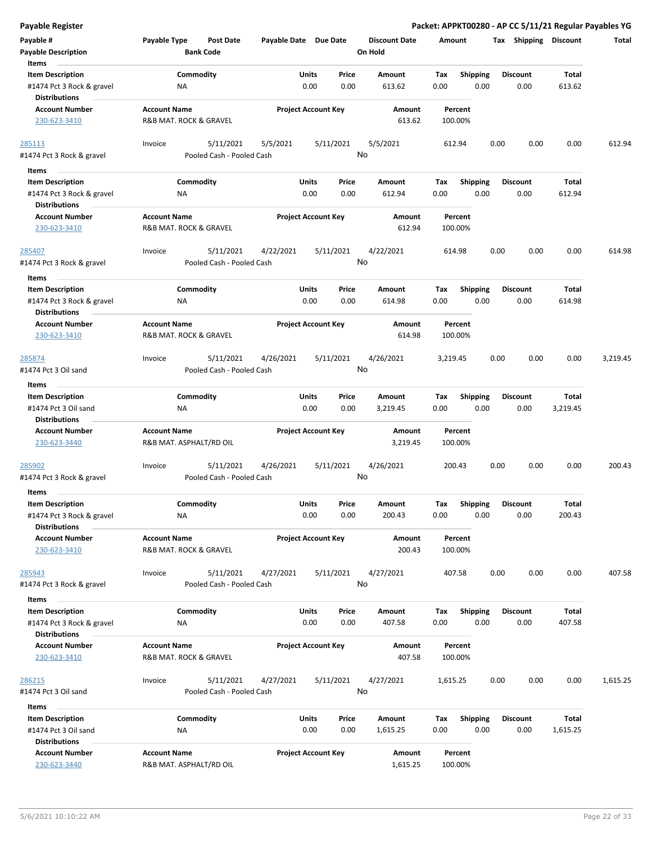|  |  | Payable Register |
|--|--|------------------|
|  |  |                  |

| Payable #                                         | Payable Type            | <b>Post Date</b>          | Payable Date Due Date |                            |       | <b>Discount Date</b> | Amount      |                 |      | <b>Tax Shipping Discount</b> |              | Total    |
|---------------------------------------------------|-------------------------|---------------------------|-----------------------|----------------------------|-------|----------------------|-------------|-----------------|------|------------------------------|--------------|----------|
| <b>Payable Description</b><br>Items               |                         | <b>Bank Code</b>          |                       |                            |       | On Hold              |             |                 |      |                              |              |          |
| <b>Item Description</b>                           |                         | Commodity                 |                       | Units                      | Price | Amount               | Tax         | <b>Shipping</b> |      | <b>Discount</b>              | <b>Total</b> |          |
| #1474 Pct 3 Rock & gravel                         | ΝA                      |                           |                       | 0.00                       | 0.00  | 613.62               | 0.00        | 0.00            |      | 0.00                         | 613.62       |          |
| <b>Distributions</b>                              |                         |                           |                       |                            |       |                      |             |                 |      |                              |              |          |
| <b>Account Number</b>                             | <b>Account Name</b>     |                           |                       | <b>Project Account Key</b> |       | Amount               | Percent     |                 |      |                              |              |          |
| 230-623-3410                                      | R&B MAT. ROCK & GRAVEL  |                           |                       |                            |       | 613.62               | 100.00%     |                 |      |                              |              |          |
| 285113                                            | Invoice                 | 5/11/2021                 | 5/5/2021              | 5/11/2021                  |       | 5/5/2021             | 612.94      |                 | 0.00 | 0.00                         | 0.00         | 612.94   |
| #1474 Pct 3 Rock & gravel                         |                         | Pooled Cash - Pooled Cash |                       |                            | No    |                      |             |                 |      |                              |              |          |
| Items                                             |                         |                           |                       |                            |       |                      |             |                 |      |                              |              |          |
| <b>Item Description</b>                           |                         | Commodity                 |                       | Units                      | Price | Amount               | Tax         | Shipping        |      | <b>Discount</b>              | Total        |          |
| #1474 Pct 3 Rock & gravel                         | ΝA                      |                           |                       | 0.00                       | 0.00  | 612.94               | 0.00        | 0.00            |      | 0.00                         | 612.94       |          |
| <b>Distributions</b>                              |                         |                           |                       |                            |       |                      |             |                 |      |                              |              |          |
| <b>Account Number</b>                             | <b>Account Name</b>     |                           |                       | <b>Project Account Key</b> |       | Amount               | Percent     |                 |      |                              |              |          |
| 230-623-3410                                      | R&B MAT. ROCK & GRAVEL  |                           |                       |                            |       | 612.94               | 100.00%     |                 |      |                              |              |          |
| 285407                                            | Invoice                 | 5/11/2021                 | 4/22/2021             | 5/11/2021                  |       | 4/22/2021            | 614.98      |                 | 0.00 | 0.00                         | 0.00         | 614.98   |
| #1474 Pct 3 Rock & gravel                         |                         | Pooled Cash - Pooled Cash |                       |                            | No    |                      |             |                 |      |                              |              |          |
| Items                                             |                         |                           |                       |                            |       |                      |             |                 |      |                              |              |          |
| <b>Item Description</b>                           |                         | Commodity                 |                       | Units                      | Price | Amount               | Tax         | <b>Shipping</b> |      | <b>Discount</b>              | Total        |          |
| #1474 Pct 3 Rock & gravel                         | ΝA                      |                           |                       | 0.00                       | 0.00  | 614.98               | 0.00        | 0.00            |      | 0.00                         | 614.98       |          |
| <b>Distributions</b>                              |                         |                           |                       |                            |       |                      |             |                 |      |                              |              |          |
| <b>Account Number</b>                             | <b>Account Name</b>     |                           |                       | <b>Project Account Key</b> |       | Amount               | Percent     |                 |      |                              |              |          |
| 230-623-3410                                      | R&B MAT. ROCK & GRAVEL  |                           |                       |                            |       | 614.98               | 100.00%     |                 |      |                              |              |          |
| 285874                                            | Invoice                 | 5/11/2021                 | 4/26/2021             | 5/11/2021                  |       | 4/26/2021            | 3,219.45    |                 | 0.00 | 0.00                         | 0.00         | 3,219.45 |
| #1474 Pct 3 Oil sand                              |                         | Pooled Cash - Pooled Cash |                       |                            | No    |                      |             |                 |      |                              |              |          |
| Items                                             |                         |                           |                       |                            |       |                      |             |                 |      |                              |              |          |
| <b>Item Description</b>                           |                         | Commodity                 |                       | <b>Units</b>               | Price | Amount               | Tax         | <b>Shipping</b> |      | <b>Discount</b>              | <b>Total</b> |          |
| #1474 Pct 3 Oil sand                              | ΝA                      |                           |                       | 0.00                       | 0.00  | 3,219.45             | 0.00        | 0.00            |      | 0.00                         | 3,219.45     |          |
| <b>Distributions</b>                              |                         |                           |                       |                            |       |                      |             |                 |      |                              |              |          |
| <b>Account Number</b>                             | <b>Account Name</b>     |                           |                       | <b>Project Account Key</b> |       | Amount               | Percent     |                 |      |                              |              |          |
| 230-623-3440                                      | R&B MAT. ASPHALT/RD OIL |                           |                       |                            |       | 3,219.45             | 100.00%     |                 |      |                              |              |          |
| 285902                                            | Invoice                 | 5/11/2021                 | 4/26/2021             | 5/11/2021                  |       | 4/26/2021            | 200.43      |                 | 0.00 | 0.00                         | 0.00         | 200.43   |
| #1474 Pct 3 Rock & gravel                         |                         | Pooled Cash - Pooled Cash |                       |                            | No    |                      |             |                 |      |                              |              |          |
| Items                                             |                         |                           |                       |                            |       |                      |             |                 |      |                              |              |          |
| <b>Item Description</b>                           |                         | Commodity                 |                       | Units                      | Price | Amount               | Тах         | <b>Shipping</b> |      | <b>Discount</b>              | <b>Total</b> |          |
| #1474 Pct 3 Rock & gravel                         | <b>NA</b>               |                           |                       | 0.00                       | 0.00  | 200.43               | 0.00        | 0.00            |      | 0.00                         | 200.43       |          |
| <b>Distributions</b>                              |                         |                           |                       |                            |       |                      |             |                 |      |                              |              |          |
| <b>Account Number</b>                             | <b>Account Name</b>     |                           |                       | <b>Project Account Key</b> |       | Amount               | Percent     |                 |      |                              |              |          |
| 230-623-3410                                      | R&B MAT. ROCK & GRAVEL  |                           |                       |                            |       | 200.43               | 100.00%     |                 |      |                              |              |          |
| 285943                                            | Invoice                 | 5/11/2021                 | 4/27/2021             | 5/11/2021                  |       | 4/27/2021            | 407.58      |                 | 0.00 | 0.00                         | 0.00         | 407.58   |
| #1474 Pct 3 Rock & gravel                         |                         | Pooled Cash - Pooled Cash |                       |                            | No    |                      |             |                 |      |                              |              |          |
|                                                   |                         |                           |                       |                            |       |                      |             |                 |      |                              |              |          |
| Items<br><b>Item Description</b>                  |                         | Commodity                 |                       | Units                      | Price |                      |             | Shipping        |      | <b>Discount</b>              | <b>Total</b> |          |
|                                                   |                         |                           |                       | 0.00                       | 0.00  | Amount<br>407.58     | Tax<br>0.00 | 0.00            |      | 0.00                         | 407.58       |          |
| #1474 Pct 3 Rock & gravel<br><b>Distributions</b> | ΝA                      |                           |                       |                            |       |                      |             |                 |      |                              |              |          |
| <b>Account Number</b>                             | <b>Account Name</b>     |                           |                       | <b>Project Account Key</b> |       | Amount               | Percent     |                 |      |                              |              |          |
| 230-623-3410                                      | R&B MAT. ROCK & GRAVEL  |                           |                       |                            |       | 407.58               | 100.00%     |                 |      |                              |              |          |
| 286215                                            | Invoice                 | 5/11/2021                 | 4/27/2021             | 5/11/2021                  |       | 4/27/2021            | 1,615.25    |                 | 0.00 | 0.00                         | 0.00         | 1,615.25 |
| #1474 Pct 3 Oil sand                              |                         | Pooled Cash - Pooled Cash |                       |                            | No    |                      |             |                 |      |                              |              |          |
| Items                                             |                         |                           |                       |                            |       |                      |             |                 |      |                              |              |          |
| <b>Item Description</b>                           |                         | Commodity                 |                       | <b>Units</b>               | Price | Amount               | Tax         | Shipping        |      | <b>Discount</b>              | Total        |          |
| #1474 Pct 3 Oil sand                              | NA                      |                           |                       | 0.00                       | 0.00  | 1,615.25             | 0.00        | 0.00            |      | 0.00                         | 1,615.25     |          |
| <b>Distributions</b>                              |                         |                           |                       |                            |       |                      |             |                 |      |                              |              |          |
| <b>Account Number</b>                             | <b>Account Name</b>     |                           |                       | <b>Project Account Key</b> |       | Amount               | Percent     |                 |      |                              |              |          |
| 230-623-3440                                      | R&B MAT. ASPHALT/RD OIL |                           |                       |                            |       | 1,615.25             | 100.00%     |                 |      |                              |              |          |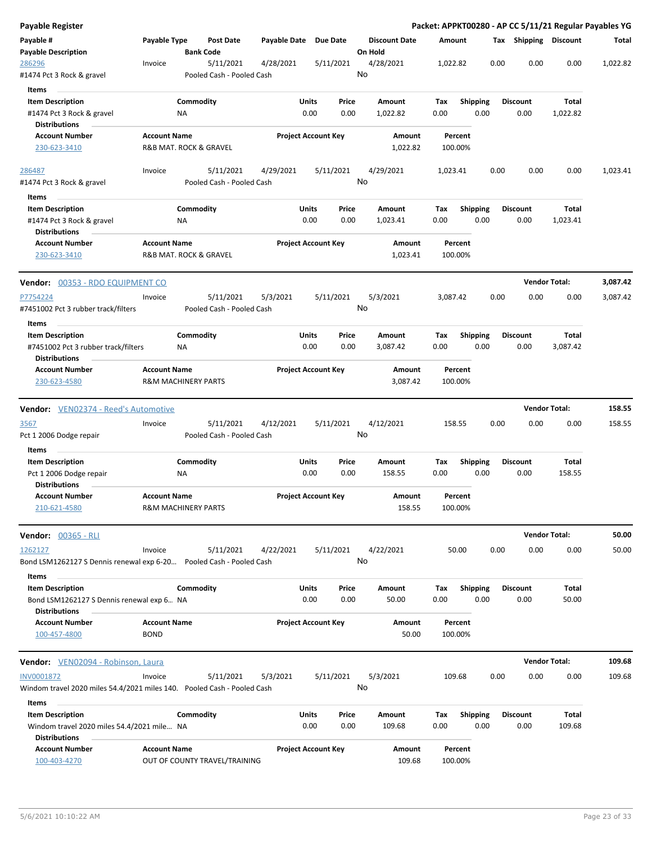| <b>Payable Register</b>                                                                                |                                                       |                  |                                        |                       |                            |               |                                 |                    |             |                    |      |                 |                      |                       | Packet: APPKT00280 - AP CC 5/11/21 Regular Payables YG |
|--------------------------------------------------------------------------------------------------------|-------------------------------------------------------|------------------|----------------------------------------|-----------------------|----------------------------|---------------|---------------------------------|--------------------|-------------|--------------------|------|-----------------|----------------------|-----------------------|--------------------------------------------------------|
| Payable #<br><b>Payable Description</b>                                                                | Payable Type                                          | <b>Bank Code</b> | <b>Post Date</b>                       | Payable Date Due Date |                            |               | <b>Discount Date</b><br>On Hold |                    | Amount      |                    |      |                 |                      | Tax Shipping Discount | Total                                                  |
| 286296<br>#1474 Pct 3 Rock & gravel                                                                    | Invoice                                               |                  | 5/11/2021<br>Pooled Cash - Pooled Cash | 4/28/2021             |                            | 5/11/2021     | 4/28/2021<br>No                 |                    | 1,022.82    |                    |      | 0.00            | 0.00                 | 0.00                  | 1,022.82                                               |
| Items<br><b>Item Description</b><br>#1474 Pct 3 Rock & gravel                                          |                                                       | Commodity<br>NA  |                                        |                       | Units<br>0.00              | Price<br>0.00 | Amount<br>1,022.82              |                    | Tax<br>0.00 | <b>Shipping</b>    | 0.00 | <b>Discount</b> | 0.00                 | Total<br>1,022.82     |                                                        |
| <b>Distributions</b><br><b>Account Number</b><br>230-623-3410                                          | <b>Account Name</b><br>R&B MAT. ROCK & GRAVEL         |                  |                                        |                       | <b>Project Account Key</b> |               |                                 | Amount<br>1,022.82 |             | Percent<br>100.00% |      |                 |                      |                       |                                                        |
| 286487<br>#1474 Pct 3 Rock & gravel                                                                    | Invoice                                               |                  | 5/11/2021<br>Pooled Cash - Pooled Cash | 4/29/2021             |                            | 5/11/2021     | 4/29/2021<br>No                 |                    | 1,023.41    |                    |      | 0.00            | 0.00                 | 0.00                  | 1,023.41                                               |
| Items<br><b>Item Description</b><br>#1474 Pct 3 Rock & gravel<br><b>Distributions</b>                  |                                                       | Commodity<br>NA  |                                        |                       | Units<br>0.00              | Price<br>0.00 | Amount<br>1,023.41              |                    | Tax<br>0.00 | <b>Shipping</b>    | 0.00 | <b>Discount</b> | 0.00                 | Total<br>1,023.41     |                                                        |
| <b>Account Number</b><br>230-623-3410                                                                  | <b>Account Name</b><br>R&B MAT. ROCK & GRAVEL         |                  |                                        |                       | <b>Project Account Key</b> |               |                                 | Amount<br>1,023.41 |             | Percent<br>100.00% |      |                 |                      |                       |                                                        |
| Vendor: 00353 - RDO EQUIPMENT CO                                                                       |                                                       |                  |                                        |                       |                            |               |                                 |                    |             |                    |      |                 | <b>Vendor Total:</b> |                       | 3,087.42                                               |
| P7754224<br>#7451002 Pct 3 rubber track/filters                                                        | Invoice                                               |                  | 5/11/2021<br>Pooled Cash - Pooled Cash | 5/3/2021              |                            | 5/11/2021     | 5/3/2021<br>No                  |                    | 3,087.42    |                    |      | 0.00            | 0.00                 | 0.00                  | 3,087.42                                               |
| Items<br><b>Item Description</b><br>#7451002 Pct 3 rubber track/filters<br><b>Distributions</b>        |                                                       | Commodity<br>NA  |                                        |                       | Units<br>0.00              | Price<br>0.00 | Amount<br>3,087.42              |                    | Tax<br>0.00 | <b>Shipping</b>    | 0.00 | <b>Discount</b> | 0.00                 | Total<br>3,087.42     |                                                        |
| <b>Account Number</b><br>230-623-4580                                                                  | <b>Account Name</b><br><b>R&amp;M MACHINERY PARTS</b> |                  |                                        |                       | <b>Project Account Key</b> |               |                                 | Amount<br>3,087.42 |             | Percent<br>100.00% |      |                 |                      |                       |                                                        |
| <b>Vendor:</b> VEN02374 - Reed's Automotive                                                            |                                                       |                  |                                        |                       |                            |               |                                 |                    |             |                    |      |                 | <b>Vendor Total:</b> |                       | 158.55                                                 |
| 3567<br>Pct 1 2006 Dodge repair                                                                        | Invoice                                               |                  | 5/11/2021<br>Pooled Cash - Pooled Cash | 4/12/2021             |                            | 5/11/2021     | 4/12/2021<br>No                 |                    |             | 158.55             |      | 0.00            | 0.00                 | 0.00                  | 158.55                                                 |
| Items<br><b>Item Description</b><br>Pct 1 2006 Dodge repair<br><b>Distributions</b>                    |                                                       | Commodity<br>NA  |                                        |                       | Units<br>0.00              | Price<br>0.00 | Amount<br>158.55                |                    | Tax<br>0.00 | <b>Shipping</b>    | 0.00 | <b>Discount</b> | 0.00                 | Total<br>158.55       |                                                        |
| <b>Account Number</b><br>210-621-4580                                                                  | <b>Account Name</b><br><b>R&amp;M MACHINERY PARTS</b> |                  |                                        |                       | <b>Project Account Key</b> |               |                                 | Amount<br>158.55   |             | Percent<br>100.00% |      |                 |                      |                       |                                                        |
| <b>Vendor: 00365 - RLI</b>                                                                             |                                                       |                  |                                        |                       |                            |               |                                 |                    |             |                    |      |                 |                      | <b>Vendor Total:</b>  | 50.00                                                  |
| 1262127<br>Bond LSM1262127 S Dennis renewal exp 6-20 Pooled Cash - Pooled Cash                         | Invoice                                               |                  | 5/11/2021                              | 4/22/2021             |                            | 5/11/2021     | 4/22/2021<br>No                 |                    |             | 50.00              |      | 0.00            | 0.00                 | 0.00                  | 50.00                                                  |
| Items<br><b>Item Description</b><br>Bond LSM1262127 S Dennis renewal exp 6 NA<br><b>Distributions</b>  |                                                       | Commodity        |                                        |                       | Units<br>0.00              | Price<br>0.00 | Amount                          | 50.00              | Tax<br>0.00 | <b>Shipping</b>    | 0.00 | <b>Discount</b> | 0.00                 | Total<br>50.00        |                                                        |
| <b>Account Number</b><br>100-457-4800                                                                  | <b>Account Name</b><br><b>BOND</b>                    |                  |                                        |                       | <b>Project Account Key</b> |               |                                 | Amount<br>50.00    |             | Percent<br>100.00% |      |                 |                      |                       |                                                        |
| Vendor: VEN02094 - Robinson, Laura                                                                     |                                                       |                  |                                        |                       |                            |               |                                 |                    |             |                    |      |                 | <b>Vendor Total:</b> |                       | 109.68                                                 |
| INV0001872<br>Windom travel 2020 miles 54.4/2021 miles 140. Pooled Cash - Pooled Cash                  | Invoice                                               |                  | 5/11/2021                              | 5/3/2021              |                            | 5/11/2021     | 5/3/2021<br>No                  |                    |             | 109.68             |      | 0.00            | 0.00                 | 0.00                  | 109.68                                                 |
| Items<br><b>Item Description</b><br>Windom travel 2020 miles 54.4/2021 mile NA<br><b>Distributions</b> |                                                       | Commodity        |                                        |                       | Units<br>0.00              | Price<br>0.00 | Amount<br>109.68                |                    | Tax<br>0.00 | <b>Shipping</b>    | 0.00 | <b>Discount</b> | 0.00                 | Total<br>109.68       |                                                        |
| <b>Account Number</b><br>100-403-4270                                                                  | <b>Account Name</b>                                   |                  | OUT OF COUNTY TRAVEL/TRAINING          |                       | <b>Project Account Key</b> |               |                                 | Amount<br>109.68   |             | Percent<br>100.00% |      |                 |                      |                       |                                                        |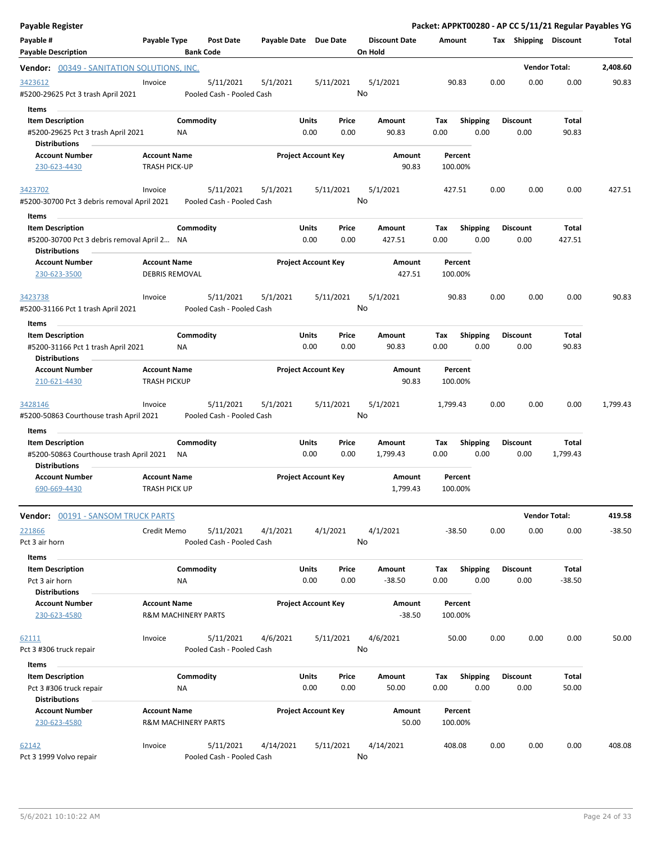| Payable Register                                                                                        |                                                       |                                        |                       |                            |               |                                 |             |                         |      |                         | Packet: APPKT00280 - AP CC 5/11/21 Regular Payables YG |          |
|---------------------------------------------------------------------------------------------------------|-------------------------------------------------------|----------------------------------------|-----------------------|----------------------------|---------------|---------------------------------|-------------|-------------------------|------|-------------------------|--------------------------------------------------------|----------|
| Payable #<br><b>Payable Description</b>                                                                 | Payable Type                                          | <b>Post Date</b><br><b>Bank Code</b>   | Payable Date Due Date |                            |               | <b>Discount Date</b><br>On Hold | Amount      |                         |      | Tax Shipping Discount   |                                                        | Total    |
| <b>Vendor:</b> 00349 - SANITATION SOLUTIONS, INC.                                                       |                                                       |                                        |                       |                            |               |                                 |             |                         |      |                         | <b>Vendor Total:</b>                                   | 2,408.60 |
| 3423612<br>#5200-29625 Pct 3 trash April 2021                                                           | Invoice                                               | 5/11/2021<br>Pooled Cash - Pooled Cash | 5/1/2021              |                            | 5/11/2021     | 5/1/2021<br>No                  |             | 90.83                   | 0.00 | 0.00                    | 0.00                                                   | 90.83    |
| Items<br><b>Item Description</b><br>#5200-29625 Pct 3 trash April 2021<br><b>Distributions</b>          | ΝA                                                    | Commodity                              |                       | Units<br>0.00              | Price<br>0.00 | Amount<br>90.83                 | Tax<br>0.00 | <b>Shipping</b><br>0.00 |      | <b>Discount</b><br>0.00 | <b>Total</b><br>90.83                                  |          |
| <b>Account Number</b>                                                                                   | <b>Account Name</b>                                   |                                        |                       | <b>Project Account Key</b> |               | Amount                          |             | Percent                 |      |                         |                                                        |          |
| 230-623-4430                                                                                            | <b>TRASH PICK-UP</b>                                  |                                        |                       |                            |               | 90.83                           | 100.00%     |                         |      |                         |                                                        |          |
| 3423702<br>#5200-30700 Pct 3 debris removal April 2021                                                  | Invoice                                               | 5/11/2021<br>Pooled Cash - Pooled Cash | 5/1/2021              |                            | 5/11/2021     | 5/1/2021<br>No                  | 427.51      |                         | 0.00 | 0.00                    | 0.00                                                   | 427.51   |
| Items<br><b>Item Description</b><br>#5200-30700 Pct 3 debris removal April 2 NA<br><b>Distributions</b> |                                                       | Commodity                              |                       | Units<br>0.00              | Price<br>0.00 | Amount<br>427.51                | Tax<br>0.00 | <b>Shipping</b><br>0.00 |      | <b>Discount</b><br>0.00 | Total<br>427.51                                        |          |
| <b>Account Number</b><br>230-623-3500                                                                   | <b>Account Name</b><br><b>DEBRIS REMOVAL</b>          |                                        |                       | <b>Project Account Key</b> |               | Amount<br>427.51                | 100.00%     | Percent                 |      |                         |                                                        |          |
| 3423738<br>#5200-31166 Pct 1 trash April 2021                                                           | Invoice                                               | 5/11/2021<br>Pooled Cash - Pooled Cash | 5/1/2021              |                            | 5/11/2021     | 5/1/2021<br>No                  |             | 90.83                   | 0.00 | 0.00                    | 0.00                                                   | 90.83    |
| Items                                                                                                   |                                                       |                                        |                       |                            |               |                                 |             |                         |      |                         |                                                        |          |
| <b>Item Description</b><br>#5200-31166 Pct 1 trash April 2021<br><b>Distributions</b>                   | ΝA                                                    | Commodity                              |                       | Units<br>0.00              | Price<br>0.00 | Amount<br>90.83                 | Tax<br>0.00 | <b>Shipping</b><br>0.00 |      | <b>Discount</b><br>0.00 | Total<br>90.83                                         |          |
| <b>Account Number</b><br>210-621-4430                                                                   | <b>Account Name</b><br><b>TRASH PICKUP</b>            |                                        |                       | <b>Project Account Key</b> |               | Amount<br>90.83                 | 100.00%     | Percent                 |      |                         |                                                        |          |
| 3428146<br>#5200-50863 Courthouse trash April 2021                                                      | Invoice                                               | 5/11/2021<br>Pooled Cash - Pooled Cash | 5/1/2021              |                            | 5/11/2021     | 5/1/2021<br>No                  | 1,799.43    |                         | 0.00 | 0.00                    | 0.00                                                   | 1,799.43 |
| Items<br><b>Item Description</b><br>#5200-50863 Courthouse trash April 2021<br><b>Distributions</b>     | ΝA                                                    | Commodity                              |                       | Units<br>0.00              | Price<br>0.00 | Amount<br>1,799.43              | Tax<br>0.00 | <b>Shipping</b><br>0.00 |      | <b>Discount</b><br>0.00 | Total<br>1,799.43                                      |          |
| <b>Account Number</b><br>690-669-4430                                                                   | <b>Account Name</b><br><b>TRASH PICK UP</b>           |                                        |                       | <b>Project Account Key</b> |               | Amount<br>1,799.43              | 100.00%     | Percent                 |      |                         |                                                        |          |
| Vendor: 00191 - SANSOM TRUCK PARTS                                                                      |                                                       |                                        |                       |                            |               |                                 |             |                         |      |                         | <b>Vendor Total:</b>                                   | 419.58   |
| 221866<br>Pct 3 air horn                                                                                | Credit Memo                                           | 5/11/2021<br>Pooled Cash - Pooled Cash | 4/1/2021              |                            | 4/1/2021      | 4/1/2021<br>No                  | $-38.50$    |                         | 0.00 | 0.00                    | 0.00                                                   | $-38.50$ |
| Items                                                                                                   |                                                       |                                        |                       |                            |               |                                 |             |                         |      |                         |                                                        |          |
| <b>Item Description</b><br>Pct 3 air horn<br><b>Distributions</b>                                       | <b>NA</b>                                             | Commodity                              |                       | Units<br>0.00              | Price<br>0.00 | Amount<br>$-38.50$              | Tax<br>0.00 | Shipping<br>0.00        |      | <b>Discount</b><br>0.00 | Total<br>$-38.50$                                      |          |
| <b>Account Number</b><br>230-623-4580                                                                   | <b>Account Name</b><br><b>R&amp;M MACHINERY PARTS</b> |                                        |                       | <b>Project Account Key</b> |               | Amount<br>$-38.50$              | 100.00%     | Percent                 |      |                         |                                                        |          |
| <u>62111</u><br>Pct 3 #306 truck repair                                                                 | Invoice                                               | 5/11/2021<br>Pooled Cash - Pooled Cash | 4/6/2021              |                            | 5/11/2021     | 4/6/2021<br>No                  |             | 50.00                   | 0.00 | 0.00                    | 0.00                                                   | 50.00    |
| <b>Items</b>                                                                                            |                                                       |                                        |                       |                            |               |                                 |             |                         |      |                         |                                                        |          |
| <b>Item Description</b><br>Pct 3 #306 truck repair<br><b>Distributions</b>                              | ΝA                                                    | Commodity                              |                       | Units<br>0.00              | Price<br>0.00 | Amount<br>50.00                 | Tax<br>0.00 | <b>Shipping</b><br>0.00 |      | <b>Discount</b><br>0.00 | <b>Total</b><br>50.00                                  |          |
| <b>Account Number</b><br>230-623-4580                                                                   | <b>Account Name</b><br><b>R&amp;M MACHINERY PARTS</b> |                                        |                       | <b>Project Account Key</b> |               | Amount<br>50.00                 | 100.00%     | Percent                 |      |                         |                                                        |          |
| 62142<br>Pct 3 1999 Volvo repair                                                                        | Invoice                                               | 5/11/2021<br>Pooled Cash - Pooled Cash | 4/14/2021             |                            | 5/11/2021     | 4/14/2021<br>No                 | 408.08      |                         | 0.00 | 0.00                    | 0.00                                                   | 408.08   |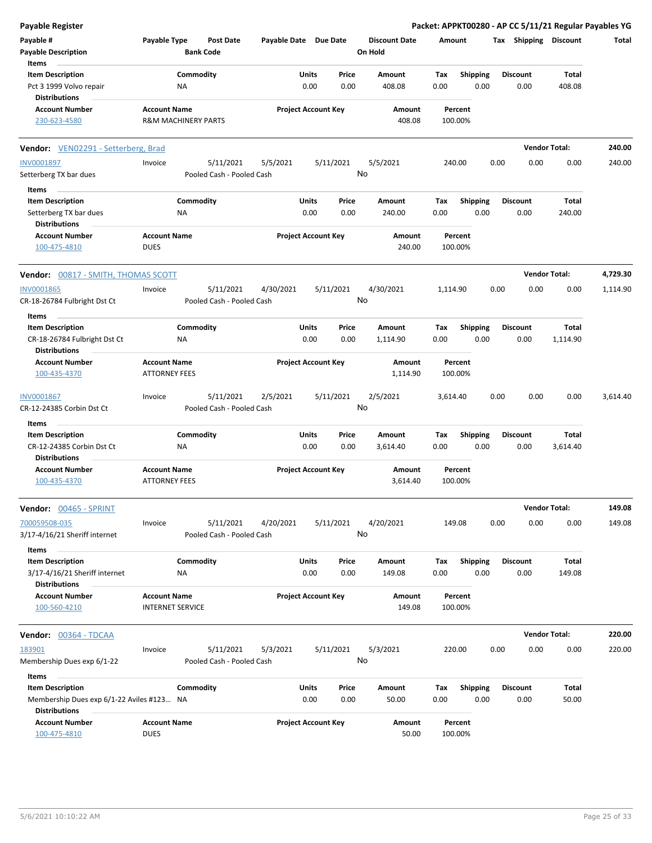| Payable Register                                                                             |                                                       |                        |                                        |                       |               |                            |               |                                 |             |                         |      |                         | Packet: APPKT00280 - AP CC 5/11/21 Regular Payables YG |          |
|----------------------------------------------------------------------------------------------|-------------------------------------------------------|------------------------|----------------------------------------|-----------------------|---------------|----------------------------|---------------|---------------------------------|-------------|-------------------------|------|-------------------------|--------------------------------------------------------|----------|
| Payable #<br><b>Payable Description</b>                                                      | Payable Type                                          | <b>Bank Code</b>       | <b>Post Date</b>                       | Payable Date Due Date |               |                            |               | <b>Discount Date</b><br>On Hold | Amount      |                         |      | Tax Shipping Discount   |                                                        | Total    |
| Items                                                                                        |                                                       |                        |                                        |                       |               |                            |               |                                 |             |                         |      |                         |                                                        |          |
| <b>Item Description</b><br>Pct 3 1999 Volvo repair<br><b>Distributions</b>                   |                                                       | Commodity<br>ΝA        |                                        |                       | Units<br>0.00 |                            | Price<br>0.00 | Amount<br>408.08                | Tax<br>0.00 | Shipping<br>0.00        |      | <b>Discount</b><br>0.00 | Total<br>408.08                                        |          |
| <b>Account Number</b><br>230-623-4580                                                        | <b>Account Name</b><br><b>R&amp;M MACHINERY PARTS</b> |                        |                                        |                       |               | <b>Project Account Key</b> |               | Amount<br>408.08                | 100.00%     | Percent                 |      |                         |                                                        |          |
| <b>Vendor:</b> VEN02291 - Setterberg, Brad                                                   |                                                       |                        |                                        |                       |               |                            |               |                                 |             |                         |      |                         | <b>Vendor Total:</b>                                   | 240.00   |
| <b>INV0001897</b>                                                                            | Invoice                                               |                        | 5/11/2021                              | 5/5/2021              |               | 5/11/2021                  |               | 5/5/2021                        | 240.00      |                         | 0.00 | 0.00                    | 0.00                                                   | 240.00   |
| Setterberg TX bar dues                                                                       |                                                       |                        | Pooled Cash - Pooled Cash              |                       |               |                            | No            |                                 |             |                         |      |                         |                                                        |          |
| Items                                                                                        |                                                       |                        |                                        |                       |               |                            |               |                                 |             |                         |      |                         |                                                        |          |
| <b>Item Description</b><br>Setterberg TX bar dues<br><b>Distributions</b>                    |                                                       | Commodity<br><b>NA</b> |                                        |                       | Units<br>0.00 |                            | Price<br>0.00 | Amount<br>240.00                | Tax<br>0.00 | <b>Shipping</b><br>0.00 |      | <b>Discount</b><br>0.00 | Total<br>240.00                                        |          |
| <b>Account Number</b><br>100-475-4810                                                        | <b>Account Name</b><br><b>DUES</b>                    |                        |                                        |                       |               | <b>Project Account Key</b> |               | Amount<br>240.00                | 100.00%     | Percent                 |      |                         |                                                        |          |
| Vendor: 00817 - SMITH, THOMAS SCOTT                                                          |                                                       |                        |                                        |                       |               |                            |               |                                 |             |                         |      |                         | <b>Vendor Total:</b>                                   | 4,729.30 |
| <b>INV0001865</b><br>CR-18-26784 Fulbright Dst Ct                                            | Invoice                                               |                        | 5/11/2021<br>Pooled Cash - Pooled Cash | 4/30/2021             |               | 5/11/2021                  | No            | 4/30/2021                       | 1,114.90    |                         | 0.00 | 0.00                    | 0.00                                                   | 1,114.90 |
| Items                                                                                        |                                                       |                        |                                        |                       |               |                            |               |                                 |             |                         |      |                         |                                                        |          |
| <b>Item Description</b>                                                                      |                                                       | Commodity              |                                        |                       | Units         |                            | Price         | Amount                          | Tax         | <b>Shipping</b>         |      | <b>Discount</b>         | Total                                                  |          |
| CR-18-26784 Fulbright Dst Ct<br><b>Distributions</b>                                         |                                                       | ΝA                     |                                        |                       | 0.00          |                            | 0.00          | 1,114.90                        | 0.00        | 0.00                    |      | 0.00                    | 1,114.90                                               |          |
| <b>Account Number</b><br>100-435-4370                                                        | <b>Account Name</b><br><b>ATTORNEY FEES</b>           |                        |                                        |                       |               | <b>Project Account Key</b> |               | Amount<br>1,114.90              | 100.00%     | Percent                 |      |                         |                                                        |          |
| INV0001867<br>CR-12-24385 Corbin Dst Ct                                                      | Invoice                                               |                        | 5/11/2021<br>Pooled Cash - Pooled Cash | 2/5/2021              |               | 5/11/2021                  | No            | 2/5/2021                        | 3,614.40    |                         | 0.00 | 0.00                    | 0.00                                                   | 3,614.40 |
| Items                                                                                        |                                                       |                        |                                        |                       |               |                            |               |                                 |             |                         |      |                         |                                                        |          |
| <b>Item Description</b><br>CR-12-24385 Corbin Dst Ct                                         |                                                       | Commodity<br><b>NA</b> |                                        |                       | Units<br>0.00 |                            | Price<br>0.00 | Amount<br>3,614.40              | Tax<br>0.00 | <b>Shipping</b><br>0.00 |      | <b>Discount</b><br>0.00 | Total<br>3,614.40                                      |          |
| <b>Distributions</b><br><b>Account Number</b><br>100-435-4370                                | <b>Account Name</b><br><b>ATTORNEY FEES</b>           |                        |                                        |                       |               | <b>Project Account Key</b> |               | Amount<br>3,614.40              | 100.00%     | Percent                 |      |                         |                                                        |          |
| Vendor: 00465 - SPRINT                                                                       |                                                       |                        |                                        |                       |               |                            |               |                                 |             |                         |      |                         | <b>Vendor Total:</b>                                   | 149.08   |
| 700059508-035<br>3/17-4/16/21 Sheriff internet                                               | Invoice                                               |                        | 5/11/2021<br>Pooled Cash - Pooled Cash | 4/20/2021             |               | 5/11/2021                  | No            | 4/20/2021                       | 149.08      |                         | 0.00 | 0.00                    | 0.00                                                   | 149.08   |
| Items<br><b>Item Description</b><br>3/17-4/16/21 Sheriff internet<br><b>Distributions</b>    |                                                       | Commodity<br>NA        |                                        |                       | Units<br>0.00 |                            | Price<br>0.00 | Amount<br>149.08                | Тах<br>0.00 | Shipping<br>0.00        |      | <b>Discount</b><br>0.00 | <b>Total</b><br>149.08                                 |          |
| <b>Account Number</b><br>100-560-4210                                                        | <b>Account Name</b><br><b>INTERNET SERVICE</b>        |                        |                                        |                       |               | <b>Project Account Key</b> |               | Amount<br>149.08                | 100.00%     | Percent                 |      |                         |                                                        |          |
| <b>Vendor: 00364 - TDCAA</b>                                                                 |                                                       |                        |                                        |                       |               |                            |               |                                 |             |                         |      |                         | <b>Vendor Total:</b>                                   | 220.00   |
| 183901<br>Membership Dues exp 6/1-22                                                         | Invoice                                               |                        | 5/11/2021<br>Pooled Cash - Pooled Cash | 5/3/2021              |               | 5/11/2021                  | No            | 5/3/2021                        | 220.00      |                         | 0.00 | 0.00                    | 0.00                                                   | 220.00   |
| Items                                                                                        |                                                       |                        |                                        |                       |               |                            |               |                                 |             |                         |      |                         |                                                        |          |
| <b>Item Description</b><br>Membership Dues exp 6/1-22 Aviles #123 NA<br><b>Distributions</b> |                                                       | Commodity              |                                        |                       | Units<br>0.00 |                            | Price<br>0.00 | Amount<br>50.00                 | Tax<br>0.00 | <b>Shipping</b><br>0.00 |      | <b>Discount</b><br>0.00 | <b>Total</b><br>50.00                                  |          |
| <b>Account Number</b><br>100-475-4810                                                        | <b>Account Name</b><br><b>DUES</b>                    |                        |                                        |                       |               | <b>Project Account Key</b> |               | Amount<br>50.00                 | 100.00%     | Percent                 |      |                         |                                                        |          |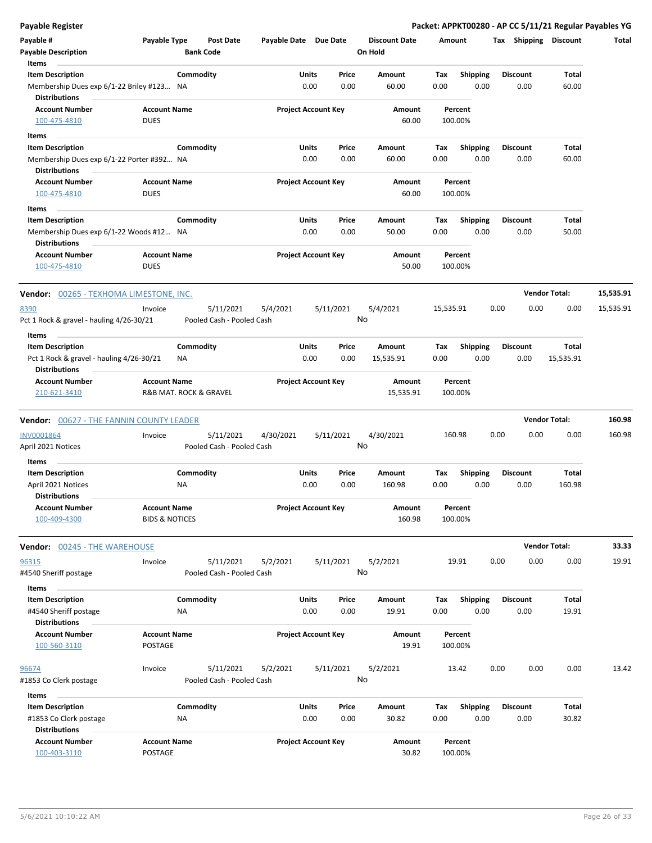| <b>Payable Register</b>                         |                           |                           |                       |                            |                      |           |                         | Packet: APPKT00280 - AP CC 5/11/21 Regular Payables YG |                      |           |
|-------------------------------------------------|---------------------------|---------------------------|-----------------------|----------------------------|----------------------|-----------|-------------------------|--------------------------------------------------------|----------------------|-----------|
| Payable #                                       | Payable Type              | <b>Post Date</b>          | Payable Date Due Date |                            | <b>Discount Date</b> | Amount    |                         | Tax Shipping Discount                                  |                      | Total     |
| <b>Payable Description</b>                      |                           | <b>Bank Code</b>          |                       |                            | On Hold              |           |                         |                                                        |                      |           |
| Items                                           |                           |                           |                       |                            |                      |           |                         |                                                        |                      |           |
| <b>Item Description</b>                         |                           | Commodity                 |                       | Units<br>Price             | Amount               | Tax       | Shipping                | <b>Discount</b>                                        | Total                |           |
| Membership Dues exp 6/1-22 Briley #123 NA       |                           |                           |                       | 0.00<br>0.00               | 60.00                | 0.00      | 0.00                    | 0.00                                                   | 60.00                |           |
| <b>Distributions</b>                            |                           |                           |                       |                            |                      |           |                         |                                                        |                      |           |
| <b>Account Number</b>                           | <b>Account Name</b>       |                           |                       | <b>Project Account Key</b> | Amount               | Percent   |                         |                                                        |                      |           |
| 100-475-4810                                    | <b>DUES</b>               |                           |                       |                            | 60.00                | 100.00%   |                         |                                                        |                      |           |
| Items                                           |                           |                           |                       |                            |                      |           |                         |                                                        |                      |           |
| <b>Item Description</b>                         |                           | Commodity                 |                       | Units<br>Price             | Amount               | Tax       | <b>Shipping</b>         | <b>Discount</b>                                        | Total                |           |
| Membership Dues exp 6/1-22 Porter #392 NA       |                           |                           |                       | 0.00<br>0.00               | 60.00                | 0.00      | 0.00                    | 0.00                                                   | 60.00                |           |
| <b>Distributions</b>                            |                           |                           |                       |                            |                      |           |                         |                                                        |                      |           |
| <b>Account Number</b>                           | <b>Account Name</b>       |                           |                       | <b>Project Account Key</b> | Amount               | Percent   |                         |                                                        |                      |           |
| 100-475-4810                                    | <b>DUES</b>               |                           |                       |                            | 60.00                | 100.00%   |                         |                                                        |                      |           |
| Items                                           |                           |                           |                       |                            |                      |           |                         |                                                        |                      |           |
| <b>Item Description</b>                         |                           | Commodity                 |                       | Units<br>Price             | Amount               | Tax       | <b>Shipping</b>         | <b>Discount</b>                                        | Total                |           |
| Membership Dues exp 6/1-22 Woods #12 NA         |                           |                           |                       | 0.00<br>0.00               | 50.00                | 0.00      | 0.00                    | 0.00                                                   | 50.00                |           |
| <b>Distributions</b>                            |                           |                           |                       |                            |                      |           |                         |                                                        |                      |           |
| <b>Account Number</b>                           | <b>Account Name</b>       |                           |                       | <b>Project Account Key</b> | Amount               | Percent   |                         |                                                        |                      |           |
| 100-475-4810                                    | <b>DUES</b>               |                           |                       |                            | 50.00                | 100.00%   |                         |                                                        |                      |           |
|                                                 |                           |                           |                       |                            |                      |           |                         |                                                        | <b>Vendor Total:</b> | 15,535.91 |
| <b>Vendor: 00265 - TEXHOMA LIMESTONE, INC.</b>  |                           |                           |                       |                            |                      |           |                         |                                                        |                      |           |
| 8390                                            | Invoice                   | 5/11/2021                 | 5/4/2021              | 5/11/2021                  | 5/4/2021             | 15,535.91 |                         | 0.00<br>0.00                                           | 0.00                 | 15,535.91 |
| Pct 1 Rock & gravel - hauling 4/26-30/21        |                           | Pooled Cash - Pooled Cash |                       |                            | No                   |           |                         |                                                        |                      |           |
| Items                                           |                           |                           |                       |                            |                      |           |                         |                                                        |                      |           |
| <b>Item Description</b>                         |                           | Commodity                 |                       | Units<br>Price             | Amount               | Tax       | <b>Shipping</b>         | <b>Discount</b>                                        | Total                |           |
| Pct 1 Rock & gravel - hauling 4/26-30/21        |                           | ΝA                        |                       | 0.00<br>0.00               | 15,535.91            | 0.00      | 0.00                    | 0.00                                                   | 15,535.91            |           |
| <b>Distributions</b>                            |                           |                           |                       |                            |                      |           |                         |                                                        |                      |           |
| <b>Account Number</b>                           | <b>Account Name</b>       |                           |                       | <b>Project Account Key</b> | Amount               | Percent   |                         |                                                        |                      |           |
| 210-621-3410                                    |                           | R&B MAT. ROCK & GRAVEL    |                       |                            | 15,535.91            | 100.00%   |                         |                                                        |                      |           |
| <b>Vendor: 00627 - THE FANNIN COUNTY LEADER</b> |                           |                           |                       |                            |                      |           |                         |                                                        | <b>Vendor Total:</b> | 160.98    |
|                                                 |                           |                           |                       |                            |                      |           |                         |                                                        |                      |           |
| <b>INV0001864</b>                               | Invoice                   | 5/11/2021                 | 4/30/2021             | 5/11/2021                  | 4/30/2021            | 160.98    |                         | 0.00<br>0.00                                           | 0.00                 | 160.98    |
| April 2021 Notices                              |                           | Pooled Cash - Pooled Cash |                       |                            | No                   |           |                         |                                                        |                      |           |
| Items                                           |                           |                           |                       |                            |                      |           |                         |                                                        |                      |           |
| <b>Item Description</b>                         |                           | Commodity                 |                       | Units<br>Price             | Amount               | Tax       | <b>Shipping</b>         | <b>Discount</b>                                        | Total                |           |
| April 2021 Notices                              |                           | NA                        |                       | 0.00<br>0.00               | 160.98               | 0.00      | 0.00                    | 0.00                                                   | 160.98               |           |
| <b>Distributions</b>                            |                           |                           |                       |                            |                      |           |                         |                                                        |                      |           |
| <b>Account Number</b>                           | <b>Account Name</b>       |                           |                       | <b>Project Account Key</b> | Amount               | Percent   |                         |                                                        |                      |           |
| 100-409-4300                                    | <b>BIDS &amp; NOTICES</b> |                           |                       |                            | 160.98               | 100.00%   |                         |                                                        |                      |           |
| <b>Vendor: 00245 - THE WAREHOUSE</b>            |                           |                           |                       |                            |                      |           |                         |                                                        | <b>Vendor Total:</b> | 33.33     |
|                                                 |                           |                           |                       |                            |                      |           |                         |                                                        |                      |           |
| 96315                                           | Invoice                   | 5/11/2021                 | 5/2/2021              | 5/11/2021                  | 5/2/2021<br>No       | 19.91     |                         | 0.00<br>0.00                                           | 0.00                 | 19.91     |
| #4540 Sheriff postage                           |                           | Pooled Cash - Pooled Cash |                       |                            |                      |           |                         |                                                        |                      |           |
| Items                                           |                           |                           |                       |                            |                      |           |                         |                                                        |                      |           |
| <b>Item Description</b>                         |                           | Commodity                 |                       | <b>Units</b><br>Price      | Amount               | Tax       | <b>Shipping</b>         | <b>Discount</b>                                        | Total                |           |
| #4540 Sheriff postage                           |                           | ΝA                        |                       | 0.00<br>0.00               | 19.91                | 0.00      | 0.00                    | 0.00                                                   | 19.91                |           |
| <b>Distributions</b>                            |                           |                           |                       |                            |                      |           |                         |                                                        |                      |           |
| <b>Account Number</b>                           | <b>Account Name</b>       |                           |                       | <b>Project Account Key</b> | Amount               | Percent   |                         |                                                        |                      |           |
| 100-560-3110                                    | POSTAGE                   |                           |                       |                            | 19.91                | 100.00%   |                         |                                                        |                      |           |
| 96674                                           | Invoice                   | 5/11/2021                 | 5/2/2021              | 5/11/2021                  | 5/2/2021             | 13.42     |                         | 0.00<br>0.00                                           | 0.00                 | 13.42     |
| #1853 Co Clerk postage                          |                           | Pooled Cash - Pooled Cash |                       |                            | No                   |           |                         |                                                        |                      |           |
|                                                 |                           |                           |                       |                            |                      |           |                         |                                                        |                      |           |
| Items                                           |                           |                           |                       |                            |                      |           |                         |                                                        |                      |           |
| <b>Item Description</b>                         |                           | Commodity<br>NA           |                       | Units<br>Price<br>0.00     | Amount               | Tax       | <b>Shipping</b><br>0.00 | <b>Discount</b>                                        | Total<br>30.82       |           |
| #1853 Co Clerk postage<br><b>Distributions</b>  |                           |                           |                       | 0.00                       | 30.82                | 0.00      |                         | 0.00                                                   |                      |           |
| <b>Account Number</b>                           | <b>Account Name</b>       |                           |                       | <b>Project Account Key</b> | Amount               | Percent   |                         |                                                        |                      |           |
| 100-403-3110                                    | POSTAGE                   |                           |                       |                            | 30.82                | 100.00%   |                         |                                                        |                      |           |
|                                                 |                           |                           |                       |                            |                      |           |                         |                                                        |                      |           |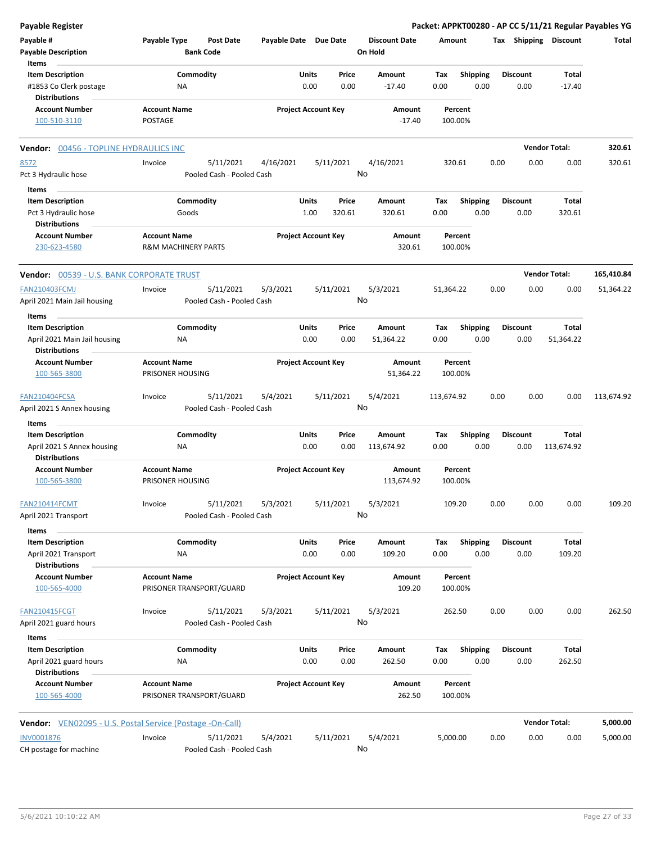| <b>Payable Register</b>                                   |                                |                           |                            |       |           |                      |            |                 |      |                 |                       | Packet: APPKT00280 - AP CC 5/11/21 Regular Payables YG |
|-----------------------------------------------------------|--------------------------------|---------------------------|----------------------------|-------|-----------|----------------------|------------|-----------------|------|-----------------|-----------------------|--------------------------------------------------------|
| Payable #                                                 | Payable Type                   | <b>Post Date</b>          | Payable Date Due Date      |       |           | <b>Discount Date</b> | Amount     |                 |      |                 | Tax Shipping Discount | Total                                                  |
| <b>Payable Description</b>                                |                                | <b>Bank Code</b>          |                            |       |           | On Hold              |            |                 |      |                 |                       |                                                        |
| Items                                                     |                                |                           |                            |       |           |                      |            |                 |      |                 |                       |                                                        |
| <b>Item Description</b>                                   |                                | Commodity                 |                            | Units | Price     | Amount               | Tax        | Shipping        |      | <b>Discount</b> | Total                 |                                                        |
| #1853 Co Clerk postage<br><b>Distributions</b>            | NA                             |                           |                            | 0.00  | 0.00      | $-17.40$             | 0.00       | 0.00            |      | 0.00            | $-17.40$              |                                                        |
| <b>Account Number</b>                                     | <b>Account Name</b>            |                           | <b>Project Account Key</b> |       |           | Amount               |            | Percent         |      |                 |                       |                                                        |
| 100-510-3110                                              | POSTAGE                        |                           |                            |       |           | $-17.40$             |            | 100.00%         |      |                 |                       |                                                        |
| Vendor: 00456 - TOPLINE HYDRAULICS INC                    |                                |                           |                            |       |           |                      |            |                 |      |                 | <b>Vendor Total:</b>  | 320.61                                                 |
| 8572                                                      | Invoice                        | 5/11/2021                 | 4/16/2021                  |       | 5/11/2021 | 4/16/2021            |            | 320.61          | 0.00 | 0.00            | 0.00                  | 320.61                                                 |
| Pct 3 Hydraulic hose                                      |                                | Pooled Cash - Pooled Cash |                            |       |           | No                   |            |                 |      |                 |                       |                                                        |
| Items                                                     |                                |                           |                            |       |           |                      |            |                 |      |                 |                       |                                                        |
| <b>Item Description</b>                                   |                                | Commodity                 |                            | Units | Price     | Amount               | Tax        | <b>Shipping</b> |      | <b>Discount</b> | <b>Total</b>          |                                                        |
| Pct 3 Hydraulic hose                                      | Goods                          |                           |                            | 1.00  | 320.61    | 320.61               | 0.00       | 0.00            |      | 0.00            | 320.61                |                                                        |
| <b>Distributions</b>                                      |                                |                           |                            |       |           |                      |            |                 |      |                 |                       |                                                        |
| <b>Account Number</b>                                     | <b>Account Name</b>            |                           | <b>Project Account Key</b> |       |           | Amount               |            | Percent         |      |                 |                       |                                                        |
| 230-623-4580                                              | <b>R&amp;M MACHINERY PARTS</b> |                           |                            |       |           | 320.61               |            | 100.00%         |      |                 |                       |                                                        |
| <b>Vendor: 00539 - U.S. BANK CORPORATE TRUST</b>          |                                |                           |                            |       |           |                      |            |                 |      |                 | <b>Vendor Total:</b>  | 165,410.84                                             |
| <b>FAN210403FCMJ</b>                                      | Invoice                        | 5/11/2021                 | 5/3/2021                   |       | 5/11/2021 | 5/3/2021             | 51,364.22  |                 | 0.00 | 0.00            | 0.00                  | 51,364.22                                              |
| April 2021 Main Jail housing                              |                                | Pooled Cash - Pooled Cash |                            |       |           | No                   |            |                 |      |                 |                       |                                                        |
|                                                           |                                |                           |                            |       |           |                      |            |                 |      |                 |                       |                                                        |
| Items                                                     |                                |                           |                            |       |           |                      |            |                 |      |                 |                       |                                                        |
| <b>Item Description</b>                                   |                                | Commodity                 |                            | Units | Price     | Amount               | Tax        | <b>Shipping</b> |      | <b>Discount</b> | Total                 |                                                        |
| April 2021 Main Jail housing<br><b>Distributions</b>      | ΝA                             |                           |                            | 0.00  | 0.00      | 51,364.22            | 0.00       | 0.00            |      | 0.00            | 51,364.22             |                                                        |
| <b>Account Number</b>                                     | <b>Account Name</b>            |                           | <b>Project Account Key</b> |       |           | Amount               |            | Percent         |      |                 |                       |                                                        |
| 100-565-3800                                              | PRISONER HOUSING               |                           |                            |       |           | 51,364.22            |            | 100.00%         |      |                 |                       |                                                        |
| FAN210404FCSA                                             | Invoice                        | 5/11/2021                 | 5/4/2021                   |       | 5/11/2021 | 5/4/2021             | 113,674.92 |                 | 0.00 | 0.00            | 0.00                  | 113,674.92                                             |
| April 2021 S Annex housing                                |                                | Pooled Cash - Pooled Cash |                            |       |           | No                   |            |                 |      |                 |                       |                                                        |
| Items                                                     |                                |                           |                            |       |           |                      |            |                 |      |                 |                       |                                                        |
| <b>Item Description</b>                                   |                                | Commodity                 |                            | Units | Price     | Amount               | Tax        | <b>Shipping</b> |      | <b>Discount</b> | Total                 |                                                        |
| April 2021 S Annex housing<br><b>Distributions</b>        | NA                             |                           |                            | 0.00  | 0.00      | 113,674.92           | 0.00       | 0.00            |      | 0.00            | 113,674.92            |                                                        |
| <b>Account Number</b>                                     | <b>Account Name</b>            |                           | <b>Project Account Key</b> |       |           | <b>Amount</b>        |            | Percent         |      |                 |                       |                                                        |
| 100-565-3800                                              | PRISONER HOUSING               |                           |                            |       |           | 113,674.92           |            | 100.00%         |      |                 |                       |                                                        |
| <b>FAN210414FCMT</b>                                      | Invoice                        | 5/11/2021                 | 5/3/2021                   |       | 5/11/2021 | 5/3/2021             |            | 109.20          | 0.00 | 0.00            | 0.00                  | 109.20                                                 |
| April 2021 Transport                                      |                                | Pooled Cash - Pooled Cash |                            |       |           | No                   |            |                 |      |                 |                       |                                                        |
| Items                                                     |                                |                           |                            |       |           |                      |            |                 |      |                 |                       |                                                        |
| <b>Item Description</b>                                   |                                | Commodity                 |                            | Units | Price     | Amount               | Tax        | Shipping        |      | <b>Discount</b> | Total                 |                                                        |
| April 2021 Transport                                      | NA                             |                           |                            | 0.00  | 0.00      | 109.20               | 0.00       | 0.00            |      | 0.00            | 109.20                |                                                        |
| <b>Distributions</b>                                      |                                |                           |                            |       |           |                      |            |                 |      |                 |                       |                                                        |
| <b>Account Number</b>                                     | <b>Account Name</b>            |                           | <b>Project Account Key</b> |       |           | Amount               |            | Percent         |      |                 |                       |                                                        |
| 100-565-4000                                              |                                | PRISONER TRANSPORT/GUARD  |                            |       |           | 109.20               |            | 100.00%         |      |                 |                       |                                                        |
| <b>FAN210415FCGT</b>                                      | Invoice                        | 5/11/2021                 | 5/3/2021                   |       | 5/11/2021 | 5/3/2021             |            | 262.50          | 0.00 | 0.00            | 0.00                  | 262.50                                                 |
| April 2021 guard hours                                    |                                | Pooled Cash - Pooled Cash |                            |       |           | No                   |            |                 |      |                 |                       |                                                        |
| Items                                                     |                                |                           |                            |       |           |                      |            |                 |      |                 |                       |                                                        |
| <b>Item Description</b>                                   |                                | Commodity                 |                            | Units | Price     | Amount               | Tax        | <b>Shipping</b> |      | <b>Discount</b> | Total                 |                                                        |
| April 2021 guard hours<br><b>Distributions</b>            | NA                             |                           |                            | 0.00  | 0.00      | 262.50               | 0.00       | 0.00            |      | 0.00            | 262.50                |                                                        |
| <b>Account Number</b>                                     | <b>Account Name</b>            |                           | <b>Project Account Key</b> |       |           | Amount               |            | Percent         |      |                 |                       |                                                        |
| 100-565-4000                                              |                                | PRISONER TRANSPORT/GUARD  |                            |       |           | 262.50               |            | 100.00%         |      |                 |                       |                                                        |
| Vendor: VEN02095 - U.S. Postal Service (Postage -On-Call) |                                |                           |                            |       |           |                      |            |                 |      |                 | <b>Vendor Total:</b>  | 5,000.00                                               |
| <b>INV0001876</b>                                         | Invoice                        | 5/11/2021                 | 5/4/2021                   |       | 5/11/2021 | 5/4/2021             | 5,000.00   |                 | 0.00 | 0.00            | 0.00                  | 5,000.00                                               |
| CH postage for machine                                    |                                | Pooled Cash - Pooled Cash |                            |       |           | No                   |            |                 |      |                 |                       |                                                        |
|                                                           |                                |                           |                            |       |           |                      |            |                 |      |                 |                       |                                                        |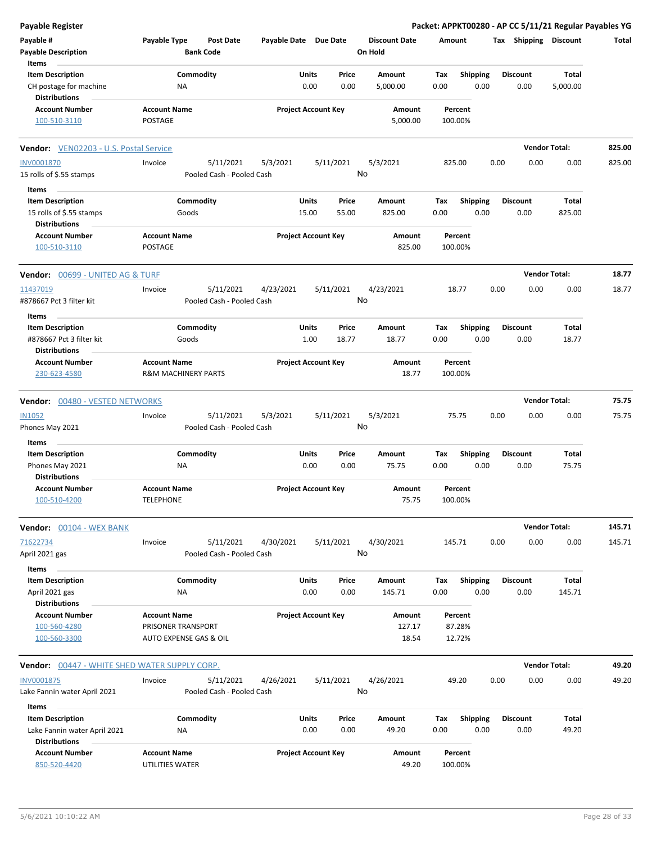| Payable Register                                     |                                |                           |                       |                            |                      |         |                 |                 |      | Packet: APPKT00280 - AP CC 5/11/21 Regular Payables YG |        |
|------------------------------------------------------|--------------------------------|---------------------------|-----------------------|----------------------------|----------------------|---------|-----------------|-----------------|------|--------------------------------------------------------|--------|
| Payable #                                            | Payable Type                   | <b>Post Date</b>          | Payable Date Due Date |                            | <b>Discount Date</b> | Amount  |                 |                 |      | Tax Shipping Discount                                  | Total  |
| <b>Payable Description</b>                           |                                | <b>Bank Code</b>          |                       |                            | On Hold              |         |                 |                 |      |                                                        |        |
| Items                                                |                                |                           |                       |                            |                      |         |                 |                 |      |                                                        |        |
| <b>Item Description</b>                              | Commodity                      |                           | Units                 | Price                      | Amount               | Tax     | Shipping        | <b>Discount</b> |      | Total                                                  |        |
| CH postage for machine                               | ΝA                             |                           |                       | 0.00<br>0.00               | 5,000.00             | 0.00    | 0.00            |                 | 0.00 | 5,000.00                                               |        |
| <b>Distributions</b>                                 |                                |                           |                       |                            |                      |         |                 |                 |      |                                                        |        |
| <b>Account Number</b>                                | <b>Account Name</b>            |                           |                       | <b>Project Account Key</b> | Amount               |         | Percent         |                 |      |                                                        |        |
| 100-510-3110                                         | <b>POSTAGE</b>                 |                           |                       |                            | 5,000.00             | 100.00% |                 |                 |      |                                                        |        |
| Vendor: VEN02203 - U.S. Postal Service               |                                |                           |                       |                            |                      |         |                 |                 |      | <b>Vendor Total:</b>                                   | 825.00 |
| <b>INV0001870</b>                                    | Invoice                        | 5/11/2021                 | 5/3/2021              | 5/11/2021                  | 5/3/2021             | 825.00  |                 | 0.00            | 0.00 | 0.00                                                   | 825.00 |
| 15 rolls of \$.55 stamps                             |                                | Pooled Cash - Pooled Cash |                       |                            | No                   |         |                 |                 |      |                                                        |        |
|                                                      |                                |                           |                       |                            |                      |         |                 |                 |      |                                                        |        |
| Items                                                |                                |                           |                       |                            |                      |         |                 |                 |      |                                                        |        |
| <b>Item Description</b>                              | Commodity                      |                           | Units                 | Price                      | Amount               | Tax     | <b>Shipping</b> | <b>Discount</b> |      | Total                                                  |        |
| 15 rolls of \$.55 stamps<br><b>Distributions</b>     | Goods                          |                           | 15.00                 | 55.00                      | 825.00               | 0.00    | 0.00            |                 | 0.00 | 825.00                                                 |        |
|                                                      |                                |                           |                       | <b>Project Account Key</b> |                      |         |                 |                 |      |                                                        |        |
| <b>Account Number</b>                                | <b>Account Name</b>            |                           |                       |                            | Amount               |         | Percent         |                 |      |                                                        |        |
| 100-510-3110                                         | <b>POSTAGE</b>                 |                           |                       |                            | 825.00               | 100.00% |                 |                 |      |                                                        |        |
| <b>Vendor: 00699 - UNITED AG &amp; TURF</b>          |                                |                           |                       |                            |                      |         |                 |                 |      | <b>Vendor Total:</b>                                   | 18.77  |
| 11437019                                             | Invoice                        | 5/11/2021                 | 4/23/2021             | 5/11/2021                  | 4/23/2021            |         | 18.77           | 0.00            | 0.00 | 0.00                                                   | 18.77  |
| #878667 Pct 3 filter kit                             |                                | Pooled Cash - Pooled Cash |                       |                            | No                   |         |                 |                 |      |                                                        |        |
| Items                                                |                                |                           |                       |                            |                      |         |                 |                 |      |                                                        |        |
| <b>Item Description</b>                              | Commodity                      |                           | Units                 | Price                      | Amount               | Tax     | <b>Shipping</b> | <b>Discount</b> |      | Total                                                  |        |
| #878667 Pct 3 filter kit                             | Goods                          |                           |                       | 1.00<br>18.77              | 18.77                | 0.00    | 0.00            |                 | 0.00 | 18.77                                                  |        |
| <b>Distributions</b>                                 |                                |                           |                       |                            |                      |         |                 |                 |      |                                                        |        |
| <b>Account Number</b>                                | <b>Account Name</b>            |                           |                       | <b>Project Account Key</b> | Amount               |         | Percent         |                 |      |                                                        |        |
| 230-623-4580                                         | <b>R&amp;M MACHINERY PARTS</b> |                           |                       |                            | 18.77                | 100.00% |                 |                 |      |                                                        |        |
|                                                      |                                |                           |                       |                            |                      |         |                 |                 |      |                                                        |        |
| Vendor: 00480 - VESTED NETWORKS                      |                                |                           |                       |                            |                      |         |                 |                 |      | <b>Vendor Total:</b>                                   | 75.75  |
| <b>IN1052</b>                                        | Invoice                        | 5/11/2021                 | 5/3/2021              | 5/11/2021                  | 5/3/2021             |         | 75.75           | 0.00            | 0.00 | 0.00                                                   | 75.75  |
| Phones May 2021                                      |                                | Pooled Cash - Pooled Cash |                       |                            | No                   |         |                 |                 |      |                                                        |        |
| Items                                                |                                |                           |                       |                            |                      |         |                 |                 |      |                                                        |        |
| <b>Item Description</b>                              | Commodity                      |                           | Units                 | Price                      | Amount               | Tax     | <b>Shipping</b> | Discount        |      | Total                                                  |        |
| Phones May 2021                                      | ΝA                             |                           |                       | 0.00<br>0.00               | 75.75                | 0.00    | 0.00            | 0.00            |      | 75.75                                                  |        |
| <b>Distributions</b>                                 |                                |                           |                       |                            |                      |         |                 |                 |      |                                                        |        |
| <b>Account Number</b>                                | <b>Account Name</b>            |                           |                       | <b>Project Account Key</b> | Amount               |         | Percent         |                 |      |                                                        |        |
| 100-510-4200                                         | <b>TELEPHONE</b>               |                           |                       |                            | 75.75                | 100.00% |                 |                 |      |                                                        |        |
|                                                      |                                |                           |                       |                            |                      |         |                 |                 |      |                                                        |        |
| Vendor: 00104 - WEX BANK                             |                                |                           |                       |                            |                      |         |                 |                 |      | <b>Vendor Total:</b>                                   | 145.71 |
| 71622734                                             | Invoice                        | 5/11/2021                 | 4/30/2021             | 5/11/2021                  | 4/30/2021            | 145.71  |                 | 0.00            | 0.00 | 0.00                                                   | 145.71 |
| April 2021 gas                                       |                                | Pooled Cash - Pooled Cash |                       |                            | No                   |         |                 |                 |      |                                                        |        |
| Items                                                |                                |                           |                       |                            |                      |         |                 |                 |      |                                                        |        |
| <b>Item Description</b>                              | Commodity                      |                           | Units                 | Price                      | Amount               | Tax     | Shipping        | <b>Discount</b> |      | Total                                                  |        |
| April 2021 gas                                       | NA                             |                           |                       | 0.00<br>0.00               | 145.71               | 0.00    | 0.00            |                 | 0.00 | 145.71                                                 |        |
| <b>Distributions</b>                                 |                                |                           |                       |                            |                      |         |                 |                 |      |                                                        |        |
| <b>Account Number</b>                                | <b>Account Name</b>            |                           |                       | <b>Project Account Key</b> | Amount               |         | Percent         |                 |      |                                                        |        |
| 100-560-4280                                         | PRISONER TRANSPORT             |                           |                       |                            | 127.17               |         | 87.28%          |                 |      |                                                        |        |
| 100-560-3300                                         | AUTO EXPENSE GAS & OIL         |                           |                       |                            | 18.54                |         | 12.72%          |                 |      |                                                        |        |
|                                                      |                                |                           |                       |                            |                      |         |                 |                 |      |                                                        |        |
| <b>Vendor:</b> 00447 - WHITE SHED WATER SUPPLY CORP. |                                |                           |                       |                            |                      |         |                 |                 |      | <b>Vendor Total:</b>                                   | 49.20  |
| <b>INV0001875</b>                                    | Invoice                        | 5/11/2021                 | 4/26/2021             | 5/11/2021                  | 4/26/2021            |         | 49.20           | 0.00            | 0.00 | 0.00                                                   | 49.20  |
| Lake Fannin water April 2021                         |                                | Pooled Cash - Pooled Cash |                       |                            | No                   |         |                 |                 |      |                                                        |        |
| Items                                                |                                |                           |                       |                            |                      |         |                 |                 |      |                                                        |        |
| <b>Item Description</b>                              | Commodity                      |                           | Units                 | Price                      | Amount               | Tax     | Shipping        | Discount        |      | Total                                                  |        |
| Lake Fannin water April 2021                         | ΝA                             |                           |                       | 0.00<br>0.00               | 49.20                | 0.00    | 0.00            |                 | 0.00 | 49.20                                                  |        |
| <b>Distributions</b>                                 |                                |                           |                       |                            |                      |         |                 |                 |      |                                                        |        |
| <b>Account Number</b>                                | <b>Account Name</b>            |                           |                       | <b>Project Account Key</b> | Amount               |         | Percent         |                 |      |                                                        |        |
| 850-520-4420                                         | UTILITIES WATER                |                           |                       |                            | 49.20                | 100.00% |                 |                 |      |                                                        |        |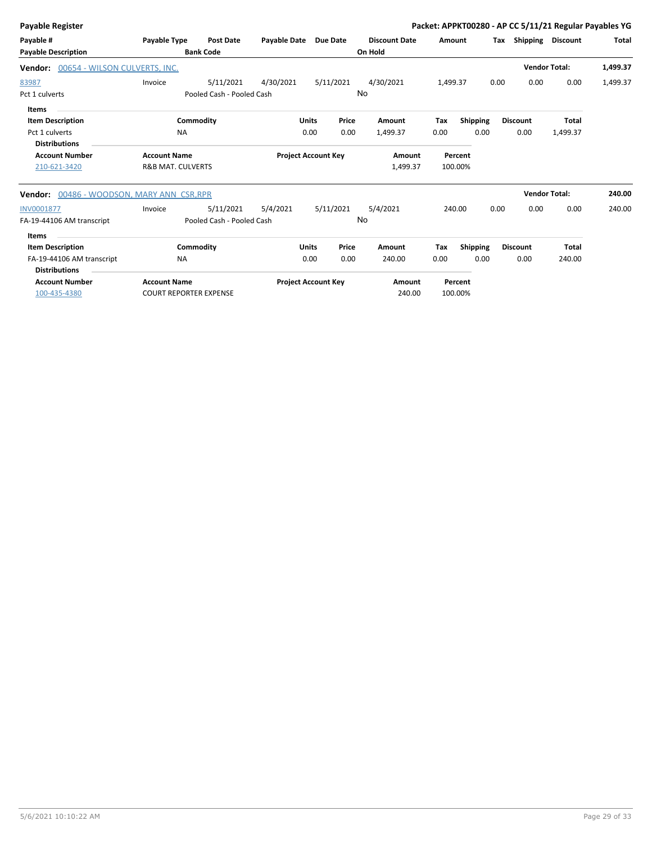| Payable Register                              |                               |                           |                            |              |           |                      |          |                 |      |                      | Packet: APPKT00280 - AP CC 5/11/21 Regular Payables YG |              |
|-----------------------------------------------|-------------------------------|---------------------------|----------------------------|--------------|-----------|----------------------|----------|-----------------|------|----------------------|--------------------------------------------------------|--------------|
| Payable #                                     | <b>Payable Type</b>           | <b>Post Date</b>          | <b>Payable Date</b>        |              | Due Date  | <b>Discount Date</b> | Amount   |                 | Тах  | Shipping Discount    |                                                        | <b>Total</b> |
| <b>Payable Description</b>                    |                               | <b>Bank Code</b>          |                            |              |           | On Hold              |          |                 |      |                      |                                                        |              |
| 00654 - WILSON CULVERTS, INC.<br>Vendor:      |                               |                           |                            |              |           |                      |          |                 |      | <b>Vendor Total:</b> |                                                        | 1,499.37     |
| 83987                                         | Invoice                       | 5/11/2021                 | 4/30/2021                  |              | 5/11/2021 | 4/30/2021            | 1,499.37 |                 | 0.00 | 0.00                 | 0.00                                                   | 1,499.37     |
| Pct 1 culverts                                |                               | Pooled Cash - Pooled Cash |                            |              | No        |                      |          |                 |      |                      |                                                        |              |
| Items                                         |                               |                           |                            |              |           |                      |          |                 |      |                      |                                                        |              |
| <b>Item Description</b>                       |                               | Commodity                 |                            | <b>Units</b> | Price     | Amount               | Tax      | <b>Shipping</b> |      | <b>Discount</b>      | <b>Total</b>                                           |              |
| Pct 1 culverts                                | <b>NA</b>                     |                           |                            | 0.00         | 0.00      | 1,499.37             | 0.00     | 0.00            |      | 0.00                 | 1,499.37                                               |              |
| <b>Distributions</b>                          |                               |                           |                            |              |           |                      |          |                 |      |                      |                                                        |              |
| <b>Account Number</b>                         | <b>Account Name</b>           |                           | <b>Project Account Key</b> |              |           | Amount               |          | Percent         |      |                      |                                                        |              |
| 210-621-3420                                  | <b>R&amp;B MAT. CULVERTS</b>  |                           |                            |              |           | 1,499.37             |          | 100.00%         |      |                      |                                                        |              |
| 00486 - WOODSON, MARY ANN CSR, RPR<br>Vendor: |                               |                           |                            |              |           |                      |          |                 |      | <b>Vendor Total:</b> |                                                        | 240.00       |
| INV0001877                                    | Invoice                       | 5/11/2021                 | 5/4/2021                   |              | 5/11/2021 | 5/4/2021             |          | 240.00          | 0.00 | 0.00                 | 0.00                                                   | 240.00       |
| FA-19-44106 AM transcript                     |                               | Pooled Cash - Pooled Cash |                            |              | No        |                      |          |                 |      |                      |                                                        |              |
| <b>Items</b>                                  |                               |                           |                            |              |           |                      |          |                 |      |                      |                                                        |              |
| <b>Item Description</b>                       |                               | Commodity                 |                            | Units        | Price     | Amount               | Tax      | <b>Shipping</b> |      | <b>Discount</b>      | Total                                                  |              |
| FA-19-44106 AM transcript                     | <b>NA</b>                     |                           |                            | 0.00         | 0.00      | 240.00               | 0.00     | 0.00            |      | 0.00                 | 240.00                                                 |              |
| <b>Distributions</b>                          |                               |                           |                            |              |           |                      |          |                 |      |                      |                                                        |              |
| <b>Account Number</b>                         | <b>Account Name</b>           |                           | <b>Project Account Key</b> |              |           | Amount               |          | Percent         |      |                      |                                                        |              |
| 100-435-4380                                  | <b>COURT REPORTER EXPENSE</b> |                           |                            |              |           | 240.00               |          | 100.00%         |      |                      |                                                        |              |
|                                               |                               |                           |                            |              |           |                      |          |                 |      |                      |                                                        |              |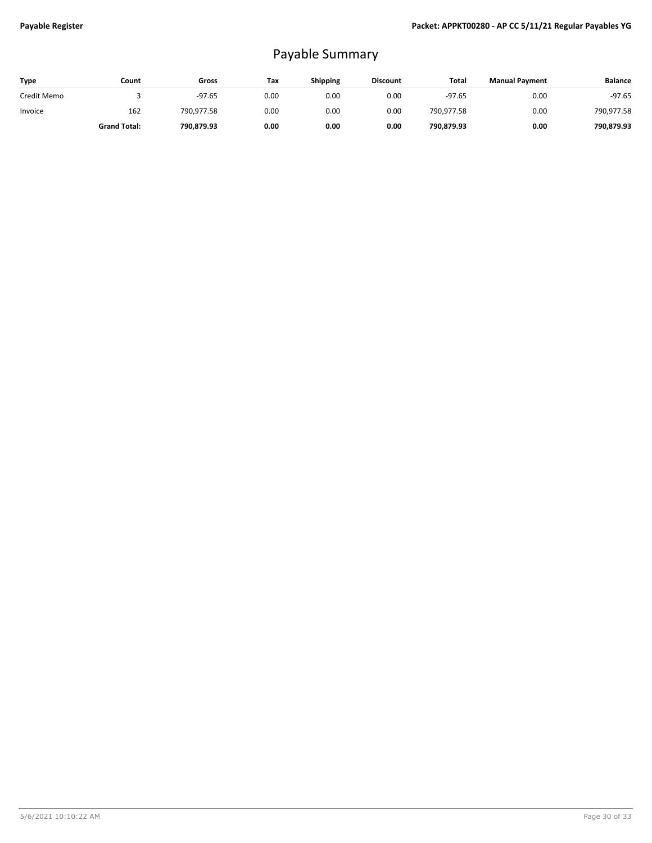## Payable Summary

| Type        | Count               | Gross      | Tax  | <b>Shipping</b> | <b>Discount</b> | Total      | <b>Manual Payment</b> | <b>Balance</b> |
|-------------|---------------------|------------|------|-----------------|-----------------|------------|-----------------------|----------------|
| Credit Memo |                     | $-97.65$   | 0.00 | 0.00            | 0.00            | $-97.65$   | 0.00                  | $-97.65$       |
| Invoice     | 162                 | 790.977.58 | 0.00 | 0.00            | 0.00            | 790,977.58 | 0.00                  | 790,977.58     |
|             | <b>Grand Total:</b> | 790.879.93 | 0.00 | 0.00            | 0.00            | 790,879.93 | 0.00                  | 790.879.93     |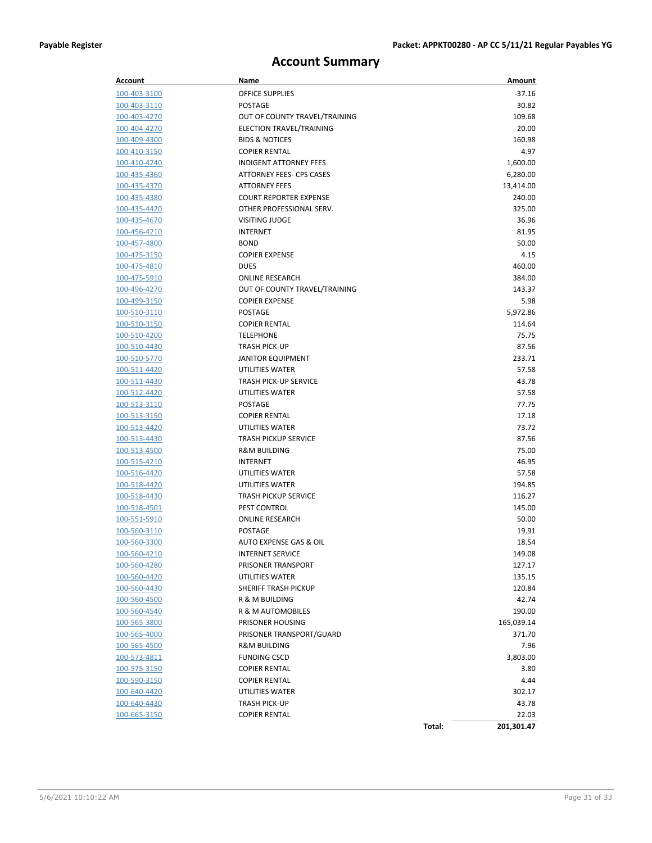### **Account Summary**

| Account             | Name                          | Amount               |
|---------------------|-------------------------------|----------------------|
| 100-403-3100        | OFFICE SUPPLIES               | $-37.16$             |
| 100-403-3110        | <b>POSTAGE</b>                | 30.82                |
| 100-403-4270        | OUT OF COUNTY TRAVEL/TRAINING | 109.68               |
| 100-404-4270        | ELECTION TRAVEL/TRAINING      | 20.00                |
| 100-409-4300        | <b>BIDS &amp; NOTICES</b>     | 160.98               |
| 100-410-3150        | <b>COPIER RENTAL</b>          | 4.97                 |
| 100-410-4240        | <b>INDIGENT ATTORNEY FEES</b> | 1,600.00             |
| 100-435-4360        | ATTORNEY FEES- CPS CASES      | 6,280.00             |
| 100-435-4370        | <b>ATTORNEY FEES</b>          | 13,414.00            |
| 100-435-4380        | <b>COURT REPORTER EXPENSE</b> | 240.00               |
| 100-435-4420        | OTHER PROFESSIONAL SERV.      | 325.00               |
| 100-435-4670        | VISITING JUDGE                | 36.96                |
| 100-456-4210        | <b>INTERNET</b>               | 81.95                |
| 100-457-4800        | <b>BOND</b>                   | 50.00                |
| 100-475-3150        | <b>COPIER EXPENSE</b>         | 4.15                 |
| 100-475-4810        | <b>DUES</b>                   | 460.00               |
| 100-475-5910        | <b>ONLINE RESEARCH</b>        | 384.00               |
| 100-496-4270        | OUT OF COUNTY TRAVEL/TRAINING | 143.37               |
| 100-499-3150        | <b>COPIER EXPENSE</b>         | 5.98                 |
| 100-510-3110        | <b>POSTAGE</b>                | 5,972.86             |
| 100-510-3150        | <b>COPIER RENTAL</b>          | 114.64               |
| 100-510-4200        | <b>TELEPHONE</b>              | 75.75                |
| 100-510-4430        | <b>TRASH PICK-UP</b>          | 87.56                |
| 100-510-5770        | <b>JANITOR EQUIPMENT</b>      | 233.71               |
| 100-511-4420        | UTILITIES WATER               | 57.58                |
| 100-511-4430        | <b>TRASH PICK-UP SERVICE</b>  | 43.78                |
| 100-512-4420        | UTILITIES WATER               | 57.58                |
| 100-513-3110        | <b>POSTAGE</b>                | 77.75                |
| 100-513-3150        | <b>COPIER RENTAL</b>          | 17.18                |
| 100-513-4420        | UTILITIES WATER               | 73.72                |
| 100-513-4430        | <b>TRASH PICKUP SERVICE</b>   | 87.56                |
| 100-513-4500        | <b>R&amp;M BUILDING</b>       | 75.00                |
| 100-515-4210        | <b>INTERNET</b>               | 46.95                |
| 100-516-4420        | UTILITIES WATER               | 57.58                |
| 100-518-4420        | UTILITIES WATER               | 194.85               |
| 100-518-4430        | <b>TRASH PICKUP SERVICE</b>   | 116.27               |
| 100-518-4501        | <b>PEST CONTROL</b>           | 145.00               |
| 100-551-5910        | <b>ONLINE RESEARCH</b>        | 50.00                |
| 100-560-3110        | <b>POSTAGE</b>                | 19.91                |
| 100-560-3300        | AUTO EXPENSE GAS & OIL        | 18.54                |
| 100-560-4210        | <b>INTERNET SERVICE</b>       | 149.08               |
| 100-560-4280        | PRISONER TRANSPORT            | 127.17               |
| 100-560-4420        | UTILITIES WATER               | 135.15               |
| 100-560-4430        | SHERIFF TRASH PICKUP          | 120.84               |
| 100-560-4500        | R & M BUILDING                | 42.74                |
| 100-560-4540        | R & M AUTOMOBILES             | 190.00               |
| <u>100-565-3800</u> | PRISONER HOUSING              | 165,039.14           |
| 100-565-4000        | PRISONER TRANSPORT/GUARD      | 371.70               |
| 100-565-4500        | <b>R&amp;M BUILDING</b>       | 7.96                 |
| 100-573-4811        | <b>FUNDING CSCD</b>           | 3,803.00             |
| 100-575-3150        | <b>COPIER RENTAL</b>          | 3.80                 |
| <u>100-590-3150</u> | <b>COPIER RENTAL</b>          | 4.44                 |
| <u>100-640-4420</u> | UTILITIES WATER               | 302.17               |
| 100-640-4430        | <b>TRASH PICK-UP</b>          | 43.78                |
| 100-665-3150        | <b>COPIER RENTAL</b>          | 22.03                |
|                     |                               | Total:<br>201,301.47 |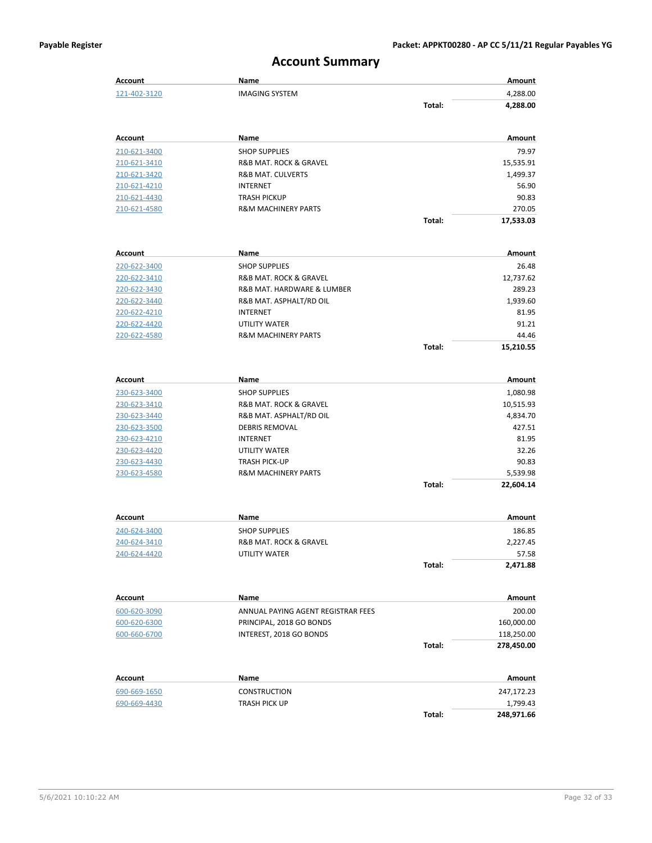### **Account Summary**

| Account        | Name                               |        | Amount     |
|----------------|------------------------------------|--------|------------|
| 121-402-3120   | <b>IMAGING SYSTEM</b>              |        | 4,288.00   |
|                |                                    | Total: | 4,288.00   |
|                |                                    |        |            |
| <b>Account</b> | Name                               |        | Amount     |
| 210-621-3400   | <b>SHOP SUPPLIES</b>               |        | 79.97      |
| 210-621-3410   | R&B MAT. ROCK & GRAVEL             |        | 15,535.91  |
| 210-621-3420   | <b>R&amp;B MAT. CULVERTS</b>       |        | 1,499.37   |
| 210-621-4210   | <b>INTERNET</b>                    |        | 56.90      |
| 210-621-4430   | <b>TRASH PICKUP</b>                |        | 90.83      |
| 210-621-4580   | <b>R&amp;M MACHINERY PARTS</b>     |        | 270.05     |
|                |                                    | Total: | 17,533.03  |
| <b>Account</b> | Name                               |        | Amount     |
| 220-622-3400   | <b>SHOP SUPPLIES</b>               |        | 26.48      |
| 220-622-3410   | R&B MAT. ROCK & GRAVEL             |        | 12,737.62  |
| 220-622-3430   | R&B MAT. HARDWARE & LUMBER         |        | 289.23     |
| 220-622-3440   | R&B MAT. ASPHALT/RD OIL            |        | 1,939.60   |
| 220-622-4210   | INTERNET                           |        | 81.95      |
| 220-622-4420   | <b>UTILITY WATER</b>               |        | 91.21      |
| 220-622-4580   | <b>R&amp;M MACHINERY PARTS</b>     |        | 44.46      |
|                |                                    | Total: | 15,210.55  |
|                |                                    |        |            |
| <b>Account</b> | Name                               |        | Amount     |
| 230-623-3400   | <b>SHOP SUPPLIES</b>               |        | 1,080.98   |
| 230-623-3410   | R&B MAT. ROCK & GRAVEL             |        | 10,515.93  |
| 230-623-3440   | R&B MAT. ASPHALT/RD OIL            |        | 4,834.70   |
| 230-623-3500   | <b>DEBRIS REMOVAL</b>              |        | 427.51     |
| 230-623-4210   | <b>INTERNET</b>                    |        | 81.95      |
| 230-623-4420   | UTILITY WATER                      |        | 32.26      |
| 230-623-4430   | <b>TRASH PICK-UP</b>               |        | 90.83      |
| 230-623-4580   | <b>R&amp;M MACHINERY PARTS</b>     |        | 5,539.98   |
|                |                                    | Total: | 22,604.14  |
| Account        | Name                               |        | Amount     |
| 240-624-3400   | <b>SHOP SUPPLIES</b>               |        | 186.85     |
| 240-624-3410   | R&B MAT. ROCK & GRAVEL             |        | 2.227.45   |
| 240-624-4420   | UTILITY WATER                      |        | 57.58      |
|                |                                    | Total: | 2,471.88   |
|                |                                    |        |            |
| Account        | Name                               |        | Amount     |
| 600-620-3090   | ANNUAL PAYING AGENT REGISTRAR FEES |        | 200.00     |
| 600-620-6300   | PRINCIPAL, 2018 GO BONDS           |        | 160,000.00 |
| 600-660-6700   | INTEREST, 2018 GO BONDS            |        | 118,250.00 |
|                |                                    | Total: | 278,450.00 |
| Account        | <b>Name</b>                        |        | Amount     |
| 690-669-1650   | CONSTRUCTION                       |        | 247,172.23 |
| 690-669-4430   | TRASH PICK UP                      |        | 1,799.43   |
|                |                                    | Total: | 248,971.66 |